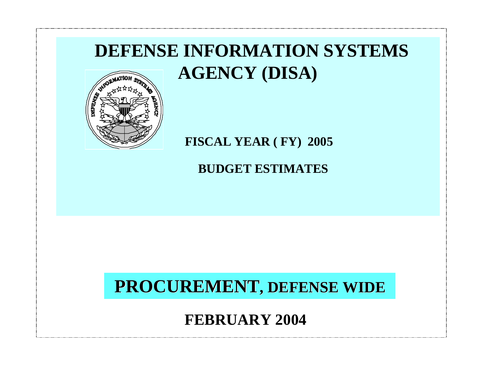# **DEFENSE INFORMATION SYSTEMS AGENCY (DISA)**



## **FISCAL YEAR ( FY) 2005**

**BUDGET ESTIMATES**

## **PROCUREMENT, DEFENSE WIDE**

**FEBRUARY 2004**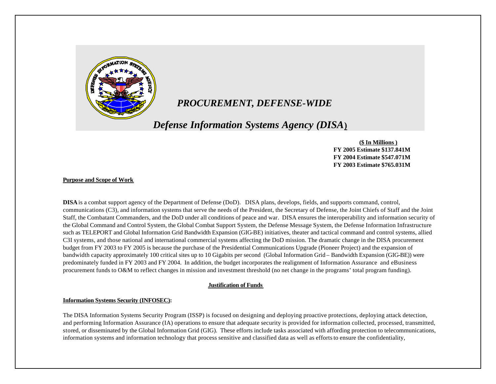

## *PROCUREMENT, DEFENSE-WIDE*

## *Defense Information Systems Agency (DISA***)**

 **(\$ In Millions ) FY 2005 Estimate \$137.841M FY 2004 Estimate \$547.071M FY 2003 Estimate \$765.031M**

#### **Purpose and Scope of Work**

**DISA** is a combat support agency of the Department of Defense (DoD). DISA plans, develops, fields, and supports command, control, communications (C3), and information systems that serve the needs of the President, the Secretary of Defense, the Joint Chiefs of Staff and the Joint Staff, the Combatant Commanders, and the DoD under all conditions of peace and war. DISA ensures the interoperability and information security of the Global Command and Control System, the Global Combat Support System, the Defense Message System, the Defense Information Infrastructure such as TELEPORT and Global Information Grid Bandwidth Expansion (GIG-BE) initiatives, theater and tactical command and control systems, allied C3I systems, and those national and international commercial systems affecting the DoD mission. The dramatic change in the DISA procurement budget from FY 2003 to FY 2005 is because the purchase of the Presidential Communications Upgrade (Pioneer Project) and the expansion of bandwidth capacity approximately 100 critical sites up to 10 Gigabits per second (Global Information Grid – Bandwidth Expansion (GIG-BE)) were predominately funded in FY 2003 and FY 2004. In addition, the budget incorporates the realignment of Information Assurance and eBusiness procurement funds to O&M to reflect changes in mission and investment threshold (no net change in the programs' total program funding).

#### **Justification of Funds**

#### **Information Systems Security (INFOSEC):**

The DISA Information Systems Security Program (ISSP) is focused on designing and deploying proactive protections, deploying attack detection, and performing Information Assurance (IA) operations to ensure that adequate security is provided for information collected, processed, transmitted, stored, or disseminated by the Global Information Grid (GIG). These efforts include tasks associated with affording protection to telecommunications, information systems and information technology that process sensitive and classified data as well as efforts to ensure the confidentiality,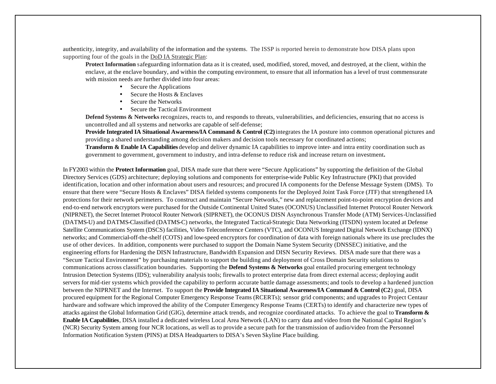authenticity, integrity, and availability of the information and the systems. The ISSP is reported herein to demonstrate how DISA plans upon supporting four of the goals in the DoD IA Strategic Plan:

**Protect Information** safeguarding information data as it is created, used, modified, stored, moved, and destroyed, at the client, within the enclave, at the enclave boundary, and within the computing environment, to ensure that all information has a level of trust commensurate with mission needs are further divided into four areas:

- Secure the Applications
- Secure the Hosts & Enclaves
- Secure the Networks
- Secure the Tactical Environment

**Defend Systems & Networks** recognizes, reacts to, and responds to threats, vulnerabilities, and deficiencies, ensuring that no access is uncontrolled and all systems and networks are capable of self-defense;

**Provide Integrated IA Situational Awareness/IA Command & Control (C2)** integrates the IA posture into common operational pictures and providing a shared understanding among decision makers and decision tools necessary for coordinated actions;

**Transform & Enable IA Capabilities** develop and deliver dynamic IA capabilities to improve inter- and intra entity coordination such as government to government, government to industry, and intra-defense to reduce risk and increase return on investment**.**

In FY2003 within the **Protect Information** goal, DISA made sure that there were "Secure Applications" by supporting the definition of the Global Directory Services (GDS) architecture; deploying solutions and components for enterprise-wide Public Key Infrastructure (PKI) that provided identification, location and other information about users and resources; and procured IA components for the Defense Message System (DMS). To ensure that there were "Secure Hosts & Enclaves" DISA fielded systems components for the Deployed Joint Task Force (JTF) that strengthened IA protections for their network perimeters. To construct and maintain "Secure Networks," new and replacement point-to-point encryption devices and end-to-end network encryptors were purchased for the Outside Continental United States (OCONUS) Unclassified Internet Protocol Router Network (NIPRNET), the Secret Internet Protocol Router Network (SIPRNET), the OCONUS DISN Asynchronous Transfer Mode (ATM) Services-Unclassified (DATMS-U) and DATMS-Classified (DATMS-C) networks, the Integrated Tactical-Strategic Data Networking (ITSDN) system located at Defense Satellite Communications System (DSCS) facilities, Video Teleconference Centers (VTC), and OCONUS Integrated Digital Network Exchange (IDNX) networks; and Commercial-off-the-shelf (COTS) and low-speed encryptors for coordination of data with foreign nationals where its use precludes the use of other devices. In addition, components were purchased to support the Domain Name System Security (DNSSEC) initiative, and the engineering efforts for Hardening the DISN Infrastructure, Bandwidth Expansion and DISN Security Reviews. DISA made sure that there was a "Secure Tactical Environment" by purchasing materials to support the building and deployment of Cross Domain Security solutions to communications across classification boundaries. Supporting the **Defend Systems & Networks** goal entailed procuring emergent technology Intrusion Detection Systems (IDS); vulnerability analysis tools; firewalls to protect enterprise data from direct external access; deploying audit servers for mid-tier systems which provided the capability to perform accurate battle damage assessments; and tools to develop a hardened junction between the NIPRNET and the Internet. To support the **Provide Integrated IA Situational Awareness/IA Command & Control (C2**) goal, DISA procured equipment for the Regional Computer Emergency Response Teams (RCERTs); sensor grid components; and upgrades to Project Centaur hardware and software which improved the ability of the Computer Emergency Response Teams (CERTs) to identify and characterize new types of attacks against the Global Information Grid (GIG), determine attack trends, and recognize coordinated attacks. To achieve the goal to **Transform & Enable IA Capabilities**, DISA installed a dedicated wireless Local Area Network (LAN) to carry data and video from the National Capital Region's (NCR) Security System among four NCR locations, as well as to provide a secure path for the transmission of audio/video from the Personnel Information Notification System (PINS) at DISA Headquarters to DISA's Seven Skyline Place building.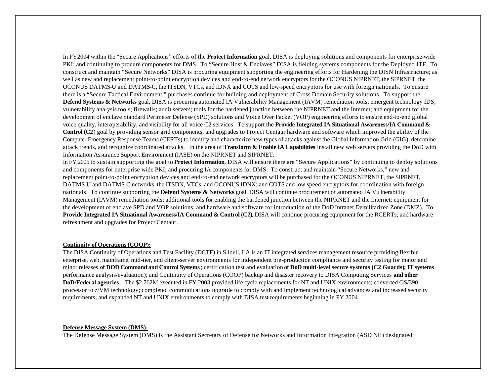In FY2004 within the "Secure Applications" efforts of the **Protect Information** goal, DISA is deploying solutions and components for enterprise-wide PKI; and continuing to procure components for DMS. To "Secure Host & Enclaves" DISA is fielding systems components for the Deployed JTF. To construct and maintain "Secure Networks" DISA is procuring equipment supporting the engineering efforts for Hardening the DISN Infrastructure; as well as new and replacement point-to-point encryption devices and end-to-end network encryptors for the OCONUS NIPRNET, the SIPRNET, the OCONUS DATMS-U and DATMS-C, the ITSDN, VTCs, and IDNX and COTS and low-speed encryptors for use with foreign nationals. To ensure there is a "Secure Tactical Environment," purchases continue for building and deployment of Cross Domain Security solutions. To support the **Defend Systems & Networks** goal, DISA is procuring automated IA Vulnerability Management (IAVM) remediation tools; emergent technology IDS; vulnerability analysis tools; firewalls; audit servers; tools for the hardened junction between the NIPRNET and the Internet; and equipment for the development of enclave Standard Perimeter Defense (SPD) solutions and Voice Over Packet (VOP) engineering efforts to ensure end-to-end global voice quality, interoperability, and visibility for all voice C2 services. To support the **Provide Integrated IA Situational Awareness/IA Command & Control (C2**) goal by providing sensor grid components, and upgrades to Project Centaur hardware and software which improved the ability of the Computer Emergency Response Teams (CERTs) to identify and characterize new types of attacks against the Global Information Grid (GIG), determine attack trends, and recognize coordinated attacks. In the area of **Transform & Enable IA Capabilities** install new web servers providing the DoD with Information Assurance Support Environment (IASE) on the NIPRNET and SIPRNET.

In FY 2005 to sustain supporting the goal to **Protect Information**, DISA will ensure there are "Secure Applications" by continuing to deploy solutions and components for enterprise-wide PKI; and procuring IA components for DMS. To construct and maintain "Secure Networks," new and replacement point-to-point encryption devices and end-to-end network encryptors will be purchased for the OCONUS NIPRNET, the SIPRNET, DATMS-U and DATMS-C networks, the ITSDN, VTCs, and OCONUS IDNX; and COTS and low-speed encryptors for coordination with foreign nationals. To continue supporting the **Defend Systems & Networks** goal, DISA will continue procurement of automated IA Vu lnerability Management (IAVM) remediation tools; additional tools for enabling the hardened junction between the NIPRNET and the Internet; equipment for the development of enclave SPD and VOP solutions; and hardware and software for introduction of the DoD Intranet Demilitarized Zone (DMZ). To **Provide Integrated IA Situational Awareness/IA Command & Control (C2)**, DISA will continue procuring equipment for the RCERTs; and hardware refreshment and upgrades for Project Centaur.

#### **Continuity of Operations (COOP):**

The DISA Continuity of Operations and Test Facility (DCTF) in Slidell, LA is an IT integrated services management resource providing flexible enterprise, web, mainframe, mid-tier, and client-server environments for independent pre-production compliance and security testing for major and minor releases **of DOD Command and Control Systems**; certification test and evaluation **of DoD multi-level secure systems (C2 Guards); IT systems** performance analysis/evaluation); and Continuity of Operations (COOP) backup and disaster recovery to DISA Computing Services **and other DoD/Federal agencies.** The \$2.762M executed in FY 2003 provided life cycle replacements for NT and UNIX environments; converted OS/390 processor to z/VM technology; completed communications upgrade to comply with and implement technological advances and increased security requirements; and expanded NT and UNIX environments to comply with DISA test requirements beginning in FY 2004.

#### **Defense Message System (DMS):**

The Defense Message System (DMS) is the Assistant Secretary of Defense for Networks and Information Integration (ASD NII) designated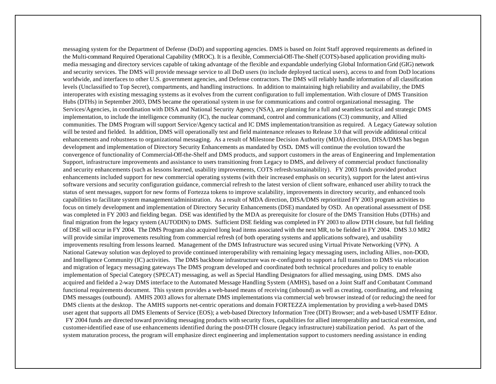messaging system for the Department of Defense (DoD) and supporting agencies. DMS is based on Joint Staff approved requirements as defined in the Multi-command Required Operational Capability (MROC). It is a flexible, Commercial-Off-The-Shelf (COTS)-based application providing multimedia messaging and directory services capable of taking advantage of the flexible and expandable underlying Global Information Grid (GIG) network and security services. The DMS will provide message service to all DoD users (to include deployed tactical users), access to and from DoD locations worldwide, and interfaces to other U.S. government agencies, and Defense contractors. The DMS will reliably handle information of all classification levels (Unclassified to Top Secret), compartments, and handling instructions. In addition to maintaining high reliability and availability, the DMS interoperates with existing messaging systems as it evolves from the current configuration to full implementation. With closure of DMS Transition Hubs (DTHs) in September 2003, DMS became the operational system in use for communications and control organizational messaging. The Services/Agencies, in coordination with DISA and National Security Agency (NSA), are planning for a full and seamless tactical and strategic DMS implementation, to include the intelligence community (IC), the nuclear command, control and communications (C3) community, and Allied communities. The DMS Program will support Service/Agency tactical and IC DMS implementation/transition as required. A Legacy Gateway solution will be tested and fielded. In addition, DMS will operationally test and field maintenance releases to Release 3.0 that will provide additional critical enhancements and robustness to organizational messaging. As a result of Milestone Decision Authority (MDA) direction, DISA/DMS has begun development and implementation of Directory Security Enhancements as mandated by OSD**.** DMS will continue the evolution toward the convergence of functionality of Commercial-Off-the-Shelf and DMS products, and support customers in the areas of Engineering and Implementation Support, infrastructure improvements and assistance to users transitioning from Legacy to DMS, and delivery of commercial product functionality and security enhancements (such as lessons learned, usability improvements, COTS refresh/sustainability). FY 2003 funds provided product enhancements included support for new commercial operating systems (with their increased emphasis on security), support for the latest anti-virus software versions and security configuration guidance, commercial refresh to the latest version of client software, enhanced user ability to track the status of sent messages, support for new forms of Fortezza tokens to improve scalability, improvements in directory security, and enhanced tools capabilities to facilitate system management/administration. As a result of MDA direction, DISA/DMS reprioritized FY 2003 program activities to focus on timely development and implementation of Directory Security Enhancements (DSE) mandated by OSD. An operational assessment of DSE was completed in FY 2003 and fielding began. DSE was identified by the MDA as prerequisite for closure of the DMS Transition Hubs (DTHs) and final migration from the legacy system (AUTODIN) to DMS. Sufficient DSE fielding was completed in FY 2003 to allow DTH closure, but full fielding of DSE will occur in FY 2004. The DMS Program also acquired long lead items associated with the next MR, to be fielded in FY 2004. DMS 3.0 MR2 will provide similar improvements resulting from commercial refresh (of both operating systems and applications software), and usability improvements resulting from lessons learned. Management of the DMS Infrastructure was secured using Virtual Private Networking (VPN). A National Gateway solution was deployed to provide continued interoperability with remaining legacy messaging users, including Allies, non-DOD, and Intelligence Community (IC) activities. The DMS backbone infrastructure was re-configured to support a full transition to DMS via relocation and migration of legacy messaging gateways The DMS program developed and coordinated both technical procedures and policy to enable implementation of Special Category (SPECAT) messaging, as well as Special Handling Designators for allied messaging, using DMS. DMS also acquired and fielded a 2-way DMS interface to the Automated Message Handling System (AMHS), based on a Joint Staff and Combatant Command functional requirements document. This system provides a web-based means of receiving (inbound) as well as creating, coordinating, and releasing DMS messages (outbound). AMHS 2003 allows for alternate DMS implementations via commercial web browser instead of (or reducing) the need for DMS clients at the desktop. The AMHS supports net-centric operations and domain FORTEZZA implementation by providing a web-based DMS user agent that supports all DMS Elements of Service (EOS); a web-based Directory Information Tree (DIT) Browser; and a web-based USMTF Editor. FY 2004 funds are directed toward providing messaging products with security fixes, capabilities for allied interoperability and tactical extension, and customer-identified ease of use enhancements identified during the post-DTH closure (legacy infrastructure) stabilization period. As part of the system maturation process, the program will emphasize direct engineering and implementation support to customers needing assistance in ending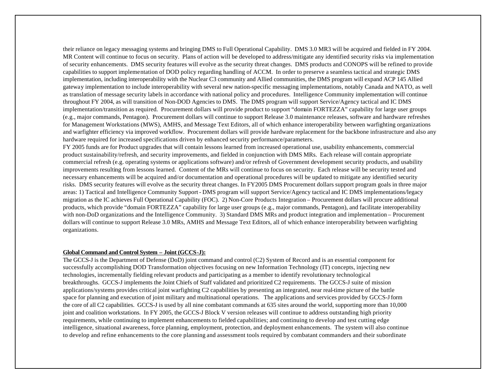their reliance on legacy messaging systems and bringing DMS to Full Operational Capability. DMS 3.0 MR3 will be acquired and fielded in FY 2004. MR Content will continue to focus on security. Plans of action will be developed to address/mitigate any identified security risks via implementation of security enhancements. DMS security features will evolve as the security threat changes. DMS products and CONOPS will be refined to provide capabilities to support implementation of DOD policy regarding handling of ACCM. In order to preserve a seamless tactical and strategic DMS implementation, including interoperability with the Nuclear C3 community and Allied communities, the DMS program will expand ACP 145 Allied gateway implementation to include interoperability with several new nation-specific messaging implementations, notably Canada and NATO, as well as translation of message security labels in accordance with national policy and procedures. Intelligence Community implementation will continue throughout FY 2004, as will transition of Non-DOD Agencies to DMS. The DMS program will support Service/Agency tactical and IC DMS implementation/transition as required. Procurement dollars will provide product to support "domain FORTEZZA" capability for large user groups (e.g., major commands, Pentagon). Procurement dollars will continue to support Release 3.0 maintenance releases, software and hardware refreshes for Management Workstations (MWS), AMHS, and Message Text Editors, all of which enhance interoperability between warfighting organizations and warfighter efficiency via improved workflow. Procurement dollars will provide hardware replacement for the backbone infrastructure and also any hardware required for increased specifications driven by enhanced security performance/parameters.

FY 2005 funds are for Product upgrades that will contain lessons learned from increased operational use, usability enhancements, commercial product sustainability/refresh, and security improvements, and fielded in conjunction with DMS MRs. Each release will contain appropriate commercial refresh (e.g. operating systems or applications software) and/or refresh of Government development security products, and usability improvements resulting from lessons learned. Content of the MRs will continue to focus on security. Each release will be security tested and necessary enhancements will be acquired and/or documentation and operational procedures will be updated to mitigate any identified security risks. DMS security features will evolve as the security threat changes. In FY2005 DMS Procurement dollars support program goals in three major areas: 1) Tactical and Intelligence Community Support - DMS program will support Service/Agency tactical and IC DMS implementations/legacy migration as the IC achieves Full Operational Capability (FOC). 2) Non-Core Products Integration – Procurement dollars will procure additional products, which provide "domain FORTEZZA" capability for large user groups (e.g., major commands, Pentagon), and facilitate interoperability with non-DoD organizations and the Intelligence Community. 3) Standard DMS MRs and product integration and implementation – Procurement dollars will continue to support Release 3.0 MRs, AMHS and Message Text Editors, all of which enhance interoperability between warfighting organizations.

#### **Global Command and Control System – Joint (GCCS-J):**

The GCCS-J is the Department of Defense (DoD) joint command and control (C2) System of Record and is an essential component for successfully accomplishing DOD Transformation objectives focusing on new Information Technology (IT) concepts, injecting new technologies, incrementally fielding relevant products and participating as a member to identify revolutionary technological breakthroughs. GCCS-J implements the Joint Chiefs of Staff validated and prioritized C2 requirements. The GCCS-J suite of mission applications/systems provides critical joint warfighting C2 capabilities by presenting an integrated, near real-time picture of the battle space for planning and execution of joint military and multinational operations. The applications and services provided by GCCS-J form the core of all C2 capabilities. GCCS-J is used by all nine combatant commands at 635 sites around the world, supporting more than 10,000 joint and coalition workstations. In FY 2005, the GCCS-J Block V version releases will continue to address outstanding high priority requirements, while continuing to implement enhancements to fielded capabilities; and continuing to develop and test cutting edge intelligence, situational awareness, force planning, employment, protection, and deployment enhancements. The system will also continue to develop and refine enhancements to the core planning and assessment tools required by combatant commanders and their subordinate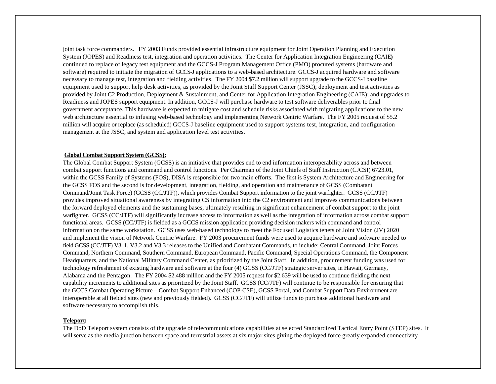joint task force commanders. FY 2003 Funds provided essential infrastructure equipment for Joint Operation Planning and Execution System (JOPES) and Readiness test, integration and operation activities. The Center for Application Integration Engineering (CAIE**)** continued to replace of legacy test equipment and the GCCS-J Program Management Office (PMO) procured systems (hardware and software) required to initiate the migration of GCCS-J applications to a web-based architecture. GCCS-J acquired hardware and software necessary to manage test, integration and fielding activities. The FY 2004 \$7.2 million will support upgrade to the GCCS-J baseline equipment used to support help desk activities, as provided by the Joint Staff Support Center (JSSC); deployment and test activities as provided by Joint C2 Production, Deployment & Sustainment, and Center for Application Integration Engineering (CAIE); and upgrades to Readiness and JOPES support equipment. In addition, GCCS-J will purchase hardware to test software deliverables prior to final government acceptance. This hardware is expected to mitigate cost and schedule risks associated with migrating applications to the new web architecture essential to infusing web-based technology and implementing Network Centric Warfare. The FY 2005 request of \$5.2 million will acquire or replace (as scheduled) GCCS-J baseline equipment used to support systems test, integration, and configuration management at the JSSC, and system and application level test activities.

#### **Global Combat Support System (GCSS):**

The Global Combat Support System (GCSS) is an initiative that provides end to end information interoperability across and between combat support functions and command and control functions. Per Chairman of the Joint Chiefs of Staff Instruction (CJCSI) 6723.01, within the GCSS Family of Systems (FOS), DISA is responsible for two main efforts. The first is System Architecture and Engineering for the GCSS FOS and the second is for development, integration, fielding, and operation and maintenance of GCSS (Combatant Command/Joint Task Force) (GCSS (CC/JTF)), which provides Combat Support information to the joint warfighter. GCSS (CC/JTF) provides improved situational awareness by integrating CS information into the C2 environment and improves communications between the forward deployed elements and the sustaining bases, ultimately resulting in significant enhancement of combat support to the joint warfighter. GCSS (CC/JTF) will significantly increase access to information as well as the integration of information across combat support functional areas. GCSS (CC/JTF) is fielded as a GCCS mission application providing decision makers with command and control information on the same workstation. GCSS uses web-based technology to meet the Focused Logistics tenets of Joint Vision (JV) 2020 and implement the vision of Network Centric Warfare. FY 2003 procurement funds were used to acquire hardware and software needed to field GCSS (CC/JTF) V3. 1, V3.2 and V3.3 releases to the Unified and Combatant Commands, to include: Central Command, Joint Forces Command, Northern Command, Southern Command, European Command, Pacific Command, Special Operations Command, the Component Headquarters, and the National Military Command Center, as prioritized by the Joint Staff. In addition, procurement funding was used for technology refreshment of existing hardware and software at the four (4) GCSS (CC/JTF) strategic server sites, in Hawaii, Germany, Alabama and the Pentagon. The FY 2004 \$2.488 million and the FY 2005 request for \$2.639 will be used to continue fielding the next capability increments to additional sites as prioritized by the Joint Staff. GCSS (CC/JTF) will continue to be responsible for ensuring that the GCCS Combat Operating Picture – Combat Support Enhanced (COP-CSE), GCSS Portal, and Combat Support Data Environment are interoperable at all fielded sites (new and previously fielded). GCSS (CC/JTF) will utilize funds to purchase additional hardware and software necessary to accomplish this.

#### **Teleport:**

The DoD Teleport system consists of the upgrade of telecommunications capabilities at selected Standardized Tactical Entry Point (STEP) sites. It will serve as the media junction between space and terrestrial assets at six major sites giving the deployed force greatly expanded connectivity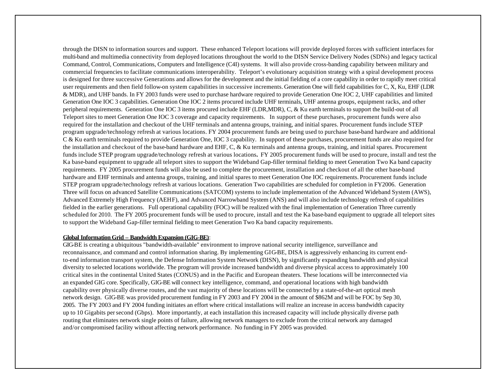through the DISN to information sources and support. These enhanced Teleport locations will provide deployed forces with sufficient interfaces for multi-band and multimedia connectivity from deployed locations throughout the world to the DISN Service Delivery Nodes (SDNs) and legacy tactical Command, Control, Communications, Computers and Intelligence (C4I) systems. It will also provide cross-banding capability between military and commercial frequencies to facilitate communications interoperability. Teleport's evolutionary acquisition strategy with a spiral development process is designed for three successive Generations and allows for the development and the initial fielding of a core capability in order to rapidly meet critical user requirements and then field follow-on system capabilities in successive increments. Generation One will field capabilities for C, X, Ku, EHF (LDR & MDR), and UHF bands. In FY 2003 funds were used to purchase hardware required to provide Generation One IOC 2, UHF capabilities and limited Generation One IOC 3 capabilities. Generation One IOC 2 items procured include UHF terminals, UHF antenna groups, equipment racks, and other peripheral requirements. Generation One IOC 3 items procured include EHF (LDR,MDR), C, & Ku earth terminals to support the build-out of all Teleport sites to meet Generation One IOC 3 coverage and capacity requirements. In support of these purchases, procurement funds were also required for the installation and checkout of the UHF terminals and antenna groups, training, and initial spares. Procurement funds include STEP program upgrade/technology refresh at various locations. FY 2004 procurement funds are being used to purchase base-band hardware and additional C & Ku earth terminals required to provide Generation One, IOC 3 capability. In support of these purchases, procurement funds are also required for the installation and checkout of the base-band hardware and EHF,  $C$ ,  $\&$  Ku terminals and antenna groups, training, and initial spares. Procurement funds include STEP program upgrade/technology refresh at various locations**.** FY 2005 procurement funds will be used to procure, install and test the Ka base-band equipment to upgrade all teleport sites to support the Wideband Gap-filler terminal fielding to meet Generation Two Ka band capacity requirements. FY 2005 procurement funds will also be used to complete the procurement, installation and checkout of all the other base-band hardware and EHF terminals and antenna groups, training, and initial spares to meet Generation One IOC requirements. Procurement funds include STEP program upgrade/technology refresh at various locations. Generation Two capabilities are scheduled for completion in FY2006. Generation Three will focus on advanced Satellite Communications (SATCOM) systems to include implementation of the Advanced Wideband System (AWS), Advanced Extremely High Frequency (AEHF), and Advanced Narrowband System (ANS) and will also include technology refresh of capabilities fielded in the earlier generations. Full operational capability (FOC) will be realized with the final implementation of Generation Three currently scheduled for 2010. The FY 2005 procurement funds will be used to procure, install and test the Ka base-band equipment to upgrade all teleport sites to support the Wideband Gap-filler terminal fielding to meet Generation Two Ka band capacity requirements.

#### **Global Information Grid – Bandwidth Expansion (GIG-BE)**:

GIG-BE is creating a ubiquitous "bandwidth-available" environment to improve national security intelligence, surveillance and reconnaissance, and command and control information sharing. By implementing GIG-BE, DISA is aggressively enhancing its current endto-end information transport system, the Defense Information System Network (DISN), by significantly expanding bandwidth and physical diversity to selected locations worldwide. The program will provide increased bandwidth and diverse physical access to approximately 100 critical sites in the continental United States (CONUS) and in the Pacific and European theaters. These locations will be interconnected via an expanded GIG core. Specifically, GIG-BE will connect key intelligence, command, and operational locations with high bandwidth capability over physically diverse routes, and the vast majority of these locations will be connected by a state-of-the-art optical mesh network design. GIG-BE was provided procurement funding in FY 2003 and FY 2004 in the amount of \$862M and will be FOC by Sep 30, 2005. The FY 2003 and FY 2004 funding initiates an effort where critical installations will realize an increase in access bandwidth capacity up to 10 Gigabits per second (Gbps). More importantly, at each installation this increased capacity will include physically diverse path routing that eliminates network single points of failure, allowing network managers to exclude from the critical network any damaged and/or compromised facility without affecting network performance. No funding in FY 2005 was provided.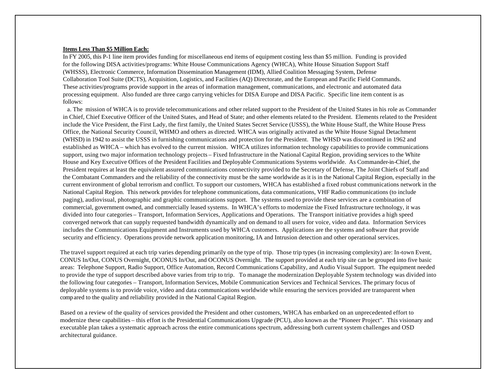#### **Items Less Than \$5 Million Each:**

In FY 2005, this P-1 line item provides funding for miscellaneous end items of equipment costing less than \$5 million. Funding is provided for the following DISA activities/programs: White House Communications Agency (WHCA), White House Situation Support Staff (WHSSS), Electronic Commerce, Information Dissemination Management (IDM), Allied Coalition Messaging System, Defense Collaboration Tool Suite (DCTS), Acquisition, Logistics, and Facilities (AQ) Directorate, and the European and Pacific Field Commands. These activities/programs provide support in the areas of information management, communications, and electronic and automated data processing equipment. Also funded are three cargo carrying vehicles for DISA Europe and DISA Pacific. Specific line item content is as follows:

 a. The mission of WHCA is to provide telecommunications and other related support to the President of the United States in his role as Commander in Chief, Chief Executive Officer of the United States, and Head of State; and other elements related to the President. Elements related to the President include the Vice President, the First Lady, the first family, the United States Secret Service (USSS), the White House Staff, the White House Press Office, the National Security Council, WHMO and others as directed. WHCA was originally activated as the White House Signal Detachment (WHSD) in 1942 to assist the USSS in furnishing communications and protection for the President. The WHSD was discontinued in 1962 and established as WHCA – which has evolved to the current mission. WHCA utilizes information technology capabilities to provide communications support, using two major information technology projects – Fixed Infrastructure in the National Capital Region, providing services to the White House and Key Executive Offices of the President Facilities and Deployable Communications Systems worldwide. As Commander-in-Chief, the President requires at least the equivalent assured communications connectivity provided to the Secretary of Defense, The Joint Chiefs of Staff and the Combatant Commanders and the reliability of the connectivity must be the same worldwide as it is in the National Capital Region, especially in the current environment of global terrorism and conflict. To support our customers, WHCA has established a fixed robust communications network in the National Capital Region. This network provides for telephone communications, data communications, VHF Radio communications (to include paging), audiovisual, photographic and graphic communications support. The systems used to provide these services are a combination of commercial, government owned, and commercially leased systems. In WHCA's efforts to modernize the Fixed Infrastructure technology, it was divided into four categories – Transport, Information Services, Applications and Operations. The Transport initiative provides a high speed converged network that can supply requested bandwidth dynamically and on demand to all users for voice, video and data. Information Services includes the Communications Equipment and Instruments used by WHCA customers. Applications are the systems and software that provide security and efficiency. Operations provide network application monitoring, IA and Intrusion detection and other operational services.

The travel support required at each trip varies depending primarily on the type of trip. Those trip types (in increasing complexity) are: In-town Event, CONUS In/Out, CONUS Overnight, OCONUS In/Out, and OCONUS Overnight. The support provided at each trip site can be grouped into five basic areas: Telephone Support, Radio Support, Office Automation, Record Communications Capability, and Audio Visual Support. The equipment needed to provide the type of support described above varies from trip to trip. To manage the modernization Deployable System technology was divided into the following four categories – Transport, Information Services, Mobile Communication Services and Technical Services. The primary focus of deployable systems is to provide voice, video and data communications worldwide while ensuring the services provided are transparent when compared to the quality and reliability provided in the National Capital Region.

Based on a review of the quality of services provided the President and other customers, WHCA has embarked on an unprecedented effort to modernize these capabilities – this effort is the Presidential Communications Upgrade (PCU), also known as the "Pioneer Project". This visionary and executable plan takes a systematic approach across the entire communications spectrum, addressing both current system challenges and OSD architectural guidance.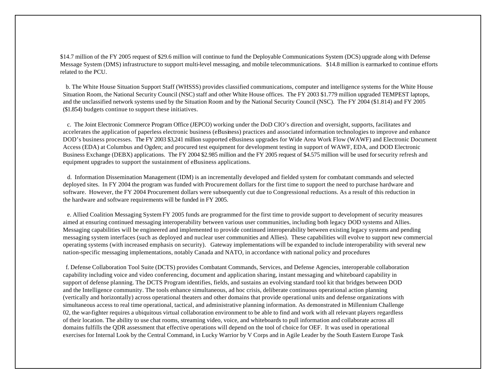\$14.7 million of the FY 2005 request of \$29.6 million will continue to fund the Deployable Communications System (DCS) upgrade along with Defense Message System (DMS) infrastructure to support multi-level messaging, and mobile telecommunications. \$14.8 million is earmarked to continue efforts related to the PCU.

 b. The White House Situation Support Staff (WHSSS) provides classified communications, computer and intelligence systems for the White House Situation Room, the National Security Council (NSC) staff and other White House offices. The FY 2003 \$1.779 million upgraded TEMPEST laptops, and the unclassified network systems used by the Situation Room and by the National Security Council (NSC). The FY 2004 (\$1.814) and FY 2005 (\$1.854) budgets continue to support these initiatives.

 c. The Joint Electronic Commerce Program Office (JEPCO) working under the DoD CIO's direction and oversight, supports, facilitates and accelerates the application of paperless electronic business (eBusiness) practices and associated information technologies to improve and enhance DOD's business processes. The FY 2003 \$3,241 million supported eBusiness upgrades for Wide Area Work Flow (WAWF) and Electronic Document Access (EDA) at Columbus and Ogden; and procured test equipment for development testing in support of WAWF, EDA, and DOD Electronic Business Exchange (DEBX) applications. The FY 2004 \$2.985 million and the FY 2005 request of \$4.575 million will be used for security refresh and equipment upgrades to support the sustainment of eBusiness applications.

 d. Information Dissemination Management (IDM) is an incrementally developed and fielded system for combatant commands and selected deployed sites. In FY 2004 the program was funded with Procurement dollars for the first time to support the need to purchase hardware and software. However, the FY 2004 Procurement dollars were subsequently cut due to Congressional reductions. As a result of this reduction in the hardware and software requirements will be funded in FY 2005.

 e. Allied Coalition Messaging System FY 2005 funds are programmed for the first time to provide support to development of security measures aimed at ensuring continued messaging interoperability between various user communities, including both legacy DOD systems and Allies. Messaging capabilities will be engineered and implemented to provide continued interoperability between existing legacy systems and pending messaging system interfaces (such as deployed and nuclear user communities and Allies). These capabilities will evolve to support new commercial operating systems (with increased emphasis on security). Gateway implementations will be expanded to include interoperability with several new nation-specific messaging implementations, notably Canada and NATO, in accordance with national policy and procedures

 f. Defense Collaboration Tool Suite (DCTS) provides Combatant Commands, Services, and Defense Agencies, interoperable collaboration capability including voice and video conferencing, document and application sharing, instant messaging and whiteboard capability in support of defense planning. The DCTS Program identifies, fields, and sustains an evolving standard tool kit that bridges between DOD and the Intelligence community. The tools enhance simultaneous, ad hoc crisis, deliberate continuous operational action planning (vertically and horizontally) across operational theaters and other domains that provide operational units and defense organizations with simultaneous access to real time operational, tactical, and administrative planning information. As demonstrated in Millennium Challenge 02, the war-fighter requires a ubiquitous virtual collaboration environment to be able to find and work with all relevant players regardless of their location. The ability to use chat rooms, streaming video, voice, and whiteboards to pull information and collaborate across all domains fulfills the QDR assessment that effective operations will depend on the tool of choice for OEF. It was used in operational exercises for Internal Look by the Central Command, in Lucky Warrior by V Corps and in Agile Leader by the South Eastern Europe Task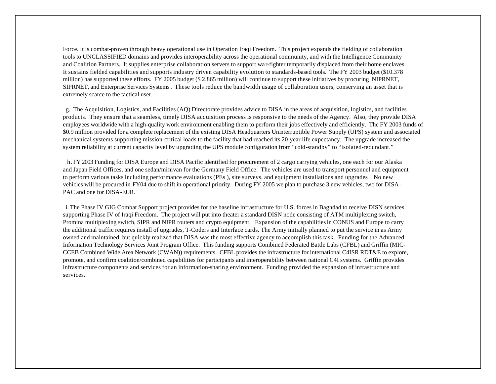Force. It is combat-proven through heavy operational use in Operation Iraqi Freedom. This project expands the fielding of collaboration tools to UNCLASSIFIED domains and provides interoperability across the operational community, and with the Intelligence Community and Coalition Partners. It supplies enterprise collaboration servers to support war-fighter temporarily displaced from their home enclaves. It sustains fielded capabilities and supports industry driven capability evolution to standards-based tools. The FY 2003 budget (\$10.378 million) has supported these efforts. FY 2005 budget (\$ 2.865 million) will continue to support these initiatives by procuring NIPRNET, SIPRNET, and Enterprise Services Systems. These tools reduce the bandwidth usage of collaboration users, conserving an asset that is extremely scarce to the tactical user.

 g. The Acquisition, Logistics, and Facilities (AQ) Directorate provides advice to DISA in the areas of acquisition, logistics, and facilities products. They ensure that a seamless, timely DISA acquisition process is responsive to the needs of the Agency. Also, they provide DISA employees worldwide with a high-quality work environment enabling them to perform their jobs effectively and efficiently. The FY 2003 funds of \$0.9 million provided for a complete replacement of the existing DISA Headquarters Uninterruptible Power Supply (UPS) system and associated mechanical systems supporting mission-critical loads to the facility that had reached its 20-year life expectancy. The upgrade increased the system reliability at current capacity level by upgrading the UPS module configuration from "cold-standby" to "isolated-redundant."

h**.** FY 2003 Funding for DISA Europe and DISA Pacific identified for procurement of 2 cargo carrying vehicles, one each for our Alaska and Japan Field Offices, and one sedan/minivan for the Germany Field Office. The vehicles are used to transport personnel and equipment to perform various tasks including performance evaluations (PEs ), site surveys, and equipment installations and upgrades . No new vehicles will be procured in FY04 due to shift in operational priority. During FY 2005 we plan to purchase 3 new vehicles, two for DISA-PAC and one for DISA-EUR.

 i. The Phase IV GIG Combat Support project provides for the baseline infrastructure for U.S. forces in Baghdad to receive DISN services supporting Phase IV of Iraqi Freedom. The project will put into theater a standard DISN node consisting of ATM multiplexing switch, Promina multiplexing switch, SIPR and NIPR routers and crypto equipment. Expansion of the capabilities in CONUS and Europe to carry the additional traffic requires install of upgrades, T-Coders and Interface cards. The Army initially planned to put the service in as Army owned and maintained, but quickly realized that DISA was the most effective agency to accomplish this task. Funding for the Advanced Information Technology Services Joint Program Office. This funding supports Combined Federated Battle Labs (CFBL) and Griffin (MIC-CCEB Combined Wide Area Network (CWAN)) requirements. CFBL provides the infrastructure for international C4ISR RDT&E to explore, promote, and confirm coalition/combined capabilities for participants and interoperability between national C4I systems. Griffin provides infrastructure components and services for an information-sharing environment. Funding provided the expansion of infrastructure and services.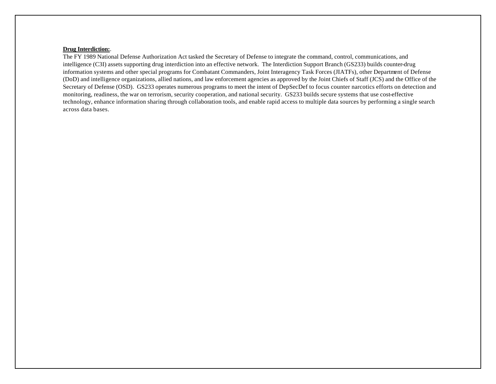#### **Drug Interdiction:**.

The FY 1989 National Defense Authorization Act tasked the Secretary of Defense to integrate the command, control, communications, and intelligence (C3I) assets supporting drug interdiction into an effective network. The Interdiction Support Branch (GS233) builds counter-drug information systems and other special programs for Combatant Commanders, Joint Interagency Task Forces (JIATFs), other Department of Defense (DoD) and intelligence organizations, allied nations, and law enforcement agencies as approved by the Joint Chiefs of Staff (JCS) and the Office of the Secretary of Defense (OSD). GS233 operates numerous programs to meet the intent of DepSecDef to focus counter narcotics efforts on detection and monitoring, readiness, the war on terrorism, security cooperation, and national security. GS233 builds secure systems that use cost-effective technology, enhance information sharing through collaboration tools, and enable rapid access to multiple data sources by performing a single search across data bases.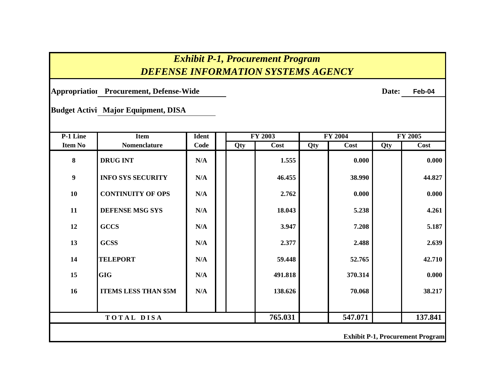## *Exhibit P-1, Procurement Program DEFENSE INFORMATION SYSTEMS AGENCY*

**Appropriation: Procurement, Defense-Wide Date: Feb-04**

**Budget Activi Major Equipment, DISA** 

| P-1 Line         | <b>Item</b>                 | <b>Ident</b> |     | <b>FY 2003</b> |     | <b>FY 2004</b> |     | <b>FY 2005</b>                          |
|------------------|-----------------------------|--------------|-----|----------------|-----|----------------|-----|-----------------------------------------|
| <b>Item No</b>   | <b>Nomenclature</b>         | Code         | Qty | Cost           | Qty | Cost           | Qty | Cost                                    |
| $\boldsymbol{8}$ | <b>DRUG INT</b>             | N/A          |     | 1.555          |     | 0.000          |     | 0.000                                   |
| 9                | <b>INFO SYS SECURITY</b>    | N/A          |     | 46.455         |     | 38.990         |     | 44.827                                  |
| 10               | <b>CONTINUITY OF OPS</b>    | N/A          |     | 2.762          |     | 0.000          |     | 0.000                                   |
| 11               | <b>DEFENSE MSG SYS</b>      | N/A          |     | 18.043         |     | 5.238          |     | 4.261                                   |
| 12               | <b>GCCS</b>                 | N/A          |     | 3.947          |     | 7.208          |     | 5.187                                   |
| 13               | <b>GCSS</b>                 | N/A          |     | 2.377          |     | 2.488          |     | 2.639                                   |
| 14               | <b>TELEPORT</b>             | N/A          |     | 59.448         |     | 52.765         |     | 42.710                                  |
| 15               | <b>GIG</b>                  | N/A          |     | 491.818        |     | 370.314        |     | 0.000                                   |
| 16               | <b>ITEMS LESS THAN \$5M</b> | N/A          |     | 138.626        |     | 70.068         |     | 38.217                                  |
|                  |                             |              |     |                |     |                |     |                                         |
|                  | TOTAL DISA                  |              |     | 765.031        |     | 547.071        |     | 137.841                                 |
|                  |                             |              |     |                |     |                |     | <b>Exhibit P-1, Procurement Program</b> |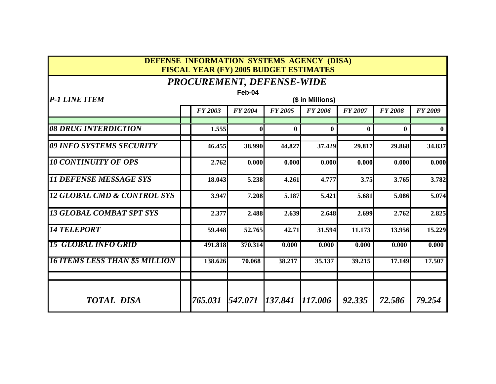### **DEFENSE INFORMATION SYSTEMS AGENCY (DISA) FISCAL YEAR (FY) 2005 BUDGET ESTIMATES**

### *PROCUREMENT, DEFENSE-WIDE*

|                                        | Feb-04 |                |                |                |                  |                |                |                |  |  |  |  |  |
|----------------------------------------|--------|----------------|----------------|----------------|------------------|----------------|----------------|----------------|--|--|--|--|--|
| P-1 LINE ITEM                          |        |                |                |                | (\$ in Millions) |                |                |                |  |  |  |  |  |
|                                        |        | <b>FY 2003</b> | <b>FY 2004</b> | <b>FY 2005</b> | <b>FY 2006</b>   | <b>FY 2007</b> | <b>FY 2008</b> | <b>FY 2009</b> |  |  |  |  |  |
|                                        |        |                |                |                |                  |                |                |                |  |  |  |  |  |
| 08 DRUG INTERDICTION                   |        | 1.555          | 0              | $\bf{0}$       | $\bf{0}$         | $\mathbf{0}$   | $\mathbf{0}$   |                |  |  |  |  |  |
| 09 INFO SYSTEMS SECURITY               |        | 46.455         | 38.990         | 44.827         | 37.429           | 29.817         | 29.868         | 34.837         |  |  |  |  |  |
| <b>10 CONTINUITY OF OPS</b>            |        | 2.762          | 0.000          | 0.000          | 0.000            | 0.000          | 0.000          | 0.000          |  |  |  |  |  |
| <b>11 DEFENSE MESSAGE SYS</b>          |        | 18.043         | 5.238          | 4.261          | 4.777            | 3.75           | 3.765          | 3.782          |  |  |  |  |  |
| <b>12 GLOBAL CMD &amp; CONTROL SYS</b> |        | 3.947          | 7.208          | 5.187          | 5.421            | 5.681          | 5.086          | 5.074          |  |  |  |  |  |
| <b>13 GLOBAL COMBAT SPT SYS</b>        |        | 2.377          | 2.488          | 2.639          | 2.648            | 2.699          | 2.762          | 2.825          |  |  |  |  |  |
| <i><b>14 TELEPORT</b></i>              |        | 59.448         | 52.765         | 42.71          | 31.594           | 11.173         | 13.956         | 15.229         |  |  |  |  |  |
| <i><b>15 GLOBAL INFO GRID</b></i>      |        | 491.818        | 370.314        | 0.000          | 0.000            | 0.000          | 0.000          | 0.000          |  |  |  |  |  |
| <b>16 ITEMS LESS THAN \$5 MILLION</b>  |        | 138.626        | 70.068         | 38.217         | 35.137           | 39.215         | 17.149         | 17.507         |  |  |  |  |  |
| <b>TOTAL DISA</b>                      |        | 765.031        | 547.071        | 137.841        | 117.006          | 92.335         | 72.586         | 79.254         |  |  |  |  |  |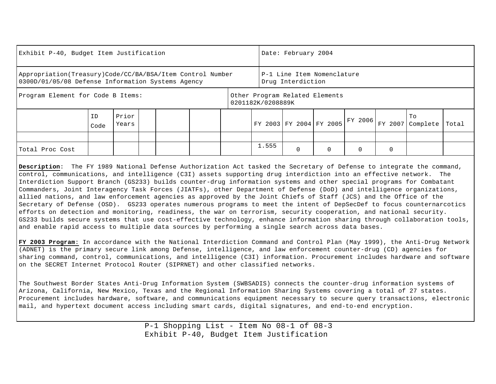| Exhibit P-40, Budget Item Justification                                                                          |            |                |  |  |                                                     | Date: February 2004 |                            |         |          |                |       |
|------------------------------------------------------------------------------------------------------------------|------------|----------------|--|--|-----------------------------------------------------|---------------------|----------------------------|---------|----------|----------------|-------|
| Appropriation (Treasury) Code/CC/BA/BSA/Item Control Number<br>0300D/01/05/08 Defense Information Systems Agency |            |                |  |  |                                                     | Drug Interdiction   | P-1 Line Item Nomenclature |         |          |                |       |
| Program Element for Code B Items:                                                                                |            |                |  |  | Other Program Related Elements<br>0201182K/0208889K |                     |                            |         |          |                |       |
|                                                                                                                  | ID<br>Code | Prior<br>Years |  |  | FY 2003 FY 2004 FY 2005                             |                     |                            | FY 2006 | FY 2007  | To<br>Complete | Total |
|                                                                                                                  |            |                |  |  |                                                     |                     |                            |         |          |                |       |
| Total Proc Cost                                                                                                  |            |                |  |  | 1.555                                               | $\Omega$            |                            | 0       | $\Omega$ |                |       |

**Description**: The FY 1989 National Defense Authorization Act tasked the Secretary of Defense to integrate the command, control, communications, and intelligence (C3I) assets supporting drug interdiction into an effective network. The Interdiction Support Branch (GS233) builds counter-drug information systems and other special programs for Combatant Commanders, Joint Interagency Task Forces (JIATFs), other Department of Defense (DoD) and intelligence organizations, allied nations, and law enforcement agencies as approved by the Joint Chiefs of Staff (JCS) and the Office of the Secretary of Defense (OSD). GS233 operates numerous programs to meet the intent of DepSecDef to focus counternarcotics efforts on detection and monitoring, readiness, the war on terrorism, security cooperation, and national security. GS233 builds secure systems that use cost-effective technology, enhance information sharing through collaboration tools, and enable rapid access to multiple data sources by performing a single search across data bases.

**FY 2003 Program**: In accordance with the National Interdiction Command and Control Plan (May 1999), the Anti-Drug Network (ADNET) is the primary secure link among Defense, intelligence, and law enforcement counter-drug (CD) agencies for sharing command, control, communications, and intelligence (C3I) information. Procurement includes hardware and software on the SECRET Internet Protocol Router (SIPRNET) and other classified networks.

The Southwest Border States Anti-Drug Information System (SWBSADIS) connects the counter-drug information systems of Arizona, California, New Mexico, Texas and the Regional Information Sharing Systems covering a total of 27 states. Procurement includes hardware, software, and communications equipment necessary to secure query transactions, electronic mail, and hypertext document access including smart cards, digital signatures, and end-to-end encryption.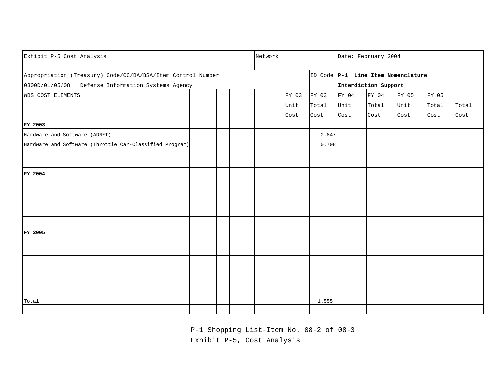| Exhibit P-5 Cost Analysis                                   |  |  |  |  | Network |       |       |                      | Date: February 2004                |       |       |  |  |
|-------------------------------------------------------------|--|--|--|--|---------|-------|-------|----------------------|------------------------------------|-------|-------|--|--|
| Appropriation (Treasury) Code/CC/BA/BSA/Item Control Number |  |  |  |  |         |       |       |                      | ID Code P-1 Line Item Nomenclature |       |       |  |  |
| 0300D/01/05/08<br>Defense Information Systems Agency        |  |  |  |  |         |       |       | Interdiction Support |                                    |       |       |  |  |
| WBS COST ELEMENTS                                           |  |  |  |  | FY 03   | FY 03 | FY 04 | FY 04                | FY 05                              | FY 05 |       |  |  |
|                                                             |  |  |  |  | Unit    | Total | Unit  | Total                | Unit                               | Total | Total |  |  |
|                                                             |  |  |  |  | Cost    | Cost  | Cost  | Cost                 | Cost                               | Cost  | Cost  |  |  |
| FY 2003                                                     |  |  |  |  |         |       |       |                      |                                    |       |       |  |  |
| Hardware and Software (ADNET)                               |  |  |  |  |         | 0.847 |       |                      |                                    |       |       |  |  |
| Hardware and Software (Throttle Car-Classified Program)     |  |  |  |  |         | 0.708 |       |                      |                                    |       |       |  |  |
|                                                             |  |  |  |  |         |       |       |                      |                                    |       |       |  |  |
|                                                             |  |  |  |  |         |       |       |                      |                                    |       |       |  |  |
| FY 2004                                                     |  |  |  |  |         |       |       |                      |                                    |       |       |  |  |
|                                                             |  |  |  |  |         |       |       |                      |                                    |       |       |  |  |
|                                                             |  |  |  |  |         |       |       |                      |                                    |       |       |  |  |
|                                                             |  |  |  |  |         |       |       |                      |                                    |       |       |  |  |
|                                                             |  |  |  |  |         |       |       |                      |                                    |       |       |  |  |
|                                                             |  |  |  |  |         |       |       |                      |                                    |       |       |  |  |
| FY 2005                                                     |  |  |  |  |         |       |       |                      |                                    |       |       |  |  |
|                                                             |  |  |  |  |         |       |       |                      |                                    |       |       |  |  |
|                                                             |  |  |  |  |         |       |       |                      |                                    |       |       |  |  |
|                                                             |  |  |  |  |         |       |       |                      |                                    |       |       |  |  |
|                                                             |  |  |  |  |         |       |       |                      |                                    |       |       |  |  |
|                                                             |  |  |  |  |         |       |       |                      |                                    |       |       |  |  |
|                                                             |  |  |  |  |         |       |       |                      |                                    |       |       |  |  |
| Total                                                       |  |  |  |  |         | 1.555 |       |                      |                                    |       |       |  |  |
|                                                             |  |  |  |  |         |       |       |                      |                                    |       |       |  |  |

P-1 Shopping List-Item No. 08-2 of 08-3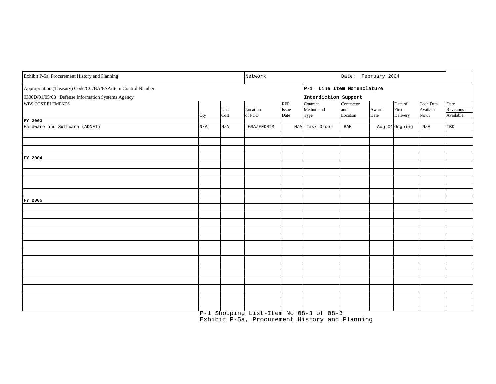| Exhibit P-5a, Procurement History and Planning              |     | Network      |                    | Date: February 2004         |                                        |                               |               |                                     |                                       |                                       |
|-------------------------------------------------------------|-----|--------------|--------------------|-----------------------------|----------------------------------------|-------------------------------|---------------|-------------------------------------|---------------------------------------|---------------------------------------|
| Appropriation (Treasury) Code/CC/BA/BSA/Item Control Number |     |              |                    |                             | P-1 Line Item Nomenclature             |                               |               |                                     |                                       |                                       |
| 0300D/01/05/08 Defense Information Systems Agency           |     |              |                    |                             | Interdiction Support                   |                               |               |                                     |                                       |                                       |
| <b>WBS COST ELEMENTS</b>                                    | Qty | Unit<br>Cost | Location<br>of PCO | <b>RFP</b><br>Issue<br>Date | Contract<br>Method and<br>Type         | Contractor<br>and<br>Location | Award<br>Date | Date of<br>First<br><b>Delivery</b> | <b>Tech Data</b><br>Available<br>Now? | Date<br><b>Revisions</b><br>Available |
| FY 2003                                                     |     |              |                    |                             |                                        |                               |               |                                     |                                       |                                       |
| Hardware and Software (ADNET)                               | N/A | N/A          | GSA/FEDSIM         | N/A                         | Task Order                             | <b>BAH</b>                    |               | Aug-01 Ongoing                      | N/A                                   | TBD                                   |
|                                                             |     |              |                    |                             |                                        |                               |               |                                     |                                       |                                       |
|                                                             |     |              |                    |                             |                                        |                               |               |                                     |                                       |                                       |
|                                                             |     |              |                    |                             |                                        |                               |               |                                     |                                       |                                       |
| FY 2004                                                     |     |              |                    |                             |                                        |                               |               |                                     |                                       |                                       |
|                                                             |     |              |                    |                             |                                        |                               |               |                                     |                                       |                                       |
|                                                             |     |              |                    |                             |                                        |                               |               |                                     |                                       |                                       |
|                                                             |     |              |                    |                             |                                        |                               |               |                                     |                                       |                                       |
|                                                             |     |              |                    |                             |                                        |                               |               |                                     |                                       |                                       |
|                                                             |     |              |                    |                             |                                        |                               |               |                                     |                                       |                                       |
| FY 2005                                                     |     |              |                    |                             |                                        |                               |               |                                     |                                       |                                       |
|                                                             |     |              |                    |                             |                                        |                               |               |                                     |                                       |                                       |
|                                                             |     |              |                    |                             |                                        |                               |               |                                     |                                       |                                       |
|                                                             |     |              |                    |                             |                                        |                               |               |                                     |                                       |                                       |
|                                                             |     |              |                    |                             |                                        |                               |               |                                     |                                       |                                       |
|                                                             |     |              |                    |                             |                                        |                               |               |                                     |                                       |                                       |
|                                                             |     |              |                    |                             |                                        |                               |               |                                     |                                       |                                       |
|                                                             |     |              |                    |                             |                                        |                               |               |                                     |                                       |                                       |
|                                                             |     |              |                    |                             |                                        |                               |               |                                     |                                       |                                       |
|                                                             |     |              |                    |                             |                                        |                               |               |                                     |                                       |                                       |
|                                                             |     |              |                    |                             |                                        |                               |               |                                     |                                       |                                       |
|                                                             |     |              |                    |                             |                                        |                               |               |                                     |                                       |                                       |
|                                                             |     |              |                    |                             |                                        |                               |               |                                     |                                       |                                       |
|                                                             |     |              |                    |                             |                                        |                               |               |                                     |                                       |                                       |
|                                                             |     |              |                    |                             |                                        |                               |               |                                     |                                       |                                       |
|                                                             |     |              |                    |                             | P-1 Shopping List-Item No 08-3 of 08-3 |                               |               |                                     |                                       |                                       |

Exhibit P-5a, Procurement History and Planning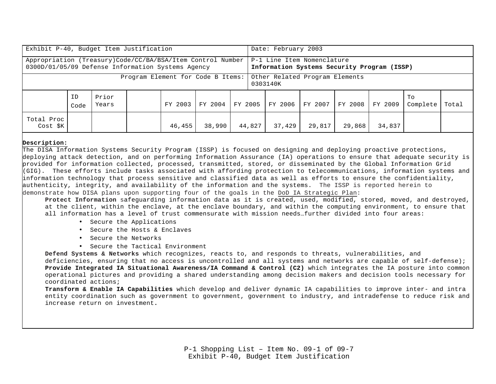|                                                                                                                 | Exhibit P-40, Budget Item Justification |                |  |         |         |  |         |                                                                           | Date: February 2003 |         |         |                |       |  |  |  |
|-----------------------------------------------------------------------------------------------------------------|-----------------------------------------|----------------|--|---------|---------|--|---------|---------------------------------------------------------------------------|---------------------|---------|---------|----------------|-------|--|--|--|
| Appropriation (Treasury)Code/CC/BA/BSA/Item Control Number<br>0300D/01/05/09 Defense Information Systems Agency |                                         |                |  |         |         |  |         | P-1 Line Item Nomenclature<br>Information Systems Security Program (ISSP) |                     |         |         |                |       |  |  |  |
| Program Element for Code B Items:                                                                               |                                         |                |  |         |         |  |         | Other Related Program Elements<br>0303140K                                |                     |         |         |                |       |  |  |  |
|                                                                                                                 | ID<br>Code                              | Prior<br>Years |  | FY 2003 | FY 2004 |  | FY 2005 | FY 2006                                                                   | FY 2007             | FY 2008 | FY 2009 | To<br>Complete | Total |  |  |  |
| Total Proc<br>Cost \$K<br>46,455<br>38,990                                                                      |                                         |                |  |         |         |  | 44,827  | 37,429                                                                    | 29,817              | 29,868  | 34,837  |                |       |  |  |  |

#### **Description:**

The DISA Information Systems Security Program (ISSP) is focused on designing and deploying proactive protections, deploying attack detection, and on performing Information Assurance (IA) operations to ensure that adequate security is provided for information collected, processed, transmitted, stored, or disseminated by the Global Information Grid (GIG). These efforts include tasks associated with affording protection to telecommunications, information systems and information technology that process sensitive and classified data as well as efforts to ensure the confidentiality, authenticity, integrity, and availability of the information and the systems. The ISSP is reported herein to demonstrate how DISA plans upon supporting four of the goals in the DoD IA Strategic Plan:

**Protect Information** safeguarding information data as it is created, used, modified, stored, moved, and destroyed, at the client, within the enclave, at the enclave boundary, and within the computing environment, to ensure that all information has a level of trust commensurate with mission needs…further divided into four areas:

- Secure the Applications
- Secure the Hosts & Enclaves
- Secure the Networks
- Secure the Tactical Environment

**Defend Systems & Networks** which recognizes, reacts to, and responds to threats, vulnerabilities, and deficiencies, ensuring that no access is uncontrolled and all systems and networks are capable of self-defense); **Provide Integrated IA Situational Awareness/IA Command & Control (C2)** which integrates the IA posture into common operational pictures and providing a shared understanding among decision makers and decision tools necessary for coordinated actions;

**Transform & Enable IA Capabilities** which develop and deliver dynamic IA capabilities to improve inter- and intra entity coordination such as government to government, government to industry, and intradefense to reduce risk and increase return on investment**.**

> P-1 Shopping List – Item No. 09-1 of 09-7 Exhibit P-40, Budget Item Justification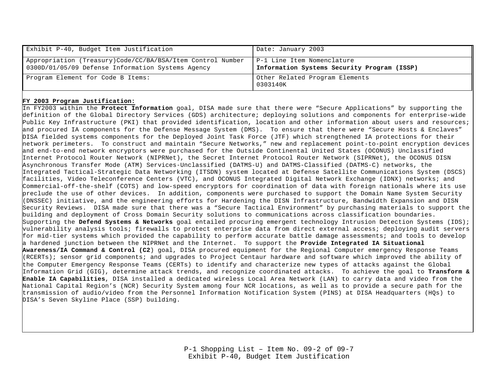| Exhibit P-40, Budget Item Justification                                                                         | Date: January 2003                                                        |
|-----------------------------------------------------------------------------------------------------------------|---------------------------------------------------------------------------|
| Appropriation (Treasury)Code/CC/BA/BSA/Item Control Number<br>0300D/01/05/09 Defense Information Systems Agency | P-1 Line Item Nomenclature<br>Information Systems Security Program (ISSP) |
| Program Element for Code B Items:                                                                               | Other Related Program Elements<br>0303140K                                |

#### **FY 2003 Program Justification:**

In FY2003 within the **Protect Information** goal, DISA made sure that there were "Secure Applications" by supporting the definition of the Global Directory Services (GDS) architecture; deploying solutions and components for enterprise-wide Public Key Infrastructure (PKI) that provided identification, location and other information about users and resources; and procured IA components for the Defense Message System (DMS). To ensure that there were "Secure Hosts & Enclaves" DISA fielded systems components for the Deployed Joint Task Force (JTF) which strengthened IA protections for their network perimeters. To construct and maintain "Secure Networks," new and replacement point-to-point encryption devices and end-to-end network encryptors were purchased for the Outside Continental United States (OCONUS) Unclassified Internet Protocol Router Network (NIPRNet), the Secret Internet Protocol Router Network (SIPRNet), the OCONUS DISN Asynchronous Transfer Mode (ATM) Services-Unclassified (DATMS-U) and DATMS-Classified (DATMS-C) networks, the Integrated Tactical-Strategic Data Networking (ITSDN) system located at Defense Satellite Communications System (DSCS) facilities, Video Teleconference Centers (VTC), and OCONUS Integrated Digital Network Exchange (IDNX) networks; and Commercial-off-the-shelf (COTS) and low-speed encryptors for coordination of data with foreign nationals where its use preclude the use of other devices. In addition, components were purchased to support the Domain Name System Security (DNSSEC) initiative, and the engineering efforts for Hardening the DISN Infrastructure, Bandwidth Expansion and DISN Security Reviews. DISA made sure that there was a "Secure Tactical Environment" by purchasing materials to support the building and deployment of Cross Domain Security solutions to communications across classification boundaries. Supporting the **Defend Systems & Networks** goal entailed procuring emergent technology Intrusion Detection Systems (IDS); vulnerability analysis tools; firewalls to protect enterprise data from direct external access; deploying audit servers for mid-tier systems which provided the capability to perform accurate battle damage assessments; and tools to develop a hardened junction between the NIPRNet and the Internet. To support the **Provide Integrated IA Situational Awareness/IA Command & Control (C2**) goal, DISA procured equipment for the Regional Computer emergency Response Teams (RCERTs); sensor grid components; and upgrades to Project Centaur hardware and software which improved the ability of the Computer Emergency Response Teams (CERTs) to identify and characterize new types of attacks against the Global Information Grid (GIG), determine attack trends, and recognize coordinated attacks. To achieve the goal to **Transform & Enable IA Capabilities**, DISA installed a dedicated wireless Local Area Network (LAN) to carry data and video from the National Capital Region's (NCR) Security System among four NCR locations, as well as to provide a secure path for the transmission of audio/video from the Personnel Information Notification System (PINS) at DISA Headquarters (HQs) to DISA's Seven Skyline Place (SSP) building.

> P-1 Shopping List – Item No. 09-2 of 09-7 Exhibit P-40, Budget Item Justification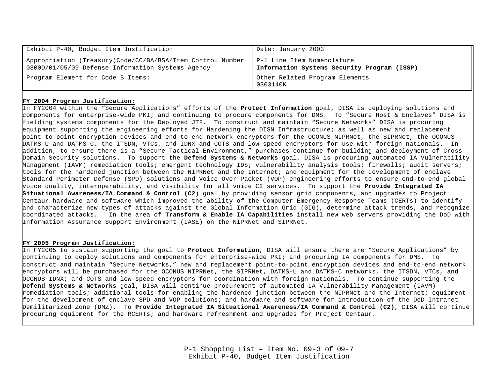| Exhibit P-40, Budget Item Justification                                                                         | Date: January 2003                                                        |
|-----------------------------------------------------------------------------------------------------------------|---------------------------------------------------------------------------|
| Appropriation (Treasury)Code/CC/BA/BSA/Item Control Number<br>0300D/01/05/09 Defense Information Systems Agency | P-1 Line Item Nomenclature<br>Information Systems Security Program (ISSP) |
| Program Element for Code B Items:                                                                               | Other Related Program Elements<br>0303140K                                |

#### **FY 2004 Program Justification:**

In FY2004 within the "Secure Applications" efforts of the **Protect Information** goal, DISA is deploying solutions and components for enterprise-wide PKI; and continuing to procure components for DMS. To "Secure Host & Enclaves" DISA is fielding systems components for the Deployed JTF. To construct and maintain "Secure Networks" DISA is procuring equipment supporting the engineering efforts for Hardening the DISN Infrastructure; as well as new and replacement point-to-point encryption devices and end-to-end network encryptors for the OCONUS NIPRNet, the SIPRNet, the OCONUS DATMS-U and DATMS-C, the ITSDN, VTCs, and IDNX and COTS and low-speed encryptors for use with foreign nationals. In addition, to ensure there is a "Secure Tactical Environment," purchases continue for building and deployment of Cross Domain Security solutions. To support the **Defend Systems & Networks** goal, DISA is procuring automated IA Vulnerability Management (IAVM) remediation tools; emergent technology IDS; vulnerability analysis tools; firewalls; audit servers; tools for the hardened junction between the NIPRNet and the Internet; and equipment for the development of enclave Standard Perimeter Defense (SPD) solutions and Voice Over Packet (VOP) engineering efforts to ensure end-to-end global voice quality, interoperability, and visibility for all voice C2 services. To support the **Provide Integrated IA Situational Awareness/IA Command & Control (C2**) goal by providing sensor grid components, and upgrades to Project Centaur hardware and software which improved the ability of the Computer Emergency Response Teams (CERTs) to identify and characterize new types of attacks against the Global Information Grid (GIG), determine attack trends, and recognize coordinated attacks. In the area of **Transform & Enable IA Capabilities** install new web servers providing the DoD with Information Assurance Support Environment (IASE) on the NIPRNet and SIPRNet.

#### **FY 2005 Program Justification:**

In FY2005 to sustain supporting the goal to **Protect Information**, DISA will ensure there are "Secure Applications" by continuing to deploy solutions and components for enterprise-wide PKI; and procuring IA components for DMS. To construct and maintain "Secure Networks," new and replacement point-to-point encryption devices and end-to-end network encryptors will be purchased for the OCONUS NIPRNet, the SIPRNet, DATMS-U and DATMS-C networks, the ITSDN, VTCs, and OCONUS IDNX; and COTS and low-speed encryptors for coordination with foreign nationals. To continue supporting the **Defend Systems & Networks** goal, DISA will continue procurement of automated IA Vulnerability Management (IAVM) remediation tools; additional tools for enabling the hardened junction between the NIPRNet and the Internet; equipment for the development of enclave SPD and VOP solutions; and hardware and software for introduction of the DoD Intranet Demilitarized Zone (DMZ). To **Provide Integrated IA Situational Awareness/IA Command & Control (C2)**, DISA will continue procuring equipment for the RCERTs; and hardware refreshment and upgrades for Project Centaur.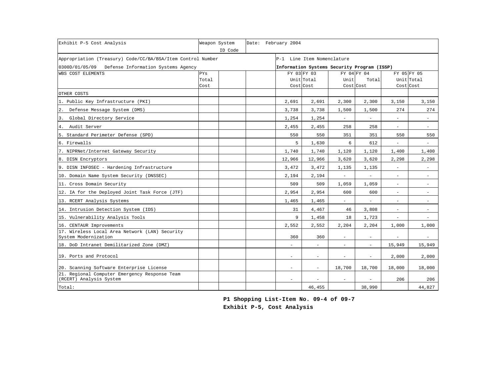| Exhibit P-5 Cost Analysis                                                | Weapon System | ID Code |  | Date: February 2004      |                                             |                          |                          |                          |                          |
|--------------------------------------------------------------------------|---------------|---------|--|--------------------------|---------------------------------------------|--------------------------|--------------------------|--------------------------|--------------------------|
| Appropriation (Treasury) Code/CC/BA/BSA/Item Control Number              |               |         |  |                          | P-1 Line Item Nomenclature                  |                          |                          |                          |                          |
| 0300D/01/05/09 Defense Information Systems Agency                        |               |         |  |                          | Information Systems Security Program (ISSP) |                          |                          |                          |                          |
| <b>WBS COST ELEMENTS</b>                                                 | PYs           |         |  | FY 03 FY 03              |                                             | FY 04 FY 04              |                          | FY 05 FY 05              |                          |
|                                                                          | Total         |         |  |                          | Unit Total                                  | Unit                     | Total                    |                          | Unit Total               |
|                                                                          | Cost          |         |  | Cost Cost                |                                             | Cost Cost                |                          | Cost Cost                |                          |
| OTHER COSTS                                                              |               |         |  |                          |                                             |                          |                          |                          |                          |
| 1. Public Key Infrastructure (PKI)                                       |               |         |  | 2,691                    | 2,691                                       | 2,300                    | 2,300                    | 3,150                    | 3,150                    |
| 2. Defense Message System (DMS)                                          |               |         |  | 3,738                    | 3,738                                       | 1,500                    | 1,500                    | 274                      | 274                      |
| Global Directory Service<br>3.                                           |               |         |  | 1,254                    | 1,254                                       | ÷.                       |                          | $\sim$                   | $\overline{\phantom{a}}$ |
| 4. Audit Server                                                          |               |         |  | 2,455                    | 2,455                                       | 258                      | 258                      | $\overline{\phantom{a}}$ | $\overline{\phantom{a}}$ |
| 5. Standard Perimeter Defense (SPD)                                      |               |         |  | 550                      | 550                                         | 351                      | 351                      | 550                      | 550                      |
| 6. Firewalls                                                             |               |         |  | 5                        | 1,630                                       | 6                        | 612                      | $\overline{\phantom{a}}$ | $\overline{\phantom{a}}$ |
| 7. NIPRNet/Internet Gateway Security                                     |               |         |  | 1,740                    | 1,740                                       | 1,120                    | 1,120                    | 1,400                    | 1,400                    |
| 8. DISN Encryptors                                                       |               |         |  | 12,966                   | 12,966                                      | 3,620                    | 3,620                    | 2,298                    | 2,298                    |
| 9. DISN INFOSEC - Hardening Infrastructure                               |               |         |  | 3,472                    | 3,472                                       | 1,135                    | 1,135                    | $\overline{\phantom{a}}$ | $\sim$                   |
| 10. Domain Name System Security (DNSSEC)                                 |               |         |  | 2,194                    | 2,194                                       | $\overline{\phantom{a}}$ | $\overline{\phantom{a}}$ | $\overline{\phantom{a}}$ | $\overline{\phantom{a}}$ |
| 11. Cross Domain Security                                                |               |         |  | 509                      | 509                                         | 1,059                    | 1,059                    | $\overline{\phantom{a}}$ | $\overline{\phantom{a}}$ |
| 12. IA for the Deployed Joint Task Force (JTF)                           |               |         |  | 2,954                    | 2,954                                       | 600                      | 600                      | $\overline{\phantom{a}}$ | $\overline{\phantom{a}}$ |
| 13. RCERT Analysis Systems                                               |               |         |  | 1,465                    | 1,465                                       | $\overline{\phantom{0}}$ | $\overline{\phantom{a}}$ | $\overline{\phantom{a}}$ | $\overline{\phantom{a}}$ |
| 14. Intrusion Detection System (IDS)                                     |               |         |  | 31                       | 4,467                                       | 46                       | 3,808                    | $\overline{\phantom{a}}$ | $\overline{\phantom{a}}$ |
| 15. Vulnerability Analysis Tools                                         |               |         |  | 9                        | 1,458                                       | 18                       | 1,723                    | $\overline{\phantom{a}}$ | $\overline{\phantom{a}}$ |
| 16. CENTAUR Improvements                                                 |               |         |  | 2,552                    | 2,552                                       | 2,204                    | 2,204                    | 1,000                    | 1,000                    |
| 17. Wireless Local Area Network (LAN) Security<br>System Modernization   |               |         |  | 360                      | 360                                         | $\overline{\phantom{a}}$ | $\overline{\phantom{a}}$ |                          | $\overline{\phantom{a}}$ |
| 18. DoD Intranet Demilitarized Zone (DMZ)                                |               |         |  | $\overline{\phantom{0}}$ | $\overline{\phantom{a}}$                    | $\overline{\phantom{a}}$ | $\overline{\phantom{a}}$ | 15,949                   | 15,949                   |
| 19. Ports and Protocol                                                   |               |         |  | $\overline{\phantom{a}}$ | $\overline{\phantom{a}}$                    | $\overline{\phantom{a}}$ | $\overline{\phantom{a}}$ | 2,000                    | 2,000                    |
| 20. Scanning Software Enterprise License                                 |               |         |  | $\overline{\phantom{a}}$ | ٠                                           | 18,700                   | 18,700                   | 18,000                   | 18,000                   |
| 21. Regional Computer Emergency Response Team<br>(RCERT) Analysis System |               |         |  | $\overline{\phantom{a}}$ | $\overline{\phantom{a}}$                    | $\overline{\phantom{a}}$ | $\overline{\phantom{a}}$ | 206                      | 206                      |
| Total:                                                                   |               |         |  |                          | 46,455                                      |                          | 38,990                   |                          | 44,827                   |

**P1 Shopping List-Item No. 09-4 of 09-7 Exhibit P-5, Cost Analysis**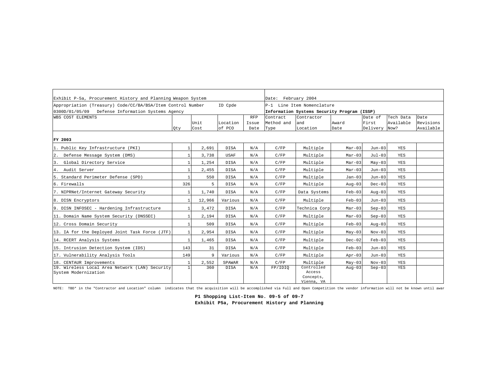| Exhibit P-5a, Procurement History and Planning Weapon System                                                     |              | Date: February 2004 |                    |                             |                                |                                                                           |               |                              |                                |                                |
|------------------------------------------------------------------------------------------------------------------|--------------|---------------------|--------------------|-----------------------------|--------------------------------|---------------------------------------------------------------------------|---------------|------------------------------|--------------------------------|--------------------------------|
| Appropriation (Treasury) Code/CC/BA/BSA/Item Control Number<br>0300D/01/05/09 Defense Information Systems Agency |              |                     | ID Cpde            |                             |                                | P-1 Line Item Nomenclature<br>Information Systems Security Program (ISSP) |               |                              |                                |                                |
| WBS COST ELEMENTS                                                                                                | Qty          | Unit<br>Cost        | Location<br>of PCO | <b>RFP</b><br>Issue<br>Date | Contract<br>Method and<br>Type | Contractor<br>and<br>Location                                             | Award<br>Date | Date of<br>First<br>Delivery | Tech Data<br>Available<br>Now? | Date<br>Revisions<br>Available |
| FY 2003                                                                                                          |              |                     |                    |                             |                                |                                                                           |               |                              |                                |                                |
| 1. Public Key Infrastructure (PKI)                                                                               | $\mathbf{1}$ | 2,691               | <b>DISA</b>        | N/A                         | C/FP                           | Multiple                                                                  | $Mar-03$      | $Jun-03$                     | YES                            |                                |
| 2. Defense Message System (DMS)                                                                                  | $\mathbf{1}$ | 3,738               | <b>USAF</b>        | N/A                         | C/FP                           | Multiple                                                                  | $Mar-03$      | $Jul-03$                     | YES                            |                                |
| Global Directory Service<br>3.                                                                                   |              | 1,254               | <b>DISA</b>        | N/A                         | C/FP                           | Multiple                                                                  | $Mar-03$      | $May-03$                     | YES                            |                                |
| 4. Audit Server                                                                                                  |              | 2,455               | <b>DISA</b>        | N/A                         | C/FP                           | Multiple                                                                  | $Mar-03$      | $Jun-03$                     | YES                            |                                |
| 5. Standard Perimeter Defense (SPD)                                                                              |              | 550                 | DISA               | N/A                         | C/FP                           | Multiple                                                                  | $Jan-03$      | $Jun-03$                     | YES                            |                                |
| 6. Firewalls                                                                                                     | 326          | 5                   | <b>DISA</b>        | N/A                         | C/FP                           | Multiple                                                                  | $Aug-03$      | $Dec-03$                     | YES                            |                                |
| 7. NIPRNet/Internet Gateway Security                                                                             | $\mathbf{1}$ | 1,740               | <b>DISA</b>        | N/A                         | C/FP                           | Data Systems                                                              | $Feb-03$      | $Aug-03$                     | YES                            |                                |
| 8. DISN Encryptors                                                                                               | $\mathbf{1}$ | 12,966              | Various            | N/A                         | C/FP                           | Multiple                                                                  | $Feb-03$      | Jun-03                       | YES                            |                                |
| 9. DISN INFOSEC - Hardening Infrastructure                                                                       | $\mathbf{1}$ | 3,472               | <b>DISA</b>        | N/A                         | C/FP                           | Technica Corp                                                             | $Mar-03$      | $Sep-03$                     | YES                            |                                |
| 11. Domain Name System Security (DNSSEC)                                                                         | $\mathbf{1}$ | 2,194               | <b>DISA</b>        | N/A                         | C/FP                           | Multiple                                                                  | $Mar-03$      | $Sep-03$                     | YES                            |                                |
| 12. Cross Domain Security                                                                                        | $\mathbf{1}$ | 509                 | <b>DISA</b>        | N/A                         | C/FP                           | Multiple                                                                  | $Feb-03$      | $Auq-03$                     | YES                            |                                |
| 13. IA for the Deployed Joint Task Force (JTF)                                                                   | 1            | 2,954               | <b>DISA</b>        | N/A                         | C/FP                           | Multiple                                                                  | $May-03$      | $Nov-03$                     | <b>YES</b>                     |                                |
| 14. RCERT Analysis Systems                                                                                       | $\mathbf{1}$ | 1,465               | <b>DISA</b>        | N/A                         | C/FP                           | Multiple                                                                  | $Dec-02$      | $Feb-03$                     | YES                            |                                |
| 15. Intrusion Detection System (IDS)                                                                             | 143          | 31                  | DISA               | N/A                         | C/FP                           | Multiple                                                                  | $Feb-03$      | $Jun-03$                     | YES                            |                                |
| 17. Vulnerability Analysis Tools                                                                                 | 149          | Q                   | Various            | N/A                         | C/FP                           | Multiple                                                                  | $Apr-03$      | $Jun-03$                     | YES                            |                                |
| 18. CENTAUR Improvements                                                                                         |              | 2,552               | SPAWAR             | N/A                         | C/FP                           | Multiple                                                                  | $May-03$      | $Nov-03$                     | YES                            |                                |
| 19. Wireless Local Area Network (LAN) Security<br>System Modernization                                           | $\mathbf{1}$ | 360                 | <b>DISA</b>        | N/A                         | FP/IDIO                        | Controlled<br>Access<br>Concepts,<br>Vienna, VA                           | $Auq-03$      | $Sep-03$                     | YES                            |                                |

NOTE: TBD\* in the "Contractor and Location" column indicates that the acquisition will be accomplished via Full and Open Competition the vendor information will not be known until awar

**P1 Shopping List-Item No. 09-5 of 09-7 Exhibit P5a, Procurement History and Planning**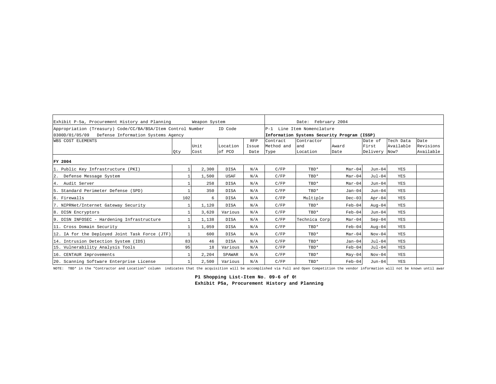| Exhibit P-5a, Procurement History and Planning              |     | Weapon System |             |            | Date: February 2004 |                                             |          |          |           |           |  |
|-------------------------------------------------------------|-----|---------------|-------------|------------|---------------------|---------------------------------------------|----------|----------|-----------|-----------|--|
| Appropriation (Treasury) Code/CC/BA/BSA/Item Control Number |     |               | ID Code     |            |                     | P-1 Line Item Nomenclature                  |          |          |           |           |  |
| 0300D/01/05/09 Defense Information Systems Agency           |     |               |             |            |                     | Information Systems Security Program (ISSP) |          |          |           |           |  |
| WBS COST ELEMENTS                                           |     |               |             | <b>RFP</b> | Contract            | Contractor                                  |          | Date of  | Tech Data | Date      |  |
|                                                             |     | Unit          | Location    | Issue      | Method and          | and                                         | Award    | First    | Available | Revisions |  |
|                                                             | Qty | Cost          | of PCO      | Date       | Type                | Location                                    | Date     | Delivery | Now?      | Available |  |
| FY 2004                                                     |     |               |             |            |                     |                                             |          |          |           |           |  |
| 1. Public Key Infrastructure (PKI)                          |     | 2,300         | <b>DISA</b> | N/A        | C/FP                | TBD*                                        | $Mar-04$ | $Jun-04$ | YES       |           |  |
| 2.<br>Defense Message System                                |     | 1,500         | <b>USAF</b> | N/A        | C/FP                | TBD*                                        | $Mar-04$ | $Jul-04$ | YES       |           |  |
| 4. Audit Server                                             |     | 258           | <b>DISA</b> | N/A        | C/FP                | TBD*                                        | $Mar-04$ | $Jun-04$ | YES       |           |  |
| 5. Standard Perimeter Defense (SPD)                         |     | 350           | <b>DISA</b> | N/A        | C/FP                | TBD*                                        | $Jan-04$ | $Jun-04$ | YES       |           |  |
| 6. Firewalls                                                | 102 | 6             | <b>DISA</b> | N/A        | C/FP                | Multiple                                    | $Dec-03$ | $Apr-04$ | YES       |           |  |
| 7. NIPRNet/Internet Gateway Security                        |     | 1,120         | <b>DISA</b> | N/A        | C/FP                | TBD*                                        | $Feb-04$ | $Auq-04$ | YES       |           |  |
| 8. DISN Encryptors                                          |     | 3,620         | Various     | N/A        | C/FP                | TBD*                                        | $Feb-04$ | $Jun-04$ | YES       |           |  |
| 9. DISN INFOSEC - Hardening Infrastructure                  |     | 1,138         | <b>DISA</b> | N/A        | C/FP                | Technica Corp                               | $Mar-04$ | $Sep-04$ | YES       |           |  |
| 11. Cross Domain Security                                   |     | 1,059         | <b>DISA</b> | N/A        | C/FP                | TBD*                                        | $Feb-04$ | $Auq-04$ | YES       |           |  |
| 12. IA for the Deployed Joint Task Force (JTF)              |     | 600           | <b>DISA</b> | N/A        | C/FP                | TBD*                                        | $Mar-04$ | $Nov-04$ | YES       |           |  |
| 14. Intrusion Detection System (IDS)                        | 83  | 46            | <b>DISA</b> | N/A        | C/FP                | TBD*                                        | $Jan-04$ | $Jul-04$ | YES       |           |  |
| 15. Vulnerability Analysis Tools                            | 95  | 18            | Various     | N/A        | C/FP                | TBD*                                        | $Feb-04$ | $Jul-04$ | YES       |           |  |
| 16. CENTAUR Improvements                                    |     | 2,204         | SPAWAR      | N/A        | C/FP                | TBD*                                        | $May-04$ | $Nov-04$ | YES       |           |  |
| 20. Scanning Software Enterprise License                    |     | 2,500         | Various     | N/A        | C/FP                | TBD*                                        | $Feb-04$ | $Jun-04$ | YES       |           |  |

NOTE: TBD\* in the "Contractor and Location" column indicates that the acquisition will be accomplished via Full and Open Competition the vendor information will not be known until awar

P1 Shopping List-Item No. 09-6 of 09 **Exhibit P5a, Procurement History and Planning**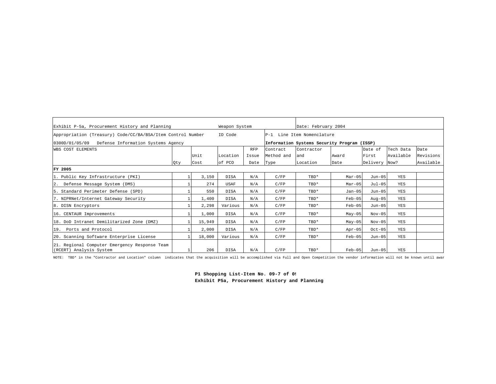| Exhibit P-5a, Procurement History and Planning                           |     |        | Weapon System |            |            | Date: February 2004                         |          |               |           |           |
|--------------------------------------------------------------------------|-----|--------|---------------|------------|------------|---------------------------------------------|----------|---------------|-----------|-----------|
| Appropriation (Treasury) Code/CC/BA/BSA/Item Control Number              |     |        | ID Code       |            |            | P-1 Line Item Nomenclature                  |          |               |           |           |
| 0300D/01/05/09 Defense Information Systems Agency                        |     |        |               |            |            | Information Systems Security Program (ISSP) |          |               |           |           |
| WBS COST ELEMENTS                                                        |     |        |               | <b>RFP</b> | Contract   | Contractor                                  |          | Date of       | Tech Data | Date      |
|                                                                          |     | Unit   | Location      | Issue      | Method and | land                                        | Award    | First         | Available | Revisions |
|                                                                          | Qty | Cost   | of PCO        | Date       | Type       | Location                                    | Date     | Delivery Now? |           | Available |
| FY 2005                                                                  |     |        |               |            |            |                                             |          |               |           |           |
| 1. Public Key Infrastructure (PKI)                                       |     | 3,150  | <b>DISA</b>   | N/A        | C/FP       | TBD*                                        | $Mar-05$ | Jun-05        | YES       |           |
| Defense Message System (DMS)<br>2.                                       |     | 274    | <b>USAF</b>   | N/A        | C/FP       | TBD*                                        | $Mar-05$ | $Jul-05$      | YES       |           |
| 5. Standard Perimeter Defense (SPD)                                      |     | 550    | <b>DISA</b>   | N/A        | C/FP       | TBD*                                        | $Jan-05$ | Jun-05        | YES       |           |
| 7. NIPRNet/Internet Gateway Security                                     |     | 1,400  | <b>DISA</b>   | N/A        | C/FP       | TBD*                                        | $Feb-05$ | $Aug-05$      | YES       |           |
| 8. DISN Encryptors                                                       |     | 2,298  | Various       | N/A        | C/FP       | TBD*                                        | $Feb-05$ | Jun-05        | YES       |           |
| 16. CENTAUR Improvements                                                 |     | 1,000  | DISA          | N/A        | C/FP       | TBD*                                        | $May-05$ | $Nov-05$      | YES       |           |
| 18. DoD Intranet Demilitarized Zone (DMZ)                                |     | 15,949 | DISA          | N/A        | C/FP       | TBD*                                        | $May-05$ | $Nov-05$      | YES       |           |
| 19. Ports and Protocol                                                   |     | 2,000  | <b>DISA</b>   | N/A        | C/FP       | TBD*                                        | $Apr-05$ | $Oct-05$      | YES       |           |
| 20. Scanning Software Enterprise License                                 |     | 18,000 | Various       | N/A        | C/FP       | TBD*                                        | $Feb-05$ | Jun-05        | YES       |           |
| 21. Regional Computer Emergency Response Team<br>(RCERT) Analysis System |     | 206    | <b>DISA</b>   | N/A        | C/FP       | TBD*                                        | $Feb-05$ | Jun-05        | YES       |           |

NOTE: TBD\* in the "Contractor and Location" column indicates that the acquisition will be accomplished via Full and Open Competition the vendor information will not be known until awar

P1 Shopping List-Item No. 09-7 of 09 **Exhibit P5a, Procurement History and Planning**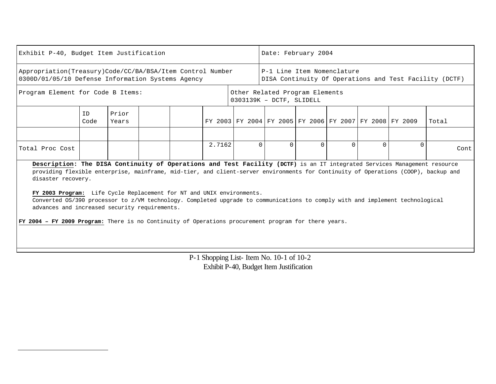|                                                                                                                | Exhibit P-40, Budget Item Justification                                                                                                                                                                                                                                                                                                                                                                                                                                                                                                                                                                                                                                                                                                   |  |  |  |  |                                                                                      |  | Date: February 2004 |  |  |  |                                                         |  |  |       |      |
|----------------------------------------------------------------------------------------------------------------|-------------------------------------------------------------------------------------------------------------------------------------------------------------------------------------------------------------------------------------------------------------------------------------------------------------------------------------------------------------------------------------------------------------------------------------------------------------------------------------------------------------------------------------------------------------------------------------------------------------------------------------------------------------------------------------------------------------------------------------------|--|--|--|--|--------------------------------------------------------------------------------------|--|---------------------|--|--|--|---------------------------------------------------------|--|--|-------|------|
| Appropriation(Treasury)Code/CC/BA/BSA/Item Control Number<br>0300D/01/05/10 Defense Information Systems Agency |                                                                                                                                                                                                                                                                                                                                                                                                                                                                                                                                                                                                                                                                                                                                           |  |  |  |  | P-1 Line Item Nomenclature<br>DISA Continuity Of Operations and Test Facility (DCTF) |  |                     |  |  |  |                                                         |  |  |       |      |
| Program Element for Code B Items:                                                                              |                                                                                                                                                                                                                                                                                                                                                                                                                                                                                                                                                                                                                                                                                                                                           |  |  |  |  | Other Related Program Elements<br>0303139K - DCTF, SLIDELL                           |  |                     |  |  |  |                                                         |  |  |       |      |
|                                                                                                                | Prior<br>ID<br>Code<br>Years                                                                                                                                                                                                                                                                                                                                                                                                                                                                                                                                                                                                                                                                                                              |  |  |  |  |                                                                                      |  |                     |  |  |  | FY 2003 FY 2004 FY 2005 FY 2006 FY 2007 FY 2008 FY 2009 |  |  | Total |      |
|                                                                                                                |                                                                                                                                                                                                                                                                                                                                                                                                                                                                                                                                                                                                                                                                                                                                           |  |  |  |  |                                                                                      |  |                     |  |  |  |                                                         |  |  |       |      |
| Total Proc Cost                                                                                                |                                                                                                                                                                                                                                                                                                                                                                                                                                                                                                                                                                                                                                                                                                                                           |  |  |  |  |                                                                                      |  |                     |  |  |  |                                                         |  |  |       | Cont |
|                                                                                                                | 2.7162<br>$\Omega$<br>$\Omega$<br>$\Omega$<br>$\Omega$<br>$\Omega$<br>$\Omega$<br>Description: The DISA Continuity of Operations and Test Facility (DCTF) is an IT integrated Services Management resource<br>providing flexible enterprise, mainframe, mid-tier, and client-server environments for Continuity of Operations (COOP), backup and<br>disaster recovery.<br>FY 2003 Program: Life Cycle Replacement for NT and UNIX environments.<br>Converted OS/390 processor to z/VM technology. Completed upgrade to communications to comply with and implement technological<br>advances and increased security requirements.<br>FY 2004 - FY 2009 Program: There is no Continuity of Operations procurement program for there years. |  |  |  |  |                                                                                      |  |                     |  |  |  |                                                         |  |  |       |      |

P-1 Shopping List- Item No. 10-1 of 10-2 Exhibit P-40, Budget Item Justification

 $\overline{a}$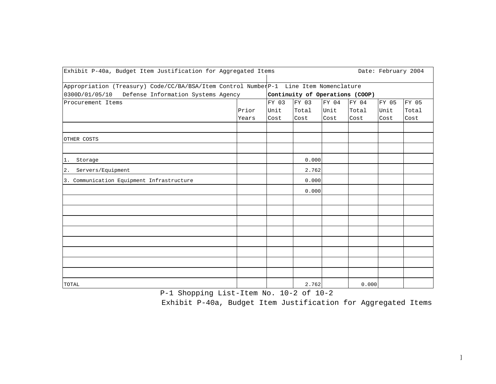| Exhibit P-40a, Budget Item Justification for Aggregated Items                                                                              |       |       |                                 |       |       |       | Date: February 2004 |
|--------------------------------------------------------------------------------------------------------------------------------------------|-------|-------|---------------------------------|-------|-------|-------|---------------------|
| Appropriation (Treasury) Code/CC/BA/BSA/Item Control NumberP-1 Line Item Nomenclature<br>0300D/01/05/10 Defense Information Systems Agency |       |       | Continuity of Operations (COOP) |       |       |       |                     |
| Procurement Items                                                                                                                          |       | FY 03 | FY 03                           | FY 04 | FY 04 | FY 05 | FY 05               |
|                                                                                                                                            | Prior | Unit  | Total                           | Unit  | Total | Unit  | Total               |
|                                                                                                                                            | Years | Cost  | Cost                            | Cost  | Cost  | Cost  | Cost                |
|                                                                                                                                            |       |       |                                 |       |       |       |                     |
| OTHER COSTS                                                                                                                                |       |       |                                 |       |       |       |                     |
|                                                                                                                                            |       |       |                                 |       |       |       |                     |
| Storage<br>1.                                                                                                                              |       |       | 0.000                           |       |       |       |                     |
| Servers/Equipment<br>2.                                                                                                                    |       |       | 2.762                           |       |       |       |                     |
| 3. Communication Equipment Infrastructure                                                                                                  |       |       | 0.000                           |       |       |       |                     |
|                                                                                                                                            |       |       | 0.000                           |       |       |       |                     |
|                                                                                                                                            |       |       |                                 |       |       |       |                     |
|                                                                                                                                            |       |       |                                 |       |       |       |                     |
|                                                                                                                                            |       |       |                                 |       |       |       |                     |
|                                                                                                                                            |       |       |                                 |       |       |       |                     |
|                                                                                                                                            |       |       |                                 |       |       |       |                     |
|                                                                                                                                            |       |       |                                 |       |       |       |                     |
|                                                                                                                                            |       |       |                                 |       |       |       |                     |
|                                                                                                                                            |       |       |                                 |       |       |       |                     |
| TOTAL                                                                                                                                      |       |       | 2.762                           |       | 0.000 |       |                     |

P-1 Shopping List-Item No. 10-2 of 10-2

Exhibit P-40a, Budget Item Justification for Aggregated Items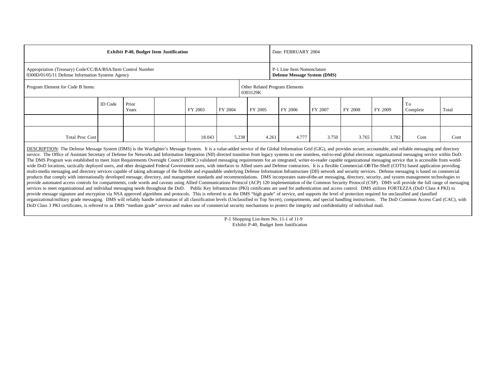|                                                                                                                                                                                                                                                                                                                                                                                                                                                                                                                                                                                                                                                                                                                                                                                                                  |                | <b>Exhibit P-40, Budget Item Justification</b> |  |         |         |         | Date: FEBRUARY 2004                      |                                                            |                |       |       |      |      |  |
|------------------------------------------------------------------------------------------------------------------------------------------------------------------------------------------------------------------------------------------------------------------------------------------------------------------------------------------------------------------------------------------------------------------------------------------------------------------------------------------------------------------------------------------------------------------------------------------------------------------------------------------------------------------------------------------------------------------------------------------------------------------------------------------------------------------|----------------|------------------------------------------------|--|---------|---------|---------|------------------------------------------|------------------------------------------------------------|----------------|-------|-------|------|------|--|
| Appropriation (Treasury) Code/CC/BA/BSA/Item Control Number<br>0300D/01/05/11 Defense Information Systems Agency                                                                                                                                                                                                                                                                                                                                                                                                                                                                                                                                                                                                                                                                                                 |                |                                                |  |         |         |         |                                          | P-1 Line Item Nomenclature<br>Defense Message System (DMS) |                |       |       |      |      |  |
| Program Element for Code B Items:                                                                                                                                                                                                                                                                                                                                                                                                                                                                                                                                                                                                                                                                                                                                                                                |                | Other Related Program Elements<br>0303129K     |  |         |         |         |                                          |                                                            |                |       |       |      |      |  |
|                                                                                                                                                                                                                                                                                                                                                                                                                                                                                                                                                                                                                                                                                                                                                                                                                  | <b>ID</b> Code | Prior<br>Years                                 |  | FY 2003 | FY 2004 | FY 2005 | FY 2006<br>FY 2007<br>FY 2008<br>FY 2009 |                                                            | To<br>Complete | Total |       |      |      |  |
|                                                                                                                                                                                                                                                                                                                                                                                                                                                                                                                                                                                                                                                                                                                                                                                                                  |                |                                                |  |         |         |         |                                          |                                                            |                |       |       |      |      |  |
| <b>Total Proc Cost</b>                                                                                                                                                                                                                                                                                                                                                                                                                                                                                                                                                                                                                                                                                                                                                                                           |                |                                                |  | 18.043  | 5.238   |         | 4.261                                    | 4.777                                                      | 3.750          | 3.765 | 3.782 | Cont | Cont |  |
| DESCRIPTION: The Defense Message System (DMS) is the Warfighter's Message System. It is a value-added service of the Global Information Grid (GIG), and provides secure, accountable, and reliable messaging and directory<br>service. The Office of Assistant Secretary of Defense for Networks and Information Integration (NII) directed transition from legacy systems to one seamless, end-to-end global electronic organizational messaging service wi<br>The DMS Program was established to meet Joint Requirements Oversight Council (JROC) validated messaging requirements for an integrated, writer-to-reader capable organizational messaging service that is accessible from worl<br>ند. د میشونده در مواجه به ساخت به سواره به این در این به در این در این در این در در در این در این در این در ای |                |                                                |  |         |         |         |                                          |                                                            |                |       |       |      |      |  |

wide DoD locations, tactically deployed users, and other designated Federal Government users, with interfaces to Allied users and Defense contractors. It is a flexible Commercial-Off-The-Shelf (COTS) based application prov multi-media messaging and directory services capable of taking advantage of the flexible and expandable underlying Defense Information Infrastructure (DII) network and security services. Defense messaging is based on comme products that comply with internationally developed message, directory, and management standards and recommendations. DMS incorporates state-of-the-art messaging, directory, security, and system management technologies to provide automated access controls for compartments, code words and caveats using Allied Communications Protocol (ACP) 120 implementation of the Common Security Protocol (CSP). DMS will provide the full range of messaging services to meet organizational and individual messaging needs throughout the DoD. Public Key Infrastructure (PKI) certificates are used for authentication and access control. DMS utilizes FORTEZZA (DoD Class 4 PKI) to provide message signature and encryption via NSA approved algorithms and protocols. This is referred to as the DMS "high grade" of service, and supports the level of protection required for unclassified and classified organizational/military grade messaging. DMS will reliably handle information of all classification levels (Unclassified to Top Secret), compartments, and special handling instructions. The DoD Common Access Card (CAC), wi DoD Class 3 PKI certificates, is referred to as DMS "medium grade" service and makes use of commercial security mechanisms to protect the integrity and confidentiality of individual mail.

> P-1 Shopping List-Item No. 11-1 of 11-9 Exhibit P-40, Budget Item Justification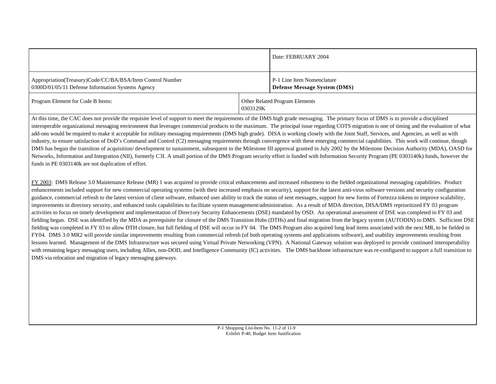|                                                                                                                |          | Date: FEBRUARY 2004                                               |
|----------------------------------------------------------------------------------------------------------------|----------|-------------------------------------------------------------------|
| Appropriation(Treasury)Code/CC/BA/BSA/Item Control Number<br>0300D/01/05/11 Defense Information Systems Agency |          | P-1 Line Item Nomenclature<br><b>Defense Message System (DMS)</b> |
| Program Element for Code B Items:                                                                              | 0303129K | Other Related Program Elements                                    |

At this time, the CAC does not provide the requisite level of support to meet the requirements of the DMS high grade messaging. The primary focus of DMS is to provide a disciplined interoperable organizational messaging environment that leverages commercial products to the maximum. The principal issue regarding COTS migration is one of timing and the evaluation of what add-ons would be required to make it acceptable for military messaging requirements (DMS high grade). DISA is working closely with the Joint Staff, Services, and Agencies, as well as with industry, to ensure satisfaction of DoD's Command and Control (C2) messaging requirements through convergence with these emerging commercial capabilities. This work will continue, though DMS has begun the transition of acquisition/ development to sustainment, subsequent to the Milestone III approval granted in July 2002 by the Milestone Decision Authority (MDA), OASD for Networks, Information and Integration (NII), formerly C3I. A small portion of the DMS Program security effort is funded with Information Security Program (PE 0303140k) funds, however the funds in PE 0303140k are not duplication of effort.

FY 2003: DMS Release 3.0 Maintenance Release (MR) 1 was acquired to provide critical enhancements and increased robustness to the fielded organizational messaging capabilities. Product enhancements included support for new commercial operating systems (with their increased emphasis on security), support for the latest anti-virus software versions and security configuration guidance, commercial refresh to the latest version of client software, enhanced user ability to track the status of sent messages, support for new forms of Fortezza tokens to improve scalability, improvements in directory security, and enhanced tools capabilities to facilitate system management/administration. As a result of MDA direction, DISA/DMS reprioritized FY 03 program activities to focus on timely development and implementation of Directory Security Enhancements (DSE) mandated by OSD. An operational assessment of DSE was completed in FY 03 and fielding began. DSE was identified by the MDA as prerequisite for closure of the DMS Transition Hubs (DTHs) and final migration from the legacy system (AUTODIN) to DMS. Sufficient DSE fielding was completed in FY 03 to allow DTH closure, but full fielding of DSE will occur in FY 04. The DMS Program also acquired long lead items associated with the next MR, to be fielded in FY04. DMS 3.0 MR2 will provide similar improvements resulting from commercial refresh (of both operating systems and applications software), and usability improvements resulting from lessons learned. Management of the DMS Infrastructure was secured using Virtual Private Networking (VPN). A National Gateway solution was deployed to provide continued interoperability with remaining legacy messaging users, including Allies, non-DOD, and Intelligence Community (IC) activities. The DMS backbone infrastructure was re-configured to support a full transition to DMS via relocation and migration of legacy messaging gateways.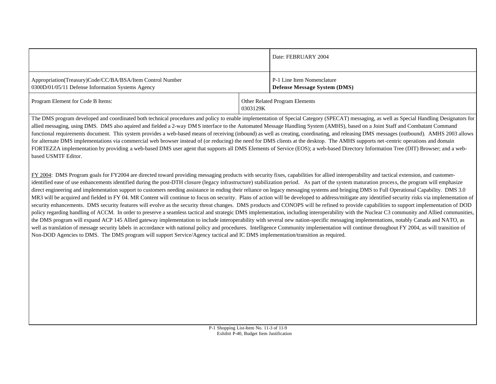|                                                                                                                |          | Date: FEBRUARY 2004                                               |
|----------------------------------------------------------------------------------------------------------------|----------|-------------------------------------------------------------------|
| Appropriation(Treasury)Code/CC/BA/BSA/Item Control Number<br>0300D/01/05/11 Defense Information Systems Agency |          | P-1 Line Item Nomenclature<br><b>Defense Message System (DMS)</b> |
| Program Element for Code B Items:                                                                              | 0303129K | Other Related Program Elements                                    |

The DMS program developed and coordinated both technical procedures and policy to enable implementation of Special Category (SPECAT) messaging, as well as Special Handling Designators for allied messaging, using DMS. DMS also aquired and fielded a 2-way DMS interface to the Automated Message Handling System (AMHS), based on a Joint Staff and Combatant Command functional requirements document. This system provides a web-based means of receiving (inbound) as well as creating, coordinating, and releasing DMS messages (outbound). AMHS 2003 allows for alternate DMS implementations via commercial web browser instead of (or reducing) the need for DMS clients at the desktop. The AMHS supports net-centric operations and domain FORTEZZA implementation by providing a web-based DMS user agent that supports all DMS Elements of Service (EOS); a web-based Directory Information Tree (DIT) Browser; and a webbased USMTF Editor.

FY 2004: DMS Program goals for FY2004 are directed toward providing messaging products with security fixes, capabilities for allied interoperability and tactical extension, and customeridentified ease of use enhancements identified during the post-DTH closure (legacy infrastructure) stabilization period. As part of the system maturation process, the program will emphasize direct engineering and implementation support to customers needing assistance in ending their reliance on legacy messaging systems and bringing DMS to Full Operational Capability. DMS 3.0 MR3 will be acquired and fielded in FY 04. MR Content will continue to focus on security. Plans of action will be developed to address/mitigate any identified security risks via implementation of security enhancements. DMS security features will evolve as the security threat changes. DMS products and CONOPS will be refined to provide capabilities to support implementation of DOD policy regarding handling of ACCM. In order to preserve a seamless tactical and strategic DMS implementation, including interoperability with the Nuclear C3 community and Allied communities, the DMS program will expand ACP 145 Allied gateway implementation to include interoperability with several new nation-specific messaging implementations, notably Canada and NATO, as well as translation of message security labels in accordance with national policy and procedures. Intelligence Community implementation will continue throughout FY 2004, as will transition of Non-DOD Agencies to DMS. The DMS program will support Service/Agency tactical and IC DMS implementation/transition as required.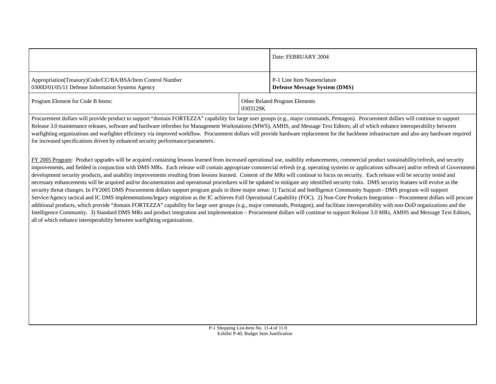|                                                                                                                |          | Date: FEBRUARY 2004                                               |
|----------------------------------------------------------------------------------------------------------------|----------|-------------------------------------------------------------------|
| Appropriation(Treasury)Code/CC/BA/BSA/Item Control Number<br>0300D/01/05/11 Defense Information Systems Agency |          | P-1 Line Item Nomenclature<br><b>Defense Message System (DMS)</b> |
| Program Element for Code B Items:                                                                              | 0303129K | Other Related Program Elements                                    |

Procurement dollars will provide product to support "domain FORTEZZA" capability for large user groups (e.g., major commands, Pentagon). Procurement dollars will continue to support Release 3.0 maintenance releases, software and hardware refreshes for Management Workstations (MWS), AMHS, and Message Text Editors, all of which enhance interoperability between warfighting organizations and warfighter efficiency via improved workflow. Procurement dollars will provide hardware replacement for the backbone infrastructure and also any hardware required for increased specifications driven by enhanced security performance/parameters.

FY 2005 Program: Product upgrades will be acquired containing lessons learned from increased operational use, usability enhancements, commercial product sustainability/refresh, and security improvements, and fielded in conjunction with DMS MRs. Each release will contain appropriate commercial refresh (e.g. operating systems or applications software) and/or refresh of Government development security products, and usability improvements resulting from lessons learned. Content of the MRs will continue to focus on security. Each release will be security tested and necessary enhancements will be acquired and/or documentation and operational procedures will be updated to mitigate any identified security risks. DMS security features will evolve as the security threat changes. In FY2005 DMS Procurement dollars support program goals in three major areas: 1) Tactical and Intelligence Community Support - DMS program will support Service/Agency tactical and IC DMS implementations/legacy migration as the IC achieves Full Operational Capability (FOC). 2) Non-Core Products Integration – Procurement dollars will procure additional products, which provide "domain FORTEZZA" capability for large user groups (e.g., major commands, Pentagon), and facilitate interoperability with non-DoD organizations and the Intelligence Community. 3) Standard DMS MRs and product integration and implementation – Procurement dollars will continue to support Release 3.0 MRs, AMHS and Message Text Editors, all of which enhance interoperability between warfighting organizations.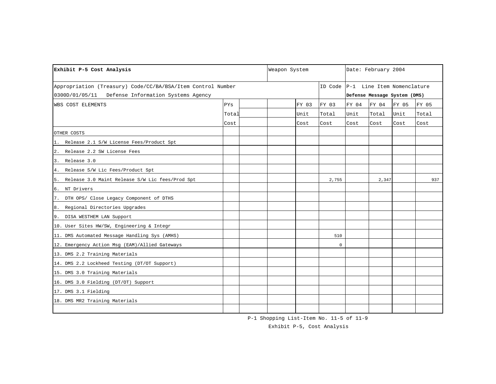| Exhibit P-5 Cost Analysis                                   |       | Weapon System |       |                                    | Date: February 2004 |                              |       |       |  |
|-------------------------------------------------------------|-------|---------------|-------|------------------------------------|---------------------|------------------------------|-------|-------|--|
| Appropriation (Treasury) Code/CC/BA/BSA/Item Control Number |       |               |       | ID Code P-1 Line Item Nomenclature |                     |                              |       |       |  |
| 0300D/01/05/11 Defense Information Systems Agency           |       |               |       |                                    |                     | Defense Message System (DMS) |       |       |  |
| WBS COST ELEMENTS                                           | PYs   |               | FY 03 | FY 03                              | FY 04               | FY 04                        | FY 05 | FY 05 |  |
|                                                             | Total |               | Unit  | Total                              | Unit                | Total                        | Unit  | Total |  |
|                                                             | Cost  |               | Cost  | Cost                               | Cost                | Cost                         | Cost  | Cost  |  |
| OTHER COSTS                                                 |       |               |       |                                    |                     |                              |       |       |  |
| 1. Release 2.1 S/W License Fees/Product Spt                 |       |               |       |                                    |                     |                              |       |       |  |
| Release 2.2 SW License Fees<br>2.                           |       |               |       |                                    |                     |                              |       |       |  |
| Release 3.0<br>3.                                           |       |               |       |                                    |                     |                              |       |       |  |
| Release S/W Lic Fees/Product Spt<br>4.                      |       |               |       |                                    |                     |                              |       |       |  |
| Release 3.0 Maint Release S/W Lic fees/Prod Spt<br>5.       |       |               |       | 2,755                              |                     | 2,347                        |       | 937   |  |
| 6. NT Drivers                                               |       |               |       |                                    |                     |                              |       |       |  |
| DTH OPS/ Close Legacy Component of DTHS<br>7.               |       |               |       |                                    |                     |                              |       |       |  |
| 8. Regional Directories Upgrades                            |       |               |       |                                    |                     |                              |       |       |  |
| 9. DISA WESTHEM LAN Support                                 |       |               |       |                                    |                     |                              |       |       |  |
| 10. User Sites HW/SW, Engineering & Integr                  |       |               |       |                                    |                     |                              |       |       |  |
| 11. DMS Automated Message Handling Sys (AMHS)               |       |               |       | 510                                |                     |                              |       |       |  |
| 12. Emergency Action Msg (EAM)/Allied Gateways              |       |               |       | $\mathbf 0$                        |                     |                              |       |       |  |
| 13. DMS 2.2 Training Materials                              |       |               |       |                                    |                     |                              |       |       |  |
| 14. DMS 2.2 Lockheed Testing (DT/OT Support)                |       |               |       |                                    |                     |                              |       |       |  |
| 15. DMS 3.0 Training Materials                              |       |               |       |                                    |                     |                              |       |       |  |
| 16. DMS 3.0 Fielding (DT/OT) Support                        |       |               |       |                                    |                     |                              |       |       |  |
| 17. DMS 3.1 Fielding                                        |       |               |       |                                    |                     |                              |       |       |  |
| 18. DMS MR2 Training Materials                              |       |               |       |                                    |                     |                              |       |       |  |
|                                                             |       |               |       |                                    |                     |                              |       |       |  |

P-1 Shopping List-Item No. 11-5 of 11-9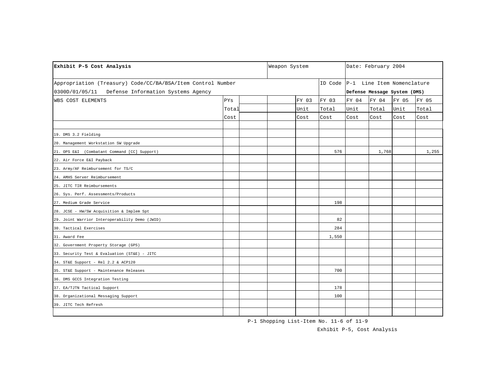| Exhibit P-5 Cost Analysis                                   |       | Weapon System |       |                                    |                              | Date: February 2004 |       |       |  |
|-------------------------------------------------------------|-------|---------------|-------|------------------------------------|------------------------------|---------------------|-------|-------|--|
| Appropriation (Treasury) Code/CC/BA/BSA/Item Control Number |       |               |       | ID Code P-1 Line Item Nomenclature |                              |                     |       |       |  |
| Defense Information Systems Agency<br>0300D/01/05/11        |       |               |       |                                    | Defense Message System (DMS) |                     |       |       |  |
| WBS COST ELEMENTS                                           | PYs   |               | FY 03 | FY 03                              | FY 04                        | FY 04               | FY 05 | FY 05 |  |
|                                                             | Total |               | Unit  | Total                              | Unit                         | Total               | Unit  | Total |  |
|                                                             | Cost  |               | Cost  | Cost                               | Cost                         | Cost                | Cost  | Cost  |  |
|                                                             |       |               |       |                                    |                              |                     |       |       |  |
| 19. DMS 3.2 Fielding                                        |       |               |       |                                    |                              |                     |       |       |  |
| 20. Management Workstation SW Upgrade                       |       |               |       |                                    |                              |                     |       |       |  |
| 21. OPS E&I (Combatant Command [CC] Support)                |       |               |       | 576                                |                              | 1,768               |       | 1,255 |  |
| 22. Air Force E&I Payback                                   |       |               |       |                                    |                              |                     |       |       |  |
| 23. Army/AF Reimbursement for TS/C                          |       |               |       |                                    |                              |                     |       |       |  |
| 24. AMHS Server Reimbursement                               |       |               |       |                                    |                              |                     |       |       |  |
| 25. JITC TIR Reimbursements                                 |       |               |       |                                    |                              |                     |       |       |  |
| 26. Sys. Perf. Assessments/Products                         |       |               |       |                                    |                              |                     |       |       |  |
| 27. Medium Grade Service                                    |       |               |       | 198                                |                              |                     |       |       |  |
| 28. JCSE - HW/SW Acquisition & Implem Spt                   |       |               |       |                                    |                              |                     |       |       |  |
| 29. Joint Warrior Interoperability Demo (JWID)              |       |               |       | 82                                 |                              |                     |       |       |  |
| 30. Tactical Exercises                                      |       |               |       | 284                                |                              |                     |       |       |  |
| 31. Award Fee                                               |       |               |       | 1,550                              |                              |                     |       |       |  |
| 32. Government Property Storage (GPS)                       |       |               |       |                                    |                              |                     |       |       |  |
| 33. Security Test & Evaluation (ST&E) - JITC                |       |               |       |                                    |                              |                     |       |       |  |
| 34. ST&E Support - Rel 2.2 & ACP120                         |       |               |       |                                    |                              |                     |       |       |  |
| 35. ST&E Support - Maintenance Releases                     |       |               |       | 700                                |                              |                     |       |       |  |
| 36. DMS GCCS Integration Testing                            |       |               |       |                                    |                              |                     |       |       |  |
| 37. EA/TJTN Tactical Support                                |       |               |       | 178                                |                              |                     |       |       |  |
| 38. Organizational Messaging Support                        |       |               |       | 100                                |                              |                     |       |       |  |
| 39. JITC Tech Refresh                                       |       |               |       |                                    |                              |                     |       |       |  |
|                                                             |       |               |       |                                    |                              |                     |       |       |  |

P-1 Shopping List-Item No. 11-6 of 11-9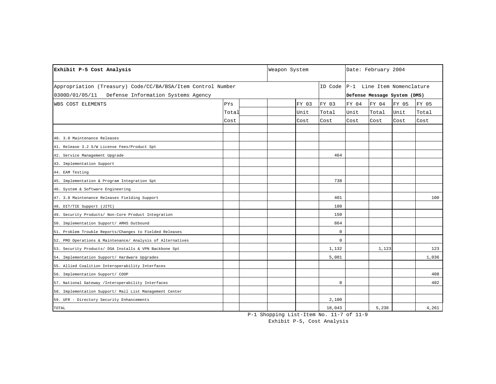| Exhibit P-5 Cost Analysis                                   |       | Weapon System |       |                                    |                              | Date: February 2004 |       |       |  |
|-------------------------------------------------------------|-------|---------------|-------|------------------------------------|------------------------------|---------------------|-------|-------|--|
| Appropriation (Treasury) Code/CC/BA/BSA/Item Control Number |       |               |       | ID Code P-1 Line Item Nomenclature |                              |                     |       |       |  |
| 0300D/01/05/11<br>Defense Information Systems Agency        |       |               |       |                                    | Defense Message System (DMS) |                     |       |       |  |
| WBS COST ELEMENTS                                           | PYs   |               | FY 03 | FY 03                              | FY 04                        | FY 04               | FY 05 | FY 05 |  |
|                                                             | Total |               | Unit  | Total                              | Unit                         | Total               | Unit  | Total |  |
|                                                             | Cost  |               | Cost  | Cost                               | Cost                         | Cost                | Cost  | Cost  |  |
|                                                             |       |               |       |                                    |                              |                     |       |       |  |
| 40. 3.0 Maintenance Releases                                |       |               |       |                                    |                              |                     |       |       |  |
| 41. Release 3.2 S/W License Fees/Product Spt                |       |               |       |                                    |                              |                     |       |       |  |
| 42. Service Management Upgrade                              |       |               |       | 464                                |                              |                     |       |       |  |
| 43. Implementation Support                                  |       |               |       |                                    |                              |                     |       |       |  |
| 44. EAM Testing                                             |       |               |       |                                    |                              |                     |       |       |  |
| 45. Implementation & Program Integration Spt                |       |               |       | 738                                |                              |                     |       |       |  |
| 46. System & Software Engineering                           |       |               |       |                                    |                              |                     |       |       |  |
| 47. 3.0 Maintenance Releases Fielding Support               |       |               |       | 401                                |                              |                     |       | 100   |  |
| 48. DIT/TIE Support (JITC)                                  |       |               |       | 180                                |                              |                     |       |       |  |
| 49. Security Products/ Non-Core Product Integration         |       |               |       | 150                                |                              |                     |       |       |  |
| 50. Implementation Support/ AMHS Outbound                   |       |               |       | 864                                |                              |                     |       |       |  |
| 51. Problem Trouble Reports/Changes to Fielded Releases     |       |               |       | 0                                  |                              |                     |       |       |  |
| 52. PMO Operations & Maintenance/ Analysis of Alternatives  |       |               |       | $\mathbf 0$                        |                              |                     |       |       |  |
| 53. Security Products/ DSA Installs & VPN Backbone Spt      |       |               |       | 1,132                              |                              | 1,123               |       | 123   |  |
| 54. Implementation Support/ Hardware Upgrades               |       |               |       | 5,081                              |                              |                     |       | 1,036 |  |
| 55. Allied Coalition Interoperability Interfaces            |       |               |       |                                    |                              |                     |       |       |  |
| 56. Implementation Support/ COOP                            |       |               |       |                                    |                              |                     |       | 408   |  |
| 57. National Gateway / Interoperability Interfaces          |       |               |       | $\mathbf 0$                        |                              |                     |       | 402   |  |
| 58. Implementation Support/ Mail List Management Center     |       |               |       |                                    |                              |                     |       |       |  |
| 59. UFR - Directory Security Enhancements                   |       |               |       | 2,100                              |                              |                     |       |       |  |
| TOTAL                                                       |       |               |       | 18,043                             |                              | 5,238               |       | 4,261 |  |

P-1 Shopping List-Item No. 11-7 of 11-9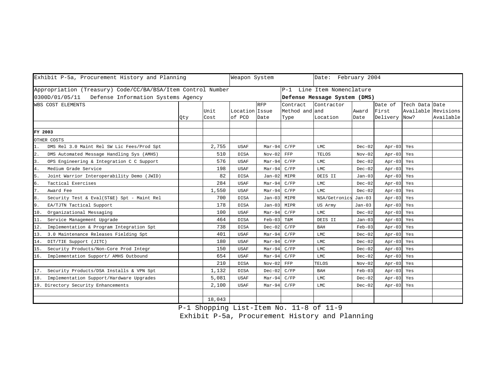| Exhibit P-5a, Procurement History and Planning              |     |        | Weapon System  |            | Date: February 2004 |                              |          |               |                     |           |  |
|-------------------------------------------------------------|-----|--------|----------------|------------|---------------------|------------------------------|----------|---------------|---------------------|-----------|--|
| Appropriation (Treasury) Code/CC/BA/BSA/Item Control Number |     |        |                |            | $P-1$               | Line Item Nomenclature       |          |               |                     |           |  |
| 0300D/01/05/11<br>Defense Information Systems Agency        |     |        |                |            |                     | Defense Message System (DMS) |          |               |                     |           |  |
| WBS COST ELEMENTS                                           |     |        |                | <b>RFP</b> | Contract            | Contractor                   |          | Date of       | Tech Data Date      |           |  |
|                                                             |     | Unit   | Location Issue |            | Method and and      |                              | Award    | First         | Available Revisions |           |  |
|                                                             | Qty | Cost   | of PCO         | Date       | Type                | Location                     | Date     | Delivery Now? |                     | Available |  |
|                                                             |     |        |                |            |                     |                              |          |               |                     |           |  |
| FY 2003                                                     |     |        |                |            |                     |                              |          |               |                     |           |  |
| OTHER COSTS                                                 |     |        |                |            |                     |                              |          |               |                     |           |  |
| DMS Rel 3.0 Maint Rel SW Lic Fees/Prod Spt                  |     | 2,755  | <b>USAF</b>    | $Mar-94$   | C/FP                | LMC                          | $Dec-02$ | Apr-03 Yes    |                     |           |  |
| 2.<br>DMS Automated Message Handling Sys (AMHS)             |     | 510    | <b>DISA</b>    | $Nov-02$   | FFP                 | <b>TELOS</b>                 | $Nov-02$ | $Apr-03$      | Yes                 |           |  |
| OPS Engineering & Integration C C Support<br>3.             |     | 576    | <b>USAF</b>    | $Mar-94$   | C/FP                | <b>LMC</b>                   | $Dec-02$ | $Apr-03$      | Yes                 |           |  |
| Medium Grade Service<br>4.                                  |     | 198    | <b>USAF</b>    | $Mar-94$   | C/FP                | LMC                          | $Dec-02$ | $Apr-03$      | Yes                 |           |  |
| 5.<br>Joint Warrior Interoperability Demo (JWID)            |     | 82     | <b>DISA</b>    | $Jan-02$   | MIPR                | DEIS II                      | $Jan-03$ | $Apr-03$      | Yes                 |           |  |
| Tactical Exercises<br>б.                                    |     | 284    | <b>USAF</b>    | $Mar-94$   | C/FP                | LMC                          | $Dec-02$ | $Apr-03$      | Yes                 |           |  |
| 7.<br>Award Fee                                             |     | 1,550  | <b>USAF</b>    | $Mar-94$   | C/FP                | LMC                          | $Dec-02$ | $Apr-03$      | Yes                 |           |  |
| 8.<br>Security Test & Eval(ST&E) Spt - Maint Rel            |     | 700    | <b>DISA</b>    | $Jan-03$   | MIPR                | NSA/Getronics                | Jan-03   | $Apr-03$      | Yes                 |           |  |
| 9.<br>EA/TJTN Tactical Support                              |     | 178    | <b>DISA</b>    | $Jan-03$   | MIPR                | US Army                      | $Jan-03$ | $Apr-03$      | Yes                 |           |  |
| Organizational Messaging<br>10.                             |     | 100    | <b>USAF</b>    | $Mar-94$   | C/FP                | <b>LMC</b>                   | $Dec-02$ | $Apr-03$      | Yes                 |           |  |
| Service Management Upgrade<br>11.                           |     | 464    | <b>DISA</b>    | $Feb-03$   | Τ&Μ                 | DEIS II                      | $Jan-03$ | $Apr-03$      | Yes                 |           |  |
| Implementation & Program Integration Spt<br>12.             |     | 738    | DISA           | $Dec-02$   | C/FP                | BAH                          | $Feb-03$ | $Apr-03$      | Yes                 |           |  |
| 3.0 Maintenance Releases Fielding Spt<br>13.                |     | 401    | <b>USAF</b>    | $Mar-94$   | C/FP                | T.MC                         | $Dec-02$ | $Apr-03$      | Yes                 |           |  |
| DIT/TIE Support (JITC)<br>14.                               |     | 180    | <b>USAF</b>    | $Mar-94$   | C/FP                | LMC                          | $Dec-02$ | $Apr-03$      | Yes                 |           |  |
| Security Products/Non-Core Prod Integr<br>15.               |     | 150    | <b>USAF</b>    | $Mar-94$   | C/FP                | LMC                          | $Dec-02$ | $Apr-03$      | Yes                 |           |  |
| 16. Implementation Support/ AMHS Outbound                   |     | 654    | <b>USAF</b>    | $Mar-94$   | C/FP                | LMC                          | $Dec-02$ | $Apr-03$      | Yes                 |           |  |
|                                                             |     | 210    | <b>DISA</b>    | $Nov-02$   | FFP                 | TELOS                        | $Nov-02$ | $Apr-03$      | Yes                 |           |  |
| 17. Security Products/DSA Installs & VPN Spt                |     | 1,132  | <b>DISA</b>    | $Dec-02$   | C/FP                | BAH                          | $Feb-03$ | $Apr-03$      | Yes                 |           |  |
| Implementation Support/Hardware Upgrades<br>18.             |     | 5,081  | USAF           | $Mar-94$   | C/FP                | LMC                          | $Dec-02$ | $Apr-03$      | Yes                 |           |  |
| 19. Directory Security Enhancements                         |     | 2,100  | <b>USAF</b>    | $Mar-94$   | C/FP                | LMC                          | $Dec-02$ | $Apr-03$      | Yes                 |           |  |
|                                                             |     |        |                |            |                     |                              |          |               |                     |           |  |
|                                                             |     | 18,043 |                |            |                     |                              |          |               |                     |           |  |

P-1 Shopping List-Item No. 11-8 of 11-9

Exhibit P-5a, Procurement History and Planning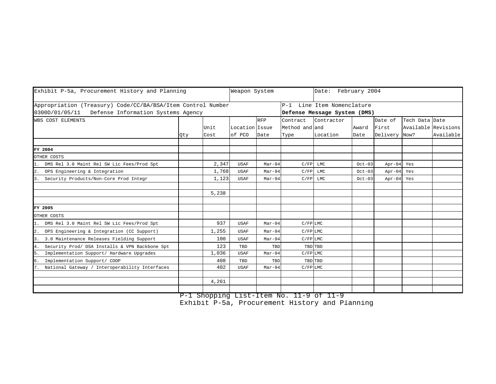| Exhibit P-5a, Procurement History and Planning              |     |       | Weapon System  |            |                |                              | Date: February 2004 |               |                |                     |  |
|-------------------------------------------------------------|-----|-------|----------------|------------|----------------|------------------------------|---------------------|---------------|----------------|---------------------|--|
| Appropriation (Treasury) Code/CC/BA/BSA/Item Control Number |     |       |                |            |                | P-1 Line Item Nomenclature   |                     |               |                |                     |  |
| 0300D/01/05/11 Defense Information Systems Agency           |     |       |                |            |                | Defense Message System (DMS) |                     |               |                |                     |  |
| WBS COST ELEMENTS                                           |     |       |                | <b>RFP</b> | Contract       | Contractor                   |                     | Date of       | Tech Data Date |                     |  |
|                                                             |     | Unit  | Location Issue |            | Method and and |                              | Award               | First         |                | Available Revisions |  |
|                                                             | Qty | Cost  | of PCO         | Date       | Type           | Location                     | Date                | Delivery Now? |                | Available           |  |
|                                                             |     |       |                |            |                |                              |                     |               |                |                     |  |
| FY 2004                                                     |     |       |                |            |                |                              |                     |               |                |                     |  |
| OTHER COSTS                                                 |     |       |                |            |                |                              |                     |               |                |                     |  |
| DMS Rel 3.0 Maint Rel SW Lic Fees/Prod Spt                  |     | 2,347 | <b>USAF</b>    | $Mar-94$   | C/FP           | LMC                          | $Oct-03$            | $Apr-04$      | Yes            |                     |  |
| 2. OPS Engineering & Integration                            |     | 1,768 | <b>USAF</b>    | $Mar-94$   | C/FP           | LMC                          | $Oct-03$            | $Apr-04$      | Yes            |                     |  |
| 3. Security Products/Non-Core Prod Integr                   |     | 1,123 | <b>USAF</b>    | $Mar-94$   | C/FP           | LMC                          | $Oct-03$            | $Apr-04$      | Yes            |                     |  |
|                                                             |     |       |                |            |                |                              |                     |               |                |                     |  |
|                                                             |     | 5,238 |                |            |                |                              |                     |               |                |                     |  |
| FY 2005                                                     |     |       |                |            |                |                              |                     |               |                |                     |  |
| OTHER COSTS                                                 |     |       |                |            |                |                              |                     |               |                |                     |  |
| 1. DMS Rel 3.0 Maint Rel SW Lic Fees/Prod Spt               |     | 937   | <b>USAF</b>    | $Mar-94$   | $C/FP$ LMC     |                              |                     |               |                |                     |  |
| 2. OPS Engineering & Integration (CC Support)               |     | 1,255 | <b>USAF</b>    | $Mar-94$   | $C/FP$ LMC     |                              |                     |               |                |                     |  |
| 3. 3.0 Maintenance Releases Fielding Support                |     | 100   | <b>USAF</b>    | $Mar-94$   | $C$ / $FP$ LMC |                              |                     |               |                |                     |  |
| Security Prod/ DSA Installs & VPN Backbone Spt<br>4.        |     | 123   | TBD            | TBD        |                | TBD TBD                      |                     |               |                |                     |  |
| Implementation Support/ Hardware Upgrades<br>5.             |     | 1,036 | <b>USAF</b>    | $Mar-94$   | $C$ / $FP$ LMC |                              |                     |               |                |                     |  |
| 6.<br>Implementation Support/ COOP                          |     | 408   | TBD            | TBD        |                | TBD TBD                      |                     |               |                |                     |  |
| National Gateway / Interoperability Interfaces              |     | 402   | <b>USAF</b>    | $Mar-94$   | $C$ / $FP$ LMC |                              |                     |               |                |                     |  |
|                                                             |     |       |                |            |                |                              |                     |               |                |                     |  |
|                                                             |     | 4,261 |                |            |                |                              |                     |               |                |                     |  |
|                                                             |     |       |                |            |                |                              |                     |               |                |                     |  |

P-1 Shopping List-Item No. 11-9 of 11-9

Exhibit P-5a, Procurement History and Planning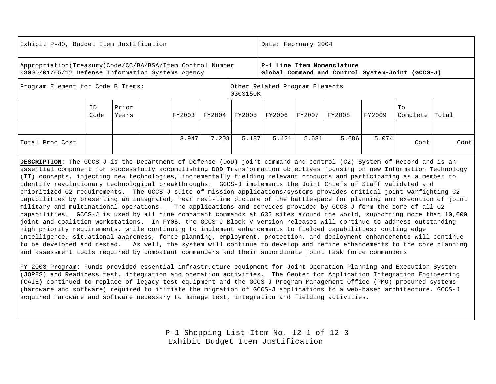| Exhibit P-40, Budget Item Justification                                                                          |            |                |        |                                            |        | Date: February 2004 |        |                                                                                |        |                |       |
|------------------------------------------------------------------------------------------------------------------|------------|----------------|--------|--------------------------------------------|--------|---------------------|--------|--------------------------------------------------------------------------------|--------|----------------|-------|
| Appropriation (Treasury) Code/CC/BA/BSA/Item Control Number<br>0300D/01/05/12 Defense Information Systems Agency |            |                |        |                                            |        |                     |        | P-1 Line Item Nomenclature<br>Global Command and Control System-Joint (GCCS-J) |        |                |       |
| Program Element for Code B Items:                                                                                |            |                |        | Other Related Program Elements<br>0303150K |        |                     |        |                                                                                |        |                |       |
|                                                                                                                  | ID<br>Code | Prior<br>Years | FY2003 | FY2004                                     | FY2005 | FY2006              | FY2007 | FY2008                                                                         | FY2009 | To<br>Complete | Total |
|                                                                                                                  |            |                |        |                                            |        |                     |        |                                                                                |        |                |       |
| Total Proc Cost                                                                                                  |            |                | 3.947  | 7.208                                      | 5.187  | 5.421               | 5.681  | 5.086                                                                          | 5.074  | Cont           | Cont  |

**DESCRIPTION**: The GCCS-J is the Department of Defense (DoD) joint command and control (C2) System of Record and is an essential component for successfully accomplishing DOD Transformation objectives focusing on new Information Technology (IT) concepts, injecting new technologies, incrementally fielding relevant products and participating as a member to identify revolutionary technological breakthroughs. GCCS-J implements the Joint Chiefs of Staff validated and prioritized C2 requirements. The GCCS-J suite of mission applications/systems provides critical joint warfighting C2 capabilities by presenting an integrated, near real-time picture of the battlespace for planning and execution of joint military and multinational operations. The applications and services provided by GCCS-J form the core of all C2 capabilities. GCCS-J is used by all nine combatant commands at 635 sites around the world, supporting more than 10,000 joint and coalition workstations. In FY05, the GCCS-J Block V version releases will continue to address outstanding high priority requirements, while continuing to implement enhancements to fielded capabilities; cutting edge intelligence, situational awareness, force planning, employment, protection, and deployment enhancements will continue to be developed and tested. As well, the system will continue to develop and refine enhancements to the core planning and assessment tools required by combatant commanders and their subordinate joint task force commanders.

FY 2003 Program: Funds provided essential infrastructure equipment for Joint Operation Planning and Execution System (JOPES) and Readiness test, integration and operation activities. The Center for Application Integration Engineering (CAIE**)** continued to replace of legacy test equipment and the GCCS-J Program Management Office (PMO) procured systems (hardware and software) required to initiate the migration of GCCS-J applications to a web-based architecture. GCCS-J acquired hardware and software necessary to manage test, integration and fielding activities.

> P-1 Shopping List-Item No. 12-1 of 12-3 Exhibit Budget Item Justification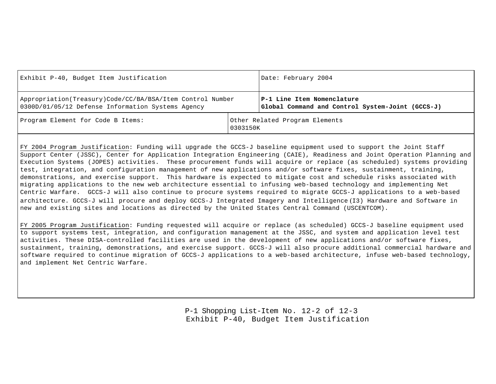| Exhibit P-40, Budget Item Justification                                                                        |          | Date: February 2004                                                            |
|----------------------------------------------------------------------------------------------------------------|----------|--------------------------------------------------------------------------------|
| Appropriation(Treasury)Code/CC/BA/BSA/Item Control Number<br>0300D/01/05/12 Defense Information Systems Agency |          | P-1 Line Item Nomenclature<br>Global Command and Control System-Joint (GCCS-J) |
| Program Element for Code B Items:                                                                              | 0303150K | Other Related Program Elements                                                 |

FY 2004 Program Justification: Funding will upgrade the GCCS-J baseline equipment used to support the Joint Staff Support Center (JSSC), Center for Application Integration Engineering (CAIE), Readiness and Joint Operation Planning and Execution Systems (JOPES) activities. These procurement funds will acquire or replace (as scheduled) systems providing test, integration, and configuration management of new applications and/or software fixes, sustainment, training, demonstrations, and exercise support. This hardware is expected to mitigate cost and schedule risks associated with migrating applications to the new web architecture essential to infusing web-based technology and implementing Net Centric Warfare. GCCS-J will also continue to procure systems required to migrate GCCS-J applications to a web-based architecture. GCCS-J will procure and deploy GCCS-J Integrated Imagery and Intelligence (I3) Hardware and Software in new and existing sites and locations as directed by the United States Central Command (USCENTCOM).

FY 2005 Program Justification: Funding requested will acquire or replace (as scheduled) GCCS-J baseline equipment used to support systems test, integration, and configuration management at the JSSC, and system and application level test activities. These DISA-controlled facilities are used in the development of new applications and/or software fixes, sustainment, training, demonstrations, and exercise support. GCCS-J will also procure additional commercial hardware and software required to continue migration of GCCS-J applications to a web-based architecture, infuse web-based technology, and implement Net Centric Warfare.

> P-1 Shopping List-Item No. 12-2 of 12-3 Exhibit P-40, Budget Item Justification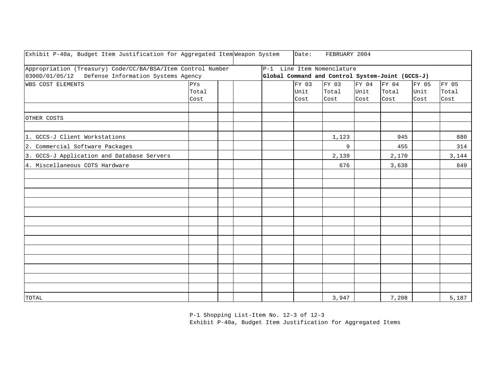| Exhibit P-40a, Budget Item Justification for Aggregated Item Weapon System |       |  | Date: | FEBRUARY 2004                                    |       |       |       |       |
|----------------------------------------------------------------------------|-------|--|-------|--------------------------------------------------|-------|-------|-------|-------|
| Appropriation (Treasury) Code/CC/BA/BSA/Item Control Number                |       |  |       | P-1 Line Item Nomenclature                       |       |       |       |       |
| 0300D/01/05/12 Defense Information Systems Agency                          |       |  |       | Global Command and Control System-Joint (GCCS-J) |       |       |       |       |
| <b>WBS COST ELEMENTS</b>                                                   | PYs   |  | FY 03 | FY 03                                            | FY 04 | FY 04 | FY 05 | FY 05 |
|                                                                            | Total |  | Unit  | Total                                            | Unit  | Total | Unit  | Total |
|                                                                            | Cost  |  | Cost  | Cost                                             | Cost  | Cost  | Cost  | Cost  |
|                                                                            |       |  |       |                                                  |       |       |       |       |
| OTHER COSTS                                                                |       |  |       |                                                  |       |       |       |       |
|                                                                            |       |  |       |                                                  |       |       |       |       |
| 1. GCCS-J Client Workstations                                              |       |  |       | 1,123                                            |       | 945   |       | 880   |
| 2. Commercial Software Packages                                            |       |  |       | 9                                                |       | 455   |       | 314   |
| 3. GCCS-J Application and Database Servers                                 |       |  |       | 2,139                                            |       | 2,170 |       | 3,144 |
| 4. Miscellaneous COTS Hardware                                             |       |  |       | 676                                              |       | 3,638 |       | 849   |
|                                                                            |       |  |       |                                                  |       |       |       |       |
|                                                                            |       |  |       |                                                  |       |       |       |       |
|                                                                            |       |  |       |                                                  |       |       |       |       |
|                                                                            |       |  |       |                                                  |       |       |       |       |
|                                                                            |       |  |       |                                                  |       |       |       |       |
|                                                                            |       |  |       |                                                  |       |       |       |       |
|                                                                            |       |  |       |                                                  |       |       |       |       |
|                                                                            |       |  |       |                                                  |       |       |       |       |
|                                                                            |       |  |       |                                                  |       |       |       |       |
|                                                                            |       |  |       |                                                  |       |       |       |       |
|                                                                            |       |  |       |                                                  |       |       |       |       |
|                                                                            |       |  |       |                                                  |       |       |       |       |
|                                                                            |       |  |       |                                                  |       |       |       |       |
| TOTAL                                                                      |       |  |       | 3,947                                            |       | 7,208 |       | 5,187 |

P-1 Shopping List-Item No. 12-3 of 12-3

Exhibit P-40a, Budget Item Justification for Aggregated Items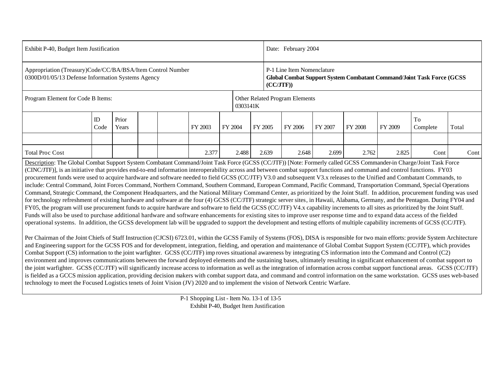| Exhibit P-40, Budget Item Justification                                                                                                                                                                                                                                                                                                                                                                                                                                                                                                                                                                                                                                                                                                                                                                                                                                                                                                                                                                                                                                                                                                                                                                                                                                                                                                                                                                                                                                                                                                                                                                                                                                                                                                                                                                                                                                                                                                                                                                                                                                                                                                                                                                                                                                                                                                                                                                                                                                                                                                                                                                                                                                                                                                                                                                                                                                     |                  |                |  |  |         |         |         | Date: February 2004                                                                                             |         |         |         |         |                |       |  |  |  |
|-----------------------------------------------------------------------------------------------------------------------------------------------------------------------------------------------------------------------------------------------------------------------------------------------------------------------------------------------------------------------------------------------------------------------------------------------------------------------------------------------------------------------------------------------------------------------------------------------------------------------------------------------------------------------------------------------------------------------------------------------------------------------------------------------------------------------------------------------------------------------------------------------------------------------------------------------------------------------------------------------------------------------------------------------------------------------------------------------------------------------------------------------------------------------------------------------------------------------------------------------------------------------------------------------------------------------------------------------------------------------------------------------------------------------------------------------------------------------------------------------------------------------------------------------------------------------------------------------------------------------------------------------------------------------------------------------------------------------------------------------------------------------------------------------------------------------------------------------------------------------------------------------------------------------------------------------------------------------------------------------------------------------------------------------------------------------------------------------------------------------------------------------------------------------------------------------------------------------------------------------------------------------------------------------------------------------------------------------------------------------------------------------------------------------------------------------------------------------------------------------------------------------------------------------------------------------------------------------------------------------------------------------------------------------------------------------------------------------------------------------------------------------------------------------------------------------------------------------------------------------------|------------------|----------------|--|--|---------|---------|---------|-----------------------------------------------------------------------------------------------------------------|---------|---------|---------|---------|----------------|-------|--|--|--|
| Appropriation (Treasury)Code/CC/BA/BSA/Item Control Number<br>0300D/01/05/13 Defense Information Systems Agency                                                                                                                                                                                                                                                                                                                                                                                                                                                                                                                                                                                                                                                                                                                                                                                                                                                                                                                                                                                                                                                                                                                                                                                                                                                                                                                                                                                                                                                                                                                                                                                                                                                                                                                                                                                                                                                                                                                                                                                                                                                                                                                                                                                                                                                                                                                                                                                                                                                                                                                                                                                                                                                                                                                                                             |                  |                |  |  |         |         |         | P-1 Line Item Nomenclature<br>Global Combat Support System Combatant Command/Joint Task Force (GCSS<br>(CC/JTF) |         |         |         |         |                |       |  |  |  |
| Program Element for Code B Items:                                                                                                                                                                                                                                                                                                                                                                                                                                                                                                                                                                                                                                                                                                                                                                                                                                                                                                                                                                                                                                                                                                                                                                                                                                                                                                                                                                                                                                                                                                                                                                                                                                                                                                                                                                                                                                                                                                                                                                                                                                                                                                                                                                                                                                                                                                                                                                                                                                                                                                                                                                                                                                                                                                                                                                                                                                           |                  |                |  |  |         |         |         | Other Related Program Elements<br>0303141K                                                                      |         |         |         |         |                |       |  |  |  |
|                                                                                                                                                                                                                                                                                                                                                                                                                                                                                                                                                                                                                                                                                                                                                                                                                                                                                                                                                                                                                                                                                                                                                                                                                                                                                                                                                                                                                                                                                                                                                                                                                                                                                                                                                                                                                                                                                                                                                                                                                                                                                                                                                                                                                                                                                                                                                                                                                                                                                                                                                                                                                                                                                                                                                                                                                                                                             | $\rm ID$<br>Code | Prior<br>Years |  |  | FY 2003 | FY 2004 | FY 2005 |                                                                                                                 | FY 2006 | FY 2007 | FY 2008 | FY 2009 | To<br>Complete | Total |  |  |  |
|                                                                                                                                                                                                                                                                                                                                                                                                                                                                                                                                                                                                                                                                                                                                                                                                                                                                                                                                                                                                                                                                                                                                                                                                                                                                                                                                                                                                                                                                                                                                                                                                                                                                                                                                                                                                                                                                                                                                                                                                                                                                                                                                                                                                                                                                                                                                                                                                                                                                                                                                                                                                                                                                                                                                                                                                                                                                             |                  |                |  |  |         |         |         |                                                                                                                 |         |         |         |         |                |       |  |  |  |
| <b>Total Proc Cost</b>                                                                                                                                                                                                                                                                                                                                                                                                                                                                                                                                                                                                                                                                                                                                                                                                                                                                                                                                                                                                                                                                                                                                                                                                                                                                                                                                                                                                                                                                                                                                                                                                                                                                                                                                                                                                                                                                                                                                                                                                                                                                                                                                                                                                                                                                                                                                                                                                                                                                                                                                                                                                                                                                                                                                                                                                                                                      |                  |                |  |  | 2.377   | 2.488   |         | 2.639                                                                                                           | 2.648   | 2.699   | 2.762   | 2.825   | Cont           | Cont  |  |  |  |
| Description: The Global Combat Support System Combatant Command/Joint Task Force (GCSS (CC/JTF)) [Note: Formerly called GCSS Commander-in Charge/Joint Task Force<br>(CINC/JTF)], is an initiative that provides end-to-end information interoperability across and between combat support functions and command and control functions. FY03<br>procurement funds were used to acquire hardware and software needed to field GCSS (CC/JTF) V3.0 and subsequent V3.x releases to the Unified and Combatant Commands, to<br>include: Central Command, Joint Forces Command, Northern Command, Southern Command, European Command, Pacific Command, Transportation Command, Special Operations<br>Command, Strategic Command, the Component Headquarters, and the National Military Command Center, as prioritized by the Joint Staff. In addition, procurement funding was used<br>for technology refreshment of existing hardware and software at the four (4) GCSS (CC/JTF) strategic server sites, in Hawaii, Alabama, Germany, and the Pentagon. During FY04 and<br>FY05, the program will use procurement funds to acquire hardware and software to field the GCSS (CC/JTF) V4.x capability increments to all sites as prioritized by the Joint Staff.<br>Funds will also be used to purchase additional hardware and software enhancements for existing sites to improve user response time and to expand data access of the fielded<br>operational systems. In addition, the GCSS development lab will be upgraded to support the development and testing efforts of multiple capability increments of GCSS (CC/JTF).<br>Per Chairman of the Joint Chiefs of Staff Instruction (CJCSI) 6723.01, within the GCSS Family of Systems (FOS), DISA is responsible for two main efforts: provide System Architecture<br>and Engineering support for the GCSS FOS and for development, integration, fielding, and operation and maintenance of Global Combat Support System (CC/JTF), which provides<br>Combat Support (CS) information to the joint warfighter. GCSS (CC/JTF) improves situational awareness by integrating CS information into the Command and Control (C2)<br>environment and improves communications between the forward deployed elements and the sustaining bases, ultimately resulting in significant enhancement of combat support to<br>the joint warfighter. GCSS (CC/JTF) will significantly increase access to information as well as the integration of information across combat support functional areas. GCSS (CC/JTF)<br>is fielded as a GCCS mission application, providing decision makers with combat support data, and command and control information on the same workstation. GCSS uses web-based<br>technology to meet the Focused Logistics tenets of Joint Vision (JV) 2020 and to implement the vision of Network Centric Warfare. |                  |                |  |  |         |         |         |                                                                                                                 |         |         |         |         |                |       |  |  |  |

P-1 Shopping List - Item No. 13-1 of 13-5 Exhibit P-40, Budget Item Justification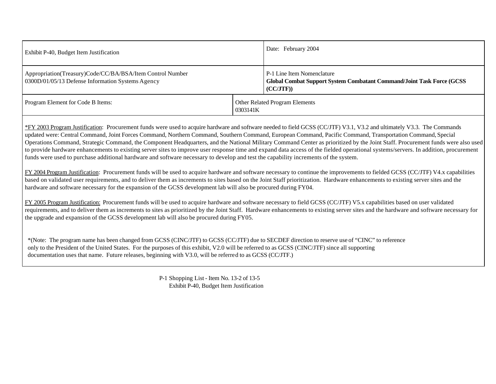| Exhibit P-40, Budget Item Justification                                                                        |          | Date: February 2004                                                                                                     |
|----------------------------------------------------------------------------------------------------------------|----------|-------------------------------------------------------------------------------------------------------------------------|
| Appropriation(Treasury)Code/CC/BA/BSA/Item Control Number<br>0300D/01/05/13 Defense Information Systems Agency |          | P-1 Line Item Nomenclature<br><b>Global Combat Support System Combatant Command/Joint Task Force (GCSS)</b><br>(CC/JTF) |
| Program Element for Code B Items:                                                                              | 0303141K | Other Related Program Elements                                                                                          |

\*FY 2003 Program Justification: Procurement funds were used to acquire hardware and software needed to field GCSS (CC/JTF) V3.1, V3.2 and ultimately V3.3. The Commands updated were: Central Command, Joint Forces Command, Northern Command, Southern Command, European Command, Pacific Command, Transportation Command, Special Operations Command, Strategic Command, the Component Headquarters, and the National Military Command Center as prioritized by the Joint Staff. Procurement funds were also used to provide hardware enhancements to existing server sites to improve user response time and expand data access of the fielded operational systems/servers. In addition, procurement funds were used to purchase additional hardware and software necessary to develop and test the capability increments of the system.

FY 2004 Program Justification: Procurement funds will be used to acquire hardware and software necessary to continue the improvements to fielded GCSS (CC/JTF) V4.x capabilities based on validated user requirements, and to deliver them as increments to sites based on the Joint Staff prioritization. Hardware enhancements to existing server sites and the hardware and software necessary for the expansion of the GCSS development lab will also be procured during FY04.

FY 2005 Program Justification: Procurement funds will be used to acquire hardware and software necessary to field GCSS (CC/JTF) V5.x capabilities based on user validated requirements, and to deliver them as increments to sites as prioritized by the Joint Staff. Hardware enhancements to existing server sites and the hardware and software necessary for the upgrade and expansion of the GCSS development lab will also be procured during FY05.

 \*(Note: The program name has been changed from GCSS (CINC/JTF) to GCSS (CC/JTF) due to SECDEF direction to reserve use of "CINC" to reference only to the President of the United States. For the purposes of this exhibit, V2.0 will be referred to as GCSS (CINC/JTF) since all supporting documentation uses that name. Future releases, beginning with V3.0, will be referred to as GCSS (CC/JTF.)

> P-1 Shopping List - Item No. 13-2 of 13-5 Exhibit P-40, Budget Item Justification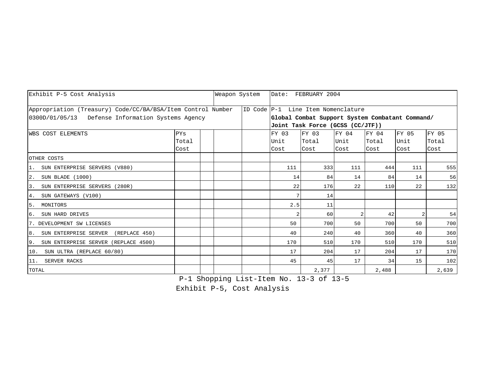| Exhibit P-5 Cost Analysis                                   |                                                         |  |  | Weapon System |                | Date: FEBRUARY 2004                             |                |       |      |       |
|-------------------------------------------------------------|---------------------------------------------------------|--|--|---------------|----------------|-------------------------------------------------|----------------|-------|------|-------|
| Appropriation (Treasury) Code/CC/BA/BSA/Item Control Number |                                                         |  |  |               |                | ID Code P-1 Line Item Nomenclature              |                |       |      |       |
| 0300D/01/05/13 Defense Information Systems Agency           |                                                         |  |  |               |                | Global Combat Support System Combatant Command/ |                |       |      |       |
|                                                             |                                                         |  |  |               |                | Joint Task Force (GCSS (CC/JTF))                |                |       |      |       |
| <b>WBS COST ELEMENTS</b>                                    | FY 05<br>FY 03<br>FY 03<br>FY 04<br>FY 04<br><b>PYS</b> |  |  |               |                |                                                 |                |       |      | FY 05 |
|                                                             | Total                                                   |  |  |               | Unit           | Total                                           | Unit           | Total | Unit | Total |
|                                                             | Cost                                                    |  |  |               | Cost           | Cost                                            | Cost           | Cost  | Cost | Cost  |
| OTHER COSTS                                                 |                                                         |  |  |               |                |                                                 |                |       |      |       |
| 1. SUN ENTERPRISE SERVERS (V880)                            |                                                         |  |  |               | 111            | 333                                             | 111            | 444   | 111  | 555   |
| 2. SUN BLADE (1000)                                         |                                                         |  |  |               | 14             | 84                                              | 14             | 84    | 14   | 56    |
| SUN ENTERPRISE SERVERS (280R)<br>3.                         |                                                         |  |  |               | 22             | 176                                             | 22             | 110   | 22   | 132   |
| 4. SUN GATEWAYS (V100)                                      |                                                         |  |  |               |                | 14                                              |                |       |      |       |
| 5. MONITORS                                                 |                                                         |  |  |               | 2.5            | 11                                              |                |       |      |       |
| SUN HARD DRIVES<br>6.                                       |                                                         |  |  |               | $\overline{2}$ | 60                                              | $\overline{2}$ | 42    |      | 54    |
| 7. DEVELOPMENT SW LICENSES                                  |                                                         |  |  |               | 50             | 700                                             | 50             | 700   | 50   | 700   |
| 8. SUN ENTERPRISE SERVER<br>(REPLACE 450)                   |                                                         |  |  |               | 40             | 240                                             | 40             | 360   | 40   | 360   |
| 9. SUN ENTERPRISE SERVER (REPLACE 4500)                     |                                                         |  |  |               | 170            | 510                                             | 170            | 510   | 170  | 510   |
| 10. SUN ULTRA (REPLACE 60/80)                               |                                                         |  |  |               | 17             | 204                                             | 17             | 204   | 17   | 170   |
| 11. SERVER RACKS                                            |                                                         |  |  |               | 45             | 45                                              | 17             | 34    | 15   | 102   |
| TOTAL                                                       |                                                         |  |  |               |                | 2,377                                           |                | 2,488 |      | 2,639 |

P-1 Shopping List-Item No. 13-3 of 13-5

Exhibit P-5, Cost Analysis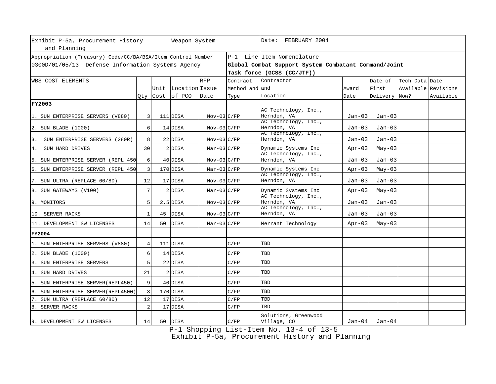| Exhibit P-5a, Procurement History<br>and Planning           |                |    | Weapon System       |                 |                | Date: FEBRUARY 2004                                  |          |               |                     |           |  |  |  |
|-------------------------------------------------------------|----------------|----|---------------------|-----------------|----------------|------------------------------------------------------|----------|---------------|---------------------|-----------|--|--|--|
| Appropriation (Treasury) Code/CC/BA/BSA/Item Control Number |                |    |                     |                 |                | P-1 Line Item Nomenclature                           |          |               |                     |           |  |  |  |
| 0300D/01/05/13 Defense Information Systems Agency           |                |    |                     |                 |                | Global Combat Support System Combatant Command/Joint |          |               |                     |           |  |  |  |
|                                                             |                |    |                     |                 |                | Task force (GCSS (CC/JTF))                           |          |               |                     |           |  |  |  |
| <b>WBS COST ELEMENTS</b>                                    |                |    |                     | <b>RFP</b>      | Contract       | Contractor                                           |          | Date of       | Tech Data Date      |           |  |  |  |
|                                                             |                |    | Unit Location Issue |                 | Method and and |                                                      | Award    | First         | Available Revisions |           |  |  |  |
|                                                             |                |    | Qty Cost of PCO     | Date            | Type           | Location                                             | Date     | Delivery Now? |                     | Available |  |  |  |
| <b>FY2003</b>                                               |                |    |                     |                 |                |                                                      |          |               |                     |           |  |  |  |
|                                                             |                |    |                     |                 |                | AC Technology, Inc.,                                 |          |               |                     |           |  |  |  |
| 1. SUN ENTERPRISE SERVERS (V880)                            | 3              |    | 111 DISA            | $Nov-03$ $C/FP$ |                | Herndon, VA<br>AC Technology, Inc.,                  | $Jan-03$ | $Jan-03$      |                     |           |  |  |  |
| 2. SUN BLADE (1000)                                         | 6              |    | 14 DISA             | $Nov-03$ $C/FP$ |                | Herndon, VA                                          | $Jan-03$ | $Jan-03$      |                     |           |  |  |  |
|                                                             |                |    |                     |                 |                | AC Technology, Inc.,                                 |          |               |                     |           |  |  |  |
| 3. SUN ENTERPRISE SERVERS (280R)                            | 8              |    | 22 DISA             | $Nov-03$ $C/FP$ |                | Herndon, VA                                          | $Jan-03$ | $Jan-03$      |                     |           |  |  |  |
| 4. SUN HARD DRIVES                                          | 30             |    | 2 DISA              | $Mar-03 C/FP$   |                | Dynamic Systems Inc                                  | $Apr-03$ | $May-03$      |                     |           |  |  |  |
| 5. SUN ENTERPRISE SERVER (REPL 450                          | 6              |    | 40 DISA             | $Nov-03$ $C/FP$ |                | AC Technology, Inc.,<br>Herndon, VA                  | $Jan-03$ | $Jan-03$      |                     |           |  |  |  |
| 6. SUN ENTERPRISE SERVER (REPL 450                          | 3              |    | 170 DISA            | $Mar-03$ $C/FP$ |                | Dynamic Systems Inc                                  | $Apr-03$ | $May-03$      |                     |           |  |  |  |
| 7. SUN ULTRA (REPLACE 60/80)                                | 12             |    | 17 DISA             | $Nov-03$ $C/FP$ |                | AC Technology, Inc.,<br>Herndon, VA                  | $Jan-03$ | $Jan-03$      |                     |           |  |  |  |
| 8. SUN GATEWAYS (V100)                                      | 7              |    | $2$ DISA            | $Mar-03$ $C/FP$ |                | Dynamic Systems Inc                                  | $Apr-03$ | $May-03$      |                     |           |  |  |  |
| 9. MONITORS                                                 | 5              |    | $2.5$ DISA          | $Nov-03$ $C/FP$ |                | AC Technology, Inc.,<br>Herndon, VA                  | Jan-03   | $Jan-03$      |                     |           |  |  |  |
| 10. SERVER RACKS                                            | 1              | 45 | <b>DISA</b>         | $Nov-03$ $C/FP$ |                | AC Technology, Inc.,<br>Herndon, VA                  | Jan-03   | $Jan-03$      |                     |           |  |  |  |
| 11. DEVELOPMENT SW LICENSES                                 | 14             | 50 | <b>DISA</b>         | $Mar-03$ $C/FP$ |                | Merrant Technology                                   | $Apr-03$ | $May-03$      |                     |           |  |  |  |
| <b>FY2004</b>                                               |                |    |                     |                 |                |                                                      |          |               |                     |           |  |  |  |
| 1. SUN ENTERPRISE SERVERS (V880)                            | 4              |    | 111 DISA            |                 | C/FP           | TBD                                                  |          |               |                     |           |  |  |  |
| 2. SUN BLADE (1000)                                         | 6              |    | 14 DISA             |                 | C/FP           | TBD                                                  |          |               |                     |           |  |  |  |
| 3. SUN ENTERPRISE SERVERS                                   | 5              |    | 22 DISA             |                 | C/FP           | TBD                                                  |          |               |                     |           |  |  |  |
| 4. SUN HARD DRIVES                                          | 21             |    | 2 DISA              |                 | C/FP           | TBD                                                  |          |               |                     |           |  |  |  |
| 5. SUN ENTERPRISE SERVER(REPL450)                           | 9              |    | 40 DISA             |                 | C/FP           | TBD                                                  |          |               |                     |           |  |  |  |
| 6. SUN ENTERPRISE SERVER(REPL4500)                          | 3              |    | 170 DISA            |                 | C/FP           | TBD                                                  |          |               |                     |           |  |  |  |
| 7. SUN ULTRA (REPLACE 60/80)                                | 12             |    | 17 DISA             |                 | C/FP           | TBD                                                  |          |               |                     |           |  |  |  |
| 8. SERVER RACKS                                             | $\overline{2}$ |    | 17 DISA             |                 | C/FP           | TBD                                                  |          |               |                     |           |  |  |  |
| 9. DEVELOPMENT SW LICENSES                                  | 14             |    | 50 DISA             |                 | C/FP           | Solutions, Greenwood<br>Village, CO                  | $Jan-04$ | Jan-04        |                     |           |  |  |  |

P-1 Shopping List-Item No. 13-4 of 13-5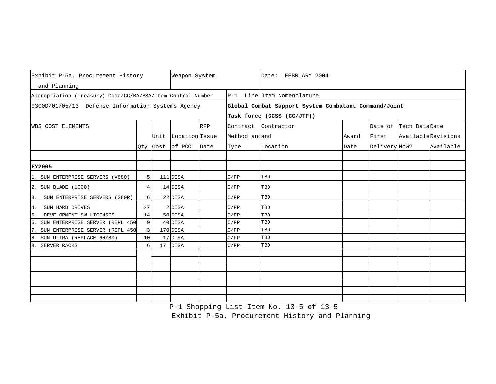| Exhibit P-5a, Procurement History                           |                | Weapon System       | Date: FEBRUARY 2004 |                |                                                      |       |               |                       |                    |
|-------------------------------------------------------------|----------------|---------------------|---------------------|----------------|------------------------------------------------------|-------|---------------|-----------------------|--------------------|
| and Planning                                                |                |                     |                     |                |                                                      |       |               |                       |                    |
| Appropriation (Treasury) Code/CC/BA/BSA/Item Control Number |                |                     |                     |                | P-1 Line Item Nomenclature                           |       |               |                       |                    |
| 0300D/01/05/13 Defense Information Systems Agency           |                |                     |                     |                | Global Combat Support System Combatant Command/Joint |       |               |                       |                    |
|                                                             |                |                     |                     |                | Task force (GCSS (CC/JTF))                           |       |               |                       |                    |
| WBS COST ELEMENTS                                           |                |                     | <b>RFP</b>          | Contract       | Contractor                                           |       |               | Date of Tech DataDate |                    |
|                                                             |                | Unit Location Issue |                     | Method and and |                                                      | Award | First         |                       | AvailableRevisions |
|                                                             |                | Qty Cost of PCO     | Date                | Type           | Location                                             | Date  | Delivery Now? |                       | Available          |
|                                                             |                |                     |                     |                |                                                      |       |               |                       |                    |
|                                                             |                |                     |                     |                |                                                      |       |               |                       |                    |
| <b>FY2005</b>                                               |                |                     |                     |                |                                                      |       |               |                       |                    |
| 1. SUN ENTERPRISE SERVERS (V880)                            | 5 <sup>1</sup> | 111 DISA            |                     | C/FP           | TBD                                                  |       |               |                       |                    |
| 2. SUN BLADE (1000)                                         | 4              | 14 DISA             |                     | C/FP           | TBD                                                  |       |               |                       |                    |
| SUN ENTERPRISE SERVERS (280R)<br>3.                         | 6              | 22 DISA             |                     | C/FP           | TBD                                                  |       |               |                       |                    |
| SUN HARD DRIVES<br>4.                                       | 27             | 2 DISA              |                     | C/FP           | TBD                                                  |       |               |                       |                    |
| 5.<br>DEVELOPMENT SW LICENSES                               | 14             | 50 DISA             |                     | C/FP           | TBD                                                  |       |               |                       |                    |
| 6. SUN ENTERPRISE SERVER (REPL 450                          | 9              | 40 DISA             |                     | C/FP           | TBD                                                  |       |               |                       |                    |
| SUN ENTERPRISE SERVER (REPL 450                             | $\overline{3}$ | 170 DISA            |                     | C/FP           | TBD                                                  |       |               |                       |                    |
| 8. SUN ULTRA (REPLACE 60/80)                                | 10             | 17 DISA             |                     | C/FP           | TBD                                                  |       |               |                       |                    |
| SERVER RACKS<br>9                                           | 6              | 17 DISA             |                     | C/FP           | TBD                                                  |       |               |                       |                    |
|                                                             |                |                     |                     |                |                                                      |       |               |                       |                    |
|                                                             |                |                     |                     |                |                                                      |       |               |                       |                    |
|                                                             |                |                     |                     |                |                                                      |       |               |                       |                    |
|                                                             |                |                     |                     |                |                                                      |       |               |                       |                    |
|                                                             |                |                     |                     |                |                                                      |       |               |                       |                    |
|                                                             |                |                     |                     |                |                                                      |       |               |                       |                    |
|                                                             |                |                     |                     |                |                                                      |       |               |                       |                    |

P-1 Shopping List-Item No. 13-5 of 13-5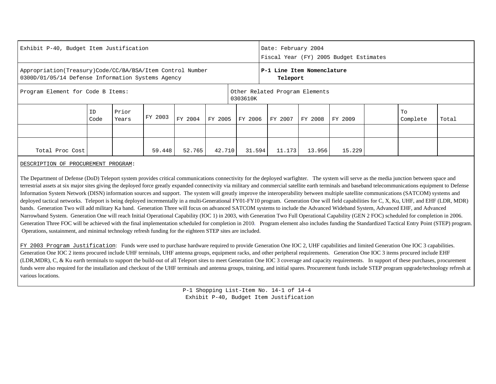| Exhibit P-40, Budget Item Justification                                                                        |            |                |         |         |         |                                            | Date: February 2004<br>Fiscal Year (FY) 2005 Budget Estimates |         |         |  |                |       |  |  |  |
|----------------------------------------------------------------------------------------------------------------|------------|----------------|---------|---------|---------|--------------------------------------------|---------------------------------------------------------------|---------|---------|--|----------------|-------|--|--|--|
| Appropriation(Treasury)Code/CC/BA/BSA/Item Control Number<br>0300D/01/05/14 Defense Information Systems Agency |            |                |         |         |         |                                            | P-1 Line Item Nomenclature<br>Teleport                        |         |         |  |                |       |  |  |  |
| Program Element for Code B Items:                                                                              |            |                |         |         |         | Other Related Program Elements<br>0303610K |                                                               |         |         |  |                |       |  |  |  |
|                                                                                                                | ID<br>Code | Prior<br>Years | FY 2003 | FY 2004 | FY 2005 | FY 2006                                    | FY 2007                                                       | FY 2008 | FY 2009 |  | To<br>Complete | Total |  |  |  |
|                                                                                                                |            |                |         |         |         |                                            |                                                               |         |         |  |                |       |  |  |  |
| 42.710<br>Total Proc Cost<br>59.448<br>52.765                                                                  |            |                |         |         |         |                                            | 11.173<br>31.594                                              | 13.956  | 15.229  |  |                |       |  |  |  |

DESCRIPTION OF PROCUREMENT PROGRAM:

The Department of Defense (DoD) Teleport system provides critical communications connectivity for the deployed warfighter. The system will serve as the media junction between space and terrestrial assets at six major sites giving the deployed force greatly expanded connectivity via military and commercial satellite earth terminals and baseband telecommunications equipment to Defense Information System Network (DISN) information sources and support. The system will greatly improve the interoperability between multiple satellite communications (SATCOM) systems and deployed tactical networks. Teleport is being deployed incrementally in a multi-Generational FY01-FY10 program. Generation One will field capabilities for C, X, Ku, UHF, and EHF (LDR, MDR) bands. Generation Two will add military Ka band. Generation Three will focus on advanced SATCOM systems to include the Advanced Wideband System, Advanced EHF, and Advanced Narrowband System. Generation One will reach Initial Operational Capability (IOC 1) in 2003, with Generation Two Full Operational Capability (GEN 2 FOC) scheduled for completion in 2006. Generation Three FOC will be achieved with the final implementation scheduled for completion in 2010. Program element also includes funding the Standardized Tactical Entry Point (STEP) program. Operations, sustainment, and minimal technology refresh funding for the eighteen STEP sites are included.

FY 2003 Program Justification: Funds were used to purchase hardware required to provide Generation One IOC 2, UHF capabilities and limited Generation One IOC 3 capabilities. Generation One IOC 2 items procured include UHF terminals, UHF antenna groups, equipment racks, and other peripheral requirements. Generation One IOC 3 items procured include EHF (LDR,MDR), C, & Ku earth terminals to support the build-out of all Teleport sites to meet Generation One IOC 3 coverage and capacity requirements. In support of these purchases, procurement funds were also required for the installation and checkout of the UHF terminals and antenna groups, training, and initial spares. Procurement funds include STEP program upgrade/technology refresh at various locations.

> P-1 Shopping List-Item No. 14-1 of 14-4 Exhibit P-40, Budget Item Justification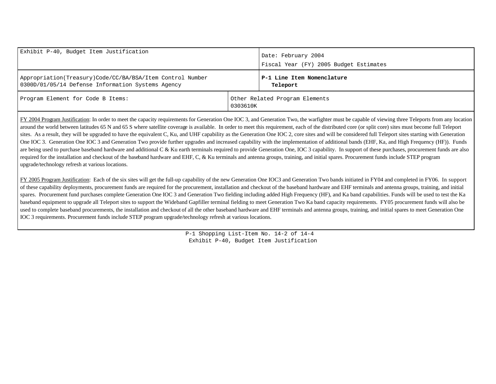| Exhibit P-40, Budget Item Justification                                                                        | Date: February 2004<br>Fiscal Year (FY) 2005 Budget Estimates |                                        |
|----------------------------------------------------------------------------------------------------------------|---------------------------------------------------------------|----------------------------------------|
| Appropriation(Treasury)Code/CC/BA/BSA/Item Control Number<br>0300D/01/05/14 Defense Information Systems Agency |                                                               | P-1 Line Item Nomenclature<br>Teleport |
| Program Element for Code B Items:                                                                              | 0303610K                                                      | Other Related Program Elements         |

FY 2004 Program Justification: In order to meet the capacity requirements for Generation One IOC 3, and Generation Two, the warfighter must be capable of viewing three Teleports from any location around the world between latitudes 65 N and 65 S where satellite coverage is available. In order to meet this requirement, each of the distributed core (or split core) sites must become full Teleport sites. As a result, they will be upgraded to have the equivalent C, Ku, and UHF capability as the Generation One IOC 2, core sites and will be considered full Teleport sites starting with Generation One IOC 3. Generation One IOC 3 and Generation Two provide further upgrades and increased capability with the implementation of additional bands (EHF, Ka, and High Frequency (HF)). Funds are being used to purchase baseband hardware and additional C & Ku earth terminals required to provide Generation One, IOC 3 capability. In support of these purchases, procurement funds are also required for the installation and checkout of the baseband hardware and EHF, C, & Ku terminals and antenna groups, training, and initial spares. Procurement funds include STEP program upgrade/technology refresh at various locations.

FY 2005 Program Justification: Each of the six sites will get the full-up capability of the new Generation One IOC3 and Generation Two bands initiated in FY04 and completed in FY06. In support of these capability deployments, procurement funds are required for the procurement, installation and checkout of the baseband hardware and EHF terminals and antenna groups, training, and initial spares. Procurement fund purchases complete Generation One IOC 3 and Generation Two fielding including added High Frequency (HF), and Ka band capabilities. Funds will be used to test the Ka baseband equipment to upgrade all Teleport sites to support the Wideband Gapfiller terminal fielding to meet Generation Two Ka band capacity requirements. FY05 procurement funds will also be used to complete baseband procurements, the installation and checkout of all the other baseband hardware and EHF terminals and antenna groups, training, and initial spares to meet Generation One IOC 3 requirements. Procurement funds include STEP program upgrade/technology refresh at various locations.

> P-1 Shopping List-Item No. 14-2 of 14-4 Exhibit P-40, Budget Item Justification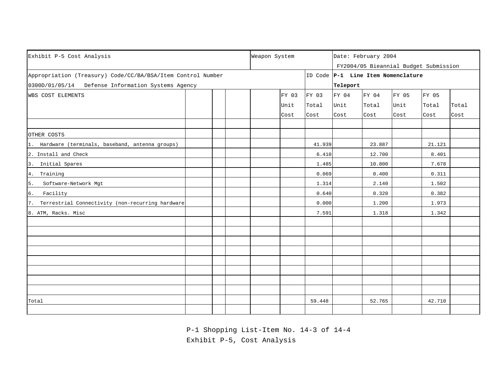| Exhibit P-5 Cost Analysis                                   |  |  |  |  |       |        | Date: February 2004<br>FY2004/05 Bieannial Budget Submission |                                    |       |        |       |  |
|-------------------------------------------------------------|--|--|--|--|-------|--------|--------------------------------------------------------------|------------------------------------|-------|--------|-------|--|
| Appropriation (Treasury) Code/CC/BA/BSA/Item Control Number |  |  |  |  |       |        |                                                              | ID Code P-1 Line Item Nomenclature |       |        |       |  |
| 0300D/01/05/14 Defense Information Systems Agency           |  |  |  |  |       |        | Teleport                                                     |                                    |       |        |       |  |
| WBS COST ELEMENTS                                           |  |  |  |  | FY 03 | FY 03  | FY 04                                                        | FY 04                              | FY 05 | FY 05  |       |  |
|                                                             |  |  |  |  | Unit  | Total  | Unit                                                         | Total                              | Unit  | Total  | Total |  |
|                                                             |  |  |  |  | Cost  | Cost   | Cost                                                         | Cost                               | Cost  | Cost   | Cost  |  |
|                                                             |  |  |  |  |       |        |                                                              |                                    |       |        |       |  |
| OTHER COSTS                                                 |  |  |  |  |       |        |                                                              |                                    |       |        |       |  |
| 1. Hardware (terminals, baseband, antenna groups)           |  |  |  |  |       | 41.939 |                                                              | 23.887                             |       | 21.121 |       |  |
| 2. Install and Check                                        |  |  |  |  |       | 6.410  |                                                              | 12.700                             |       | 8.401  |       |  |
| 3. Initial Spares                                           |  |  |  |  |       | 1.485  |                                                              | 10.800                             |       | 7.678  |       |  |
| 4. Training                                                 |  |  |  |  |       | 0.069  |                                                              | 0.400                              |       | 0.311  |       |  |
| 5.<br>Software-Network Mgt                                  |  |  |  |  |       | 1.314  |                                                              | 2.140                              |       | 1.502  |       |  |
| $\,$ 6 .<br>Facility                                        |  |  |  |  |       | 0.640  |                                                              | 0.320                              |       | 0.382  |       |  |
| 7. Terrestrial Connectivity (non-recurring hardware         |  |  |  |  |       | 0.000  |                                                              | 1.200                              |       | 1.973  |       |  |
| 8. ATM, Racks. Misc                                         |  |  |  |  |       | 7.591  |                                                              | 1.318                              |       | 1.342  |       |  |
|                                                             |  |  |  |  |       |        |                                                              |                                    |       |        |       |  |
|                                                             |  |  |  |  |       |        |                                                              |                                    |       |        |       |  |
|                                                             |  |  |  |  |       |        |                                                              |                                    |       |        |       |  |
|                                                             |  |  |  |  |       |        |                                                              |                                    |       |        |       |  |
|                                                             |  |  |  |  |       |        |                                                              |                                    |       |        |       |  |
|                                                             |  |  |  |  |       |        |                                                              |                                    |       |        |       |  |
|                                                             |  |  |  |  |       |        |                                                              |                                    |       |        |       |  |
|                                                             |  |  |  |  |       |        |                                                              |                                    |       |        |       |  |
| Total                                                       |  |  |  |  |       | 59.448 |                                                              | 52.765                             |       | 42.710 |       |  |
|                                                             |  |  |  |  |       |        |                                                              |                                    |       |        |       |  |

P-1 Shopping List-Item No. 14-3 of 14-4

Exhibit P-5, Cost Analysis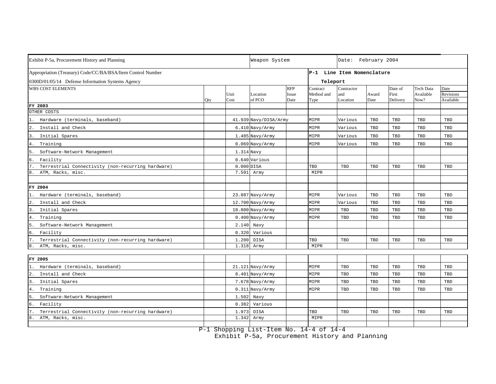| Exhibit P-5a, Procurement History and Planning                              |     | Weapon System  | Date: February 2004   |                             |                                |                               |               |                              |                                       |                                |
|-----------------------------------------------------------------------------|-----|----------------|-----------------------|-----------------------------|--------------------------------|-------------------------------|---------------|------------------------------|---------------------------------------|--------------------------------|
| Appropriation (Treasury) Code/CC/BA/BSA/Item Control Number                 |     |                |                       |                             |                                | P-1 Line Item Nomenclature    |               |                              |                                       |                                |
| 0300D/01/05/14 Defense Information Systems Agency                           |     |                |                       |                             | Teleport                       |                               |               |                              |                                       |                                |
| <b>WBS COST ELEMENTS</b>                                                    | Qty | Unit<br>Cost   | Location<br>of PCO    | <b>RFP</b><br>Issue<br>Date | Contract<br>Method and<br>Type | Contractor<br>and<br>Location | Award<br>Date | Date of<br>First<br>Delivery | <b>Tech Data</b><br>Available<br>Now? | Date<br>Revisions<br>Available |
| FY 2003                                                                     |     |                |                       |                             |                                |                               |               |                              |                                       |                                |
| OTHER COSTS                                                                 |     |                |                       |                             |                                |                               |               |                              |                                       |                                |
| Hardware (terminals, baseband)                                              |     |                | 41.939 Navy/DISA/Army |                             | MIPR                           | Various                       | TBD           | TBD                          | TBD                                   | TBD                            |
| Install and Check<br>$\overline{2}$ .                                       |     |                | $6.410$ Navy/Army     |                             | MIPR                           | Various                       | TBD           | TBD                          | TBD                                   | TBD                            |
| Initial Spares<br>3                                                         |     |                | $1.485$ Navy/Army     |                             | MIPR                           | Various                       | TBD           | TBD                          | TBD                                   | TBD                            |
| 4. Training                                                                 |     |                | $0.069$ Navy/Army     |                             | MIPR                           | Various                       | TBD           | TBD                          | TBD                                   | TBD                            |
| 5.<br>Software-Network Management                                           |     | 1.314 Navy     |                       |                             |                                |                               |               |                              |                                       |                                |
| 6.<br>Facility                                                              |     |                | 0.640 Various         |                             |                                |                               |               |                              |                                       |                                |
| $7\overline{ }$<br>Terrestrial Connectivity (non-recurring hardware)        |     |                | $0.000$ DISA          |                             | TBD                            | TBD                           | TBD           | TBD                          | TBD                                   | TBD                            |
| 8<br>ATM, Racks, misc.                                                      |     | 7.591          | Army                  |                             | MIPR                           |                               |               |                              |                                       |                                |
|                                                                             |     |                |                       |                             |                                |                               |               |                              |                                       |                                |
| FY 2004                                                                     |     |                |                       |                             |                                |                               |               |                              |                                       |                                |
| Hardware (terminals, baseband)                                              |     |                | 23.887 Navy/Army      |                             | MIPR                           | Various                       | TBD           | TBD                          | TBD                                   | TBD                            |
| 2.<br>Install and Check                                                     |     |                | 12.700 Navy/Army      |                             | MIPR                           | Various                       | TBD           | TBD                          | TBD                                   | TBD                            |
| 3<br>Initial Spares                                                         |     |                | 10.800 Navy/Army      |                             | MIPR                           | TBD                           | TBD           | TBD                          | TBD                                   | TBD                            |
| 4.<br>Training                                                              |     |                | $0.400$ Navy/Army     |                             | MIPR                           | TBD                           | TBD           | TBD                          | TBD                                   | TBD                            |
| 5<br>Software-Network Management                                            |     |                | 2.140 Navy            |                             |                                |                               |               |                              |                                       |                                |
| б.<br>Facility                                                              |     |                | $0.320$ Various       |                             |                                |                               |               |                              |                                       |                                |
| Terrestrial Connectivity (non-recurring hardware)                           |     | 1.200          | DISA                  |                             | TBD                            | TBD                           | TBD           | TBD                          | TBD                                   | TBD                            |
| 8.<br>ATM, Racks, misc.                                                     |     |                | 1.318 Army            |                             | MIPR                           |                               |               |                              |                                       |                                |
|                                                                             |     |                |                       |                             |                                |                               |               |                              |                                       |                                |
| FY 2005                                                                     |     |                |                       |                             |                                |                               | TBD           |                              | TBD                                   |                                |
| Hardware (terminals, baseband)<br>Install and Check<br>$\overline{2}$       |     |                | 21.121 Navy/Army      |                             | MIPR                           | TBD<br>TBD                    | TBD           | TBD<br>TBD                   | TBD                                   | TBD                            |
|                                                                             |     |                | 8.401 Navy/Army       |                             | MIPR                           |                               |               |                              |                                       | TBD                            |
| Initial Spares<br>3                                                         |     |                | 7.678 Navy/Army       |                             | MIPR                           | TBD                           | TBD           | TBD                          | TBD                                   | TBD                            |
| 4.<br>Training                                                              |     |                | $0.311$ Navy/Army     |                             | MIPR                           | TBD                           | TBD           | TBD                          | TBD                                   | TBD                            |
| 5<br>Software-Network Management                                            |     | 1.502          | Navy                  |                             |                                |                               |               |                              |                                       |                                |
| 6.<br>Facility                                                              |     | 0.382          | Various               |                             |                                |                               |               |                              |                                       |                                |
| Terrestrial Connectivity (non-recurring hardware)<br>ATM, Racks, misc.<br>8 |     | 1.973<br>1.342 | <b>DISA</b><br>Army   |                             | TBD<br>MIPR                    | TBD                           | TBD           | TBD                          | TBD                                   | TBD                            |
|                                                                             |     |                |                       |                             |                                |                               |               |                              |                                       |                                |

P-1 Shopping List-Item No. 14-4 of 14-4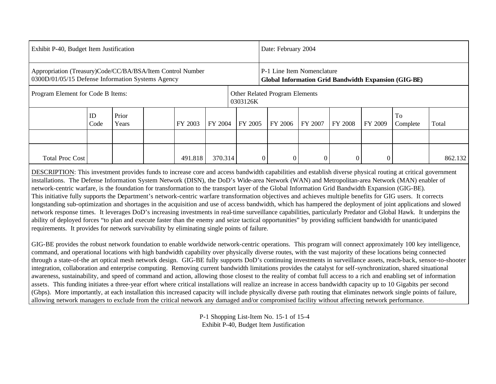| Exhibit P-40, Budget Item Justification                                                                         |            |                |  |         |                                            |  | Date: February 2004 |                |                            |                |         |                                                      |         |  |
|-----------------------------------------------------------------------------------------------------------------|------------|----------------|--|---------|--------------------------------------------|--|---------------------|----------------|----------------------------|----------------|---------|------------------------------------------------------|---------|--|
| Appropriation (Treasury)Code/CC/BA/BSA/Item Control Number<br>0300D/01/05/15 Defense Information Systems Agency |            |                |  |         |                                            |  |                     |                | P-1 Line Item Nomenclature |                |         | Global Information Grid Bandwidth Expansion (GIG-BE) |         |  |
| Program Element for Code B Items:                                                                               |            |                |  |         | Other Related Program Elements<br>0303126K |  |                     |                |                            |                |         |                                                      |         |  |
|                                                                                                                 | ID<br>Code | Prior<br>Years |  | FY 2003 | FY 2004<br>FY 2005                         |  |                     | FY 2006        | FY 2007                    | <b>FY 2008</b> | FY 2009 | To<br>Complete                                       | Total   |  |
|                                                                                                                 |            |                |  |         |                                            |  |                     |                |                            |                |         |                                                      |         |  |
| <b>Total Proc Cost</b>                                                                                          |            |                |  | 491.818 | 370.314                                    |  | 0                   | $\overline{0}$ | $\boldsymbol{0}$           |                |         |                                                      | 862.132 |  |

DESCRIPTION: This investment provides funds to increase core and access bandwidth capabilities and establish diverse physical routing at critical government installations. The Defense Information System Network (DISN), the DoD's Wide-area Network (WAN) and Metropolitan-area Network (MAN) enabler of network-centric warfare, is the foundation for transformation to the transport layer of the Global Information Grid Bandwidth Expansion (GIG-BE). This initiative fully supports the Department's network-centric warfare transformation objectives and achieves multiple benefits for GIG users. It corrects longstanding sub-optimization and shortages in the acquisition and use of access bandwidth, which has hampered the deployment of joint applications and slowed network response times. It leverages DoD's increasing investments in real-time surveillance capabilities, particularly Predator and Global Hawk. It underpins the ability of deployed forces "to plan and execute faster than the enemy and seize tactical opportunities" by providing sufficient bandwidth for unanticipated requirements. It provides for network survivability by eliminating single points of failure.

GIG-BE provides the robust network foundation to enable worldwide network-centric operations. This program will connect approximately 100 key intelligence, command, and operational locations with high bandwidth capability over physically diverse routes, with the vast majority of these locations being connected through a state-of-the art optical mesh network design. GIG-BE fully supports DoD's continuing investments in surveillance assets, reach-back, sensor-to-shooter integration, collaboration and enterprise computing. Removing current bandwidth limitations provides the catalyst for self-synchronization, shared situational awareness, sustainability, and speed of command and action, allowing those closest to the reality of combat full access to a rich and enabling set of information assets. This funding initiates a three-year effort where critical installations will realize an increase in access bandwidth capacity up to 10 Gigabits per second (Gbps). More importantly, at each installation this increased capacity will include physically diverse path routing that eliminates network single points of failure, allowing network managers to exclude from the critical network any damaged and/or compromised facility without affecting network performance.

> P-1 Shopping List-Item No. 15-1 of 15-4 Exhibit P-40, Budget Item Justification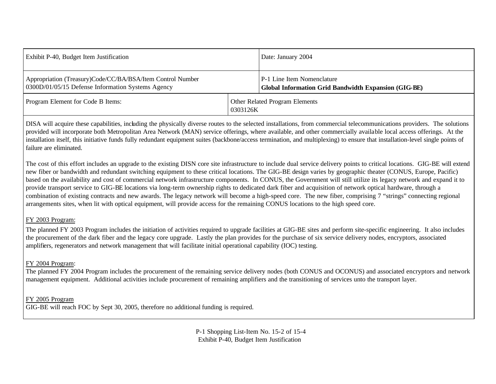| Exhibit P-40, Budget Item Justification                                                                         | Date: January 2004                                                                                |  |  |  |  |
|-----------------------------------------------------------------------------------------------------------------|---------------------------------------------------------------------------------------------------|--|--|--|--|
| Appropriation (Treasury)Code/CC/BA/BSA/Item Control Number<br>0300D/01/05/15 Defense Information Systems Agency | <b>P</b> -1 Line Item Nomenclature<br><b>Global Information Grid Bandwidth Expansion (GIG-BE)</b> |  |  |  |  |
| Program Element for Code B Items:                                                                               | Other Related Program Elements<br>0303126K                                                        |  |  |  |  |

DISA will acquire these capabilities, including the physically diverse routes to the selected installations, from commercial telecommunications providers. The solutions provided will incorporate both Metropolitan Area Network (MAN) service offerings, where available, and other commercially available local access offerings. At the installation itself, this initiative funds fully redundant equipment suites (backbone/access termination, and multiplexing) to ensure that installation-level single points of failure are eliminated.

The cost of this effort includes an upgrade to the existing DISN core site infrastructure to include dual service delivery points to critical locations. GIG-BE will extend new fiber or bandwidth and redundant switching equipment to these critical locations. The GIG-BE design varies by geographic theater (CONUS, Europe, Pacific) based on the availability and cost of commercial network infrastructure components. In CONUS, the Government will still utilize its legacy network and expand it to provide transport service to GIG-BE locations via long-term ownership rights to dedicated dark fiber and acquisition of network optical hardware, through a combination of existing contracts and new awards. The legacy network will become a high-speed core. The new fiber, comprising 7 "strings" connecting regional arrangements sites, when lit with optical equipment, will provide access for the remaining CONUS locations to the high speed core.

## FY 2003 Program:

The planned FY 2003 Program includes the initiation of activities required to upgrade facilities at GIG-BE sites and perform site-specific engineering. It also includes the procurement of the dark fiber and the legacy core upgrade. Lastly the plan provides for the purchase of six service delivery nodes, encryptors, associated amplifiers, regenerators and network management that will facilitate initial operational capability (IOC) testing.

# FY 2004 Program:

The planned FY 2004 Program includes the procurement of the remaining service delivery nodes (both CONUS and OCONUS) and associated encryptors and network management equipment. Additional activities include procurement of remaining amplifiers and the transitioning of services unto the transport layer.

FY 2005 Program GIG-BE will reach FOC by Sept 30, 2005, therefore no additional funding is required.

> P-1 Shopping List-Item No. 15-2 of 15-4 Exhibit P-40, Budget Item Justification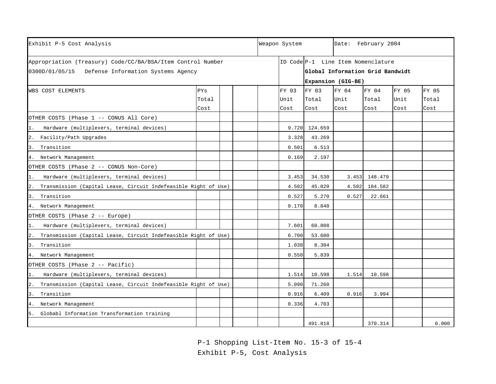| Exhibit P-5 Cost Analysis                                          |       |       |        |       |               |                                    | Date: February 2004 |       |       |  |
|--------------------------------------------------------------------|-------|-------|--------|-------|---------------|------------------------------------|---------------------|-------|-------|--|
| Appropriation (Treasury) Code/CC/BA/BSA/Item Control Number        |       |       |        |       |               | ID Code P-1 Line Item Nomenclature |                     |       |       |  |
| 0300D/01/05/15 Defense Information Systems Agency                  |       |       |        |       |               | Global Information Grid Bandwidt   |                     |       |       |  |
|                                                                    |       |       |        |       |               | Expansion (GIG-BE)                 |                     |       |       |  |
| <b>WBS COST ELEMENTS</b>                                           | PYs   |       |        | FY 03 | FY 03         | FY 04                              | FY 04               | FY 05 | FY 05 |  |
|                                                                    | Total |       |        | Unit  | Total         | Unit                               | Total               | Unit  | Total |  |
|                                                                    | Cost  |       |        | Cost  | Cost          | Cost                               | Cost                | Cost  | Cost  |  |
| OTHER COSTS (Phase 1 -- CONUS All Core)                            |       |       |        |       |               |                                    |                     |       |       |  |
| Hardware (multiplexers, terminal devices)<br>$1$ .                 |       |       |        |       | 9.720 124.659 |                                    |                     |       |       |  |
| 2. Facility/Path Upgrades                                          |       |       |        | 3.328 | 43.269        |                                    |                     |       |       |  |
| 3. Transition                                                      |       |       |        | 0.501 | 6.513         |                                    |                     |       |       |  |
| 4. Network Management                                              |       |       |        | 0.169 | 2.197         |                                    |                     |       |       |  |
| OTHER COSTS (Phase 2 -- CONUS Non-Core)                            |       |       |        |       |               |                                    |                     |       |       |  |
| 1. Hardware (multiplexers, terminal devices)                       |       | 3.453 | 34.530 |       | 3.453 148.479 |                                    |                     |       |       |  |
| 2. Transmission (Capital Lease, Circuit Indefeasible Right of Use) |       |       |        | 4.502 | 45.020        |                                    | 4.502 184.582       |       |       |  |
| 3. Transition                                                      |       |       |        | 0.527 | 5.270         | 0.527                              | 22.661              |       |       |  |
| 4. Network Management                                              |       |       |        | 0.170 | 8.840         |                                    |                     |       |       |  |
| OTHER COSTS (Phase 2 -- Europe)                                    |       |       |        |       |               |                                    |                     |       |       |  |
| Hardware (multiplexers, terminal devices)<br>1.                    |       |       |        | 7.601 | 60.808        |                                    |                     |       |       |  |
| 2. Transmission (Capital Lease, Circuit Indefeasible Right of Use) |       |       |        | 6.700 | 53.600        |                                    |                     |       |       |  |
| 3. Transition                                                      |       |       |        | 1.038 | 8.304         |                                    |                     |       |       |  |
| 4. Network Management                                              |       |       |        | 0.550 | 5.839         |                                    |                     |       |       |  |
| OTHER COSTS (Phase 2 -- Pacific)                                   |       |       |        |       |               |                                    |                     |       |       |  |
| Hardware (multiplexers, terminal devices)<br>$1$ .                 |       |       |        | 1.514 | 10.598        | 1.514                              | 10.598              |       |       |  |
| 2. Transmission (Capital Lease, Circuit Indefeasible Right of Use) |       |       |        | 5.090 | 71.260        |                                    |                     |       |       |  |
| 3. Transition                                                      |       |       |        | 0.916 | 6.409         | 0.916                              | 3.994               |       |       |  |
| 4. Network Management                                              |       |       |        | 0.336 | 4.703         |                                    |                     |       |       |  |
| 5. Globabl Information Transformation training                     |       |       |        |       |               |                                    |                     |       |       |  |
|                                                                    |       |       |        |       | 491.818       |                                    | 370.314             |       | 0.000 |  |

P-1 Shopping List-Item No. 15-3 of 15-4

Exhibit P-5, Cost Analysis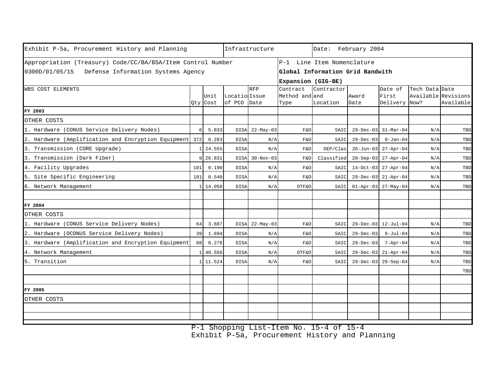| Exhibit P-5a, Procurement History and Planning                                                                   |            |                  | Infrastructure           |                    | Date: February 2004                                                                  |                        |                 |                                   |                                       |           |  |
|------------------------------------------------------------------------------------------------------------------|------------|------------------|--------------------------|--------------------|--------------------------------------------------------------------------------------|------------------------|-----------------|-----------------------------------|---------------------------------------|-----------|--|
| Appropriation (Treasury) Code/CC/BA/BSA/Item Control Number<br>0300D/01/05/15 Defense Information Systems Agency |            |                  |                          |                    | P-1 Line Item Nomenclature<br>Global Information Grid Bandwith<br>Expansion (GIG-BE) |                        |                 |                                   |                                       |           |  |
| WBS COST ELEMENTS                                                                                                |            | Unit<br>Qty Cost | Location Issue<br>of PCO | <b>RFP</b><br>Date | Contract<br>Method and and<br>Type                                                   | Contractor<br>Location | Award<br>Date   | Date of<br>First<br>Delivery Now? | Tech Data Date<br>Available Revisions | Available |  |
| FY 2003                                                                                                          |            |                  |                          |                    |                                                                                      |                        |                 |                                   |                                       |           |  |
| OTHER COSTS                                                                                                      |            |                  |                          |                    |                                                                                      |                        |                 |                                   |                                       |           |  |
| 1. Hardware (CONUS Service Delivery Nodes)                                                                       | $\epsilon$ | 5.833            | <b>DISA</b>              | $22 - May - 03$    | F&O                                                                                  | SAIC                   |                 | 29-Dec-03 31-Mar-04               | N/A                                   | TBD       |  |
| 2. Hardware (Amplification and Encryption Equipment                                                              | 372        | 0.283            | <b>DISA</b>              | N/A                | F&O                                                                                  | SAIC                   | $29 - Dec - 03$ | $9 - Jan-04$                      | N/A                                   | TBD       |  |
| 3. Transmission (CORE Upgrade)                                                                                   |            | 24.555           | <b>DISA</b>              | N/A                | F&O                                                                                  | DEP/Clas               |                 | 26-Jun-03 27-Apr-04               | N/A                                   | TBD       |  |
| 3. Transmission (Dark Fiber)                                                                                     |            | 26.831           |                          | DISA 30-Nov-03     | F&O                                                                                  | Classified             |                 | 20-Sep-03 27-Apr-04               | N/A                                   | TBD       |  |
| 4. Facility Upgrades                                                                                             | 101        | 0.190            | <b>DISA</b>              | N/A                | F&O                                                                                  | SAIC                   |                 | 14-Oct-03 27-Apr-04               | N/A                                   | TBD       |  |
| 5. Site Specific Engineering                                                                                     | 101        | 0.540            | <b>DISA</b>              | N/A                | F&O                                                                                  | SAIC                   |                 | 29-Dec-03 21-Apr-04               | N/A                                   | TBD       |  |
| 6. Network Management                                                                                            |            | 14.050           | <b>DISA</b>              | N/A                | OTF&O                                                                                | SAIC                   |                 | $01 - Appr - 03$ 27-May-04        | N/A                                   | TBD       |  |
| FY 2004                                                                                                          |            |                  |                          |                    |                                                                                      |                        |                 |                                   |                                       |           |  |
| OTHER COSTS                                                                                                      |            |                  |                          |                    |                                                                                      |                        |                 |                                   |                                       |           |  |
| 1. Hardware (CONUS Service Delivery Nodes)                                                                       | 64         | 3.607            |                          | DISA 22-May-03     | F&O                                                                                  | SAIC                   |                 | 29-Dec-03 12-Jul-04               | N/A                                   | TBD       |  |
| 2. Hardware (OCONUS Service Delivery Nodes)                                                                      | 39         | 1.694            | <b>DISA</b>              | N/A                | F&O                                                                                  | SAIC                   | $29 - Dec - 03$ | $9 - Jul - 04$                    | N/A                                   | TBD       |  |
| 3. Hardware (Amplification and Encryption Equipment                                                              | 88         | 0.276            | <b>DISA</b>              | N/A                | F&O                                                                                  | SAIC                   | $29 - Dec - 03$ | $7 - Apr - 04$                    | N/A                                   | TBD       |  |
| 4. Network Management                                                                                            |            | 40.556           | <b>DISA</b>              | N/A                | OTF&O                                                                                | SAIC                   |                 | 29-Dec-03 21-Apr-04               | N/A                                   | TBD       |  |
| 5. Transition                                                                                                    |            | 11.524           | <b>DISA</b>              | N/A                | F&O                                                                                  | SAIC                   |                 | 29-Dec-03 29-Sep-04               | N/A                                   | TBD       |  |
|                                                                                                                  |            |                  |                          |                    |                                                                                      |                        |                 |                                   |                                       | TBD       |  |
| FY 2005                                                                                                          |            |                  |                          |                    |                                                                                      |                        |                 |                                   |                                       |           |  |
| OTHER COSTS                                                                                                      |            |                  |                          |                    |                                                                                      |                        |                 |                                   |                                       |           |  |
|                                                                                                                  |            |                  |                          |                    |                                                                                      |                        |                 |                                   |                                       |           |  |
|                                                                                                                  |            |                  |                          |                    |                                                                                      |                        |                 |                                   |                                       |           |  |

P-1 Shopping List-Item No. 15-4 of 15-4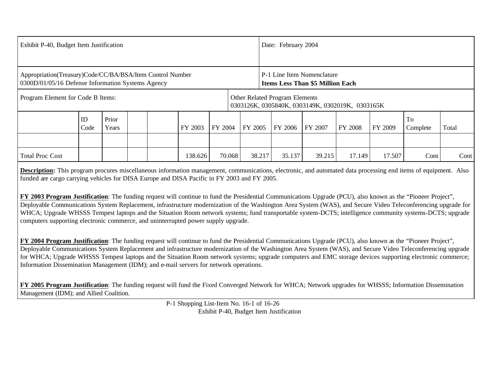| Exhibit P-40, Budget Item Justification                                                                        |            |                |  |                                                                                    |         | Date: February 2004                                                   |         |         |         |         |         |                |       |
|----------------------------------------------------------------------------------------------------------------|------------|----------------|--|------------------------------------------------------------------------------------|---------|-----------------------------------------------------------------------|---------|---------|---------|---------|---------|----------------|-------|
|                                                                                                                |            |                |  |                                                                                    |         |                                                                       |         |         |         |         |         |                |       |
| Appropriation(Treasury)Code/CC/BA/BSA/Item Control Number<br>0300D/01/05/16 Defense Information Systems Agency |            |                |  |                                                                                    |         | P-1 Line Item Nomenclature<br><b>Items Less Than \$5 Million Each</b> |         |         |         |         |         |                |       |
| Program Element for Code B Items:                                                                              |            |                |  | Other Related Program Elements<br>0303126K, 0305840K, 0303149K, 0302019K, 0303165K |         |                                                                       |         |         |         |         |         |                |       |
|                                                                                                                | ID<br>Code | Prior<br>Years |  | FY 2003                                                                            | FY 2004 |                                                                       | FY 2005 | FY 2006 | FY 2007 | FY 2008 | FY 2009 | To<br>Complete | Total |
|                                                                                                                |            |                |  |                                                                                    |         |                                                                       |         |         |         |         |         |                |       |
| <b>Total Proc Cost</b>                                                                                         |            |                |  | 138.626                                                                            | 70.068  |                                                                       | 38.217  | 35.137  | 39.215  | 17.149  | 17.507  | Cont           | Cont  |

**Description:** This program procures miscellaneous information management, communications, electronic, and automated data processing end items of equipment. Also funded are cargo carrying vehicles for DISA Europe and DISA Pacific in FY 2003 and FY 2005.

**FY 2003 Program Justification**: The funding request will continue to fund the Presidential Communications Upgrade (PCU), also known as the "Pioneer Project", Deployable Communications System Replacement, infrastructure modernization of the Washington Area System (WAS), and Secure Video Teleconferencing upgrade for WHCA; Upgrade WHSSS Tempest laptops and the Situation Room network systems; fund transportable system-DCTS; intelligence community systems-DCTS; upgrade computers supporting electronic commerce, and uninterrupted power supply upgrade.

**FY 2004 Program Justification**: The funding request will continue to fund the Presidential Communications Upgrade (PCU), also known as the "Pioneer Project", Deployable Communications System Replacement and infrastructure modernization of the Washington Area System (WAS), and Secure Video Teleconferencing upgrade for WHCA; Upgrade WHSSS Tempest laptops and the Situation Room network systems; upgrade computers and EMC storage devices supporting electronic commerce; Information Dissemination Management (IDM); and e-mail servers for network operations.

**FY 2005 Program Justification**: The funding request will fund the Fixed Converged Network for WHCA; Network upgrades for WHSSS; Information Dissemination Management (IDM); and Allied Coalition.

> P-1 Shopping List-Item No. 16-1 of 16-26 Exhibit P-40, Budget Item Justification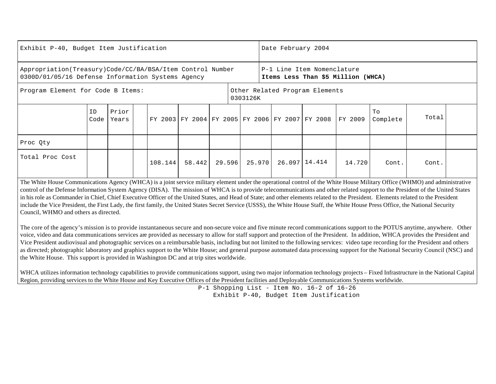| Exhibit P-40, Budget Item Justification                                                                                                                                                               |            |                |  |         |        |                                                                  | Date February 2004             |        |                                                 |               |         |                |       |  |
|-------------------------------------------------------------------------------------------------------------------------------------------------------------------------------------------------------|------------|----------------|--|---------|--------|------------------------------------------------------------------|--------------------------------|--------|-------------------------------------------------|---------------|---------|----------------|-------|--|
| Appropriation(Treasury)Code/CC/BA/BSA/Item Control Number<br>0300D/01/05/16 Defense Information Systems Agency                                                                                        |            |                |  |         |        | P-1 Line Item Nomenclature<br>Items Less Than \$5 Million (WHCA) |                                |        |                                                 |               |         |                |       |  |
| Program Element for Code B Items:<br>0303126K                                                                                                                                                         |            |                |  |         |        |                                                                  | Other Related Program Elements |        |                                                 |               |         |                |       |  |
|                                                                                                                                                                                                       | ID<br>Code | Prior<br>Years |  |         |        |                                                                  |                                |        | FY 2003 FY 2004 FY 2005 FY 2006 FY 2007 FY 2008 |               | FY 2009 | To<br>Complete | Total |  |
| Proc Qty                                                                                                                                                                                              |            |                |  |         |        |                                                                  |                                |        |                                                 |               |         |                |       |  |
| Total Proc Cost<br>$\Box$ The White House Communications Agency (WHCA) is a joint service military element under the operational sentrol of the White House Military Office (WHMO) and administrative |            |                |  | 108.144 | 58.442 | 29.596                                                           |                                | 25.970 |                                                 | 26.097 14.414 | 14.720  | Cont.          | Cont. |  |

The White House Communications Agency (WHCA) is a joint service military element under the operational control of the White House Military Office (WHMO) and administrative control of the Defense Information System Agency (DISA). The mission of WHCA is to provide telecommunications and other related support to the President of the United States in his role as Commander in Chief, Chief Executive Officer of the United States, and Head of State; and other elements related to the President. Elements related to the President include the Vice President, the First Lady, the first family, the United States Secret Service (USSS), the White House Staff, the White House Press Office, the National Security Council, WHMO and others as directed.

The core of the agency's mission is to provide instantaneous secure and non-secure voice and five minute record communications support to the POTUS anytime, anywhere. Other voice, video and data communications services are provided as necessary to allow for staff support and protection of the President. In addition, WHCA provides the President and Vice President audiovisual and photographic services on a reimbursable basis, including but not limited to the following services: video tape recording for the President and others as directed; photographic laboratory and graphics support to the White House; and general purpose automated data processing support for the National Security Council (NSC) and the White House. This support is provided in Washington DC and at trip sites worldwide.

WHCA utilizes information technology capabilities to provide communications support, using two major information technology projects – Fixed Infrastructure in the National Capital Region, providing services to the White House and Key Executive Offices of the President facilities and Deployable Communications Systems worldwide.

P-1 Shopping List - Item No. 16-2 of 16-26 Exhibit P-40, Budget Item Justification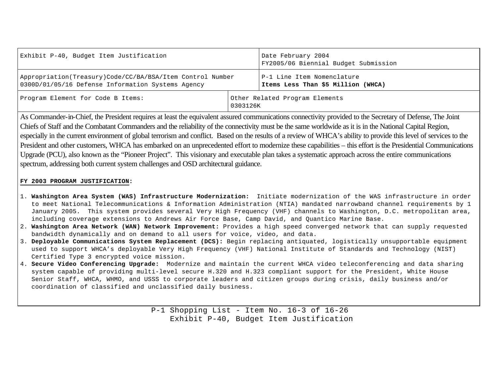| Exhibit P-40, Budget Item Justification                                                                        | Date February 2004<br>FY2005/06 Biennial Budget Submission |                                                                  |  |  |  |  |
|----------------------------------------------------------------------------------------------------------------|------------------------------------------------------------|------------------------------------------------------------------|--|--|--|--|
| Appropriation(Treasury)Code/CC/BA/BSA/Item Control Number<br>0300D/01/05/16 Defense Information Systems Agency |                                                            | P-1 Line Item Nomenclature<br>Items Less Than \$5 Million (WHCA) |  |  |  |  |
| Program Element for Code B Items:                                                                              | Other Related Program Elements<br>0303126K                 |                                                                  |  |  |  |  |

As Commander-in-Chief, the President requires at least the equivalent assured communications connectivity provided to the Secretary of Defense, The Joint Chiefs of Staff and the Combatant Commanders and the reliability of the connectivity must be the same worldwide as it is in the National Capital Region, especially in the current environment of global terrorism and conflict. Based on the results of a review of WHCA's ability to provide this level of services to the President and other customers, WHCA has embarked on an unprecedented effort to modernize these capabilities – this effort is the Presidential Communications Upgrade (PCU), also known as the "Pioneer Project". This visionary and executable plan takes a systematic approach across the entire communications spectrum, addressing both current system challenges and OSD architectural guidance.

### **FY 2003 PROGRAM JUSTIFICATION:**

- 1. **Washington Area System (WAS) Infrastructure Modernization:** Initiate modernization of the WAS infrastructure in order to meet National Telecommunications & Information Administration (NTIA) mandated narrowband channel requirements by 1 January 2005. This system provides several Very High Frequency (VHF) channels to Washington, D.C. metropolitan area, including coverage extensions to Andrews Air Force Base, Camp David, and Quantico Marine Base.
- 2. **Washington Area Network (WAN) Network Improvement:** Provides a high speed converged network that can supply requested bandwidth dynamically and on demand to all users for voice, video, and data.
- 3. **Deployable Communications System Replacement (DCS):** Begin replacing antiquated, logistically unsupportable equipment used to support WHCA's deployable Very High Frequency (VHF) National Institute of Standards and Technology (NIST) Certified Type 3 encrypted voice mission.
- 4. **Secure Video Conferencing Upgrade:** Modernize and maintain the current WHCA video teleconferencing and data sharing system capable of providing multi-level secure H.320 and H.323 compliant support for the President, White House Senior Staff, WHCA, WHMO, and USSS to corporate leaders and citizen groups during crisis, daily business and/or coordination of classified and unclassified daily business.

P-1 Shopping List - Item No. 16-3 of 16-26 Exhibit P-40, Budget Item Justification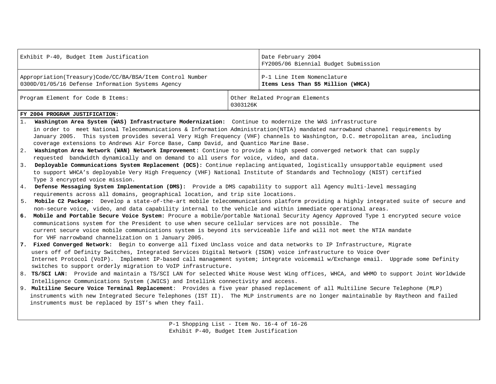|                                                                                                                                                                                                                                                              | Exhibit P-40, Budget Item Justification                                                                                                                                                                                                                                                                                                               |          | Date February 2004<br>FY2005/06 Biennial Budget Submission                                                                             |  |  |  |  |  |  |  |  |
|--------------------------------------------------------------------------------------------------------------------------------------------------------------------------------------------------------------------------------------------------------------|-------------------------------------------------------------------------------------------------------------------------------------------------------------------------------------------------------------------------------------------------------------------------------------------------------------------------------------------------------|----------|----------------------------------------------------------------------------------------------------------------------------------------|--|--|--|--|--|--|--|--|
|                                                                                                                                                                                                                                                              | Appropriation(Treasury)Code/CC/BA/BSA/Item Control Number<br>0300D/01/05/16 Defense Information Systems Agency                                                                                                                                                                                                                                        |          | P-1 Line Item Nomenclature<br>Items Less Than \$5 Million (WHCA)                                                                       |  |  |  |  |  |  |  |  |
|                                                                                                                                                                                                                                                              | Program Element for Code B Items:                                                                                                                                                                                                                                                                                                                     | 0303126K | Other Related Program Elements                                                                                                         |  |  |  |  |  |  |  |  |
|                                                                                                                                                                                                                                                              | FY 2004 PROGRAM JUSTIFICATION:                                                                                                                                                                                                                                                                                                                        |          |                                                                                                                                        |  |  |  |  |  |  |  |  |
| 1.                                                                                                                                                                                                                                                           | Washington Area System (WAS) Infrastructure Modernization: Continue to modernize the WAS infrastructure                                                                                                                                                                                                                                               |          |                                                                                                                                        |  |  |  |  |  |  |  |  |
|                                                                                                                                                                                                                                                              | in order to meet National Telecommunications & Information Administration(NTIA) mandated narrowband channel requirements by<br>January 2005. This system provides several Very High Frequency (VHF) channels to Washington, D.C. metropolitan area, including<br>coverage extensions to Andrews Air Force Base, Camp David, and Quantico Marine Base. |          |                                                                                                                                        |  |  |  |  |  |  |  |  |
| 2.                                                                                                                                                                                                                                                           | Washington Area Network (WAN) Network Improvement: Continue to provide a high speed converged network that can supply                                                                                                                                                                                                                                 |          |                                                                                                                                        |  |  |  |  |  |  |  |  |
|                                                                                                                                                                                                                                                              | requested bandwidth dynamically and on demand to all users for voice, video, and data.                                                                                                                                                                                                                                                                |          |                                                                                                                                        |  |  |  |  |  |  |  |  |
| 3.<br>Deployable Communications System Replacement (DCS): Continue replacing antiquated, logistically unsupportable equipment used<br>to support WHCA's deployable Very High Frequency (VHF) National Institute of Standards and Technology (NIST) certified |                                                                                                                                                                                                                                                                                                                                                       |          |                                                                                                                                        |  |  |  |  |  |  |  |  |
|                                                                                                                                                                                                                                                              | Type 3 encrypted voice mission.                                                                                                                                                                                                                                                                                                                       |          |                                                                                                                                        |  |  |  |  |  |  |  |  |
| 4.                                                                                                                                                                                                                                                           | Defense Messaging System Implementation (DMS): Provide a DMS capability to support all Agency multi-level messaging<br>requirements across all domains, geographical location, and trip site locations.                                                                                                                                               |          |                                                                                                                                        |  |  |  |  |  |  |  |  |
| 5.                                                                                                                                                                                                                                                           |                                                                                                                                                                                                                                                                                                                                                       |          | Mobile C2 Package: Develop a state-of-the-art mobile telecommunications platform providing a highly integrated suite of secure and     |  |  |  |  |  |  |  |  |
|                                                                                                                                                                                                                                                              | non-secure voice, video, and data capability internal to the vehicle and within immediate operational areas.                                                                                                                                                                                                                                          |          |                                                                                                                                        |  |  |  |  |  |  |  |  |
| 6.                                                                                                                                                                                                                                                           |                                                                                                                                                                                                                                                                                                                                                       |          | Mobile and Portable Secure Voice System: Procure a mobile/portable National Security Agency Approved Type 1 encrypted secure voice     |  |  |  |  |  |  |  |  |
|                                                                                                                                                                                                                                                              | communications system for the President to use when secure cellular services are not possible. The                                                                                                                                                                                                                                                    |          |                                                                                                                                        |  |  |  |  |  |  |  |  |
|                                                                                                                                                                                                                                                              | current secure voice mobile communications system is beyond its serviceable life and will not meet the NTIA mandate                                                                                                                                                                                                                                   |          |                                                                                                                                        |  |  |  |  |  |  |  |  |
|                                                                                                                                                                                                                                                              | for VHF narrowband channelization on 1 January 2005.                                                                                                                                                                                                                                                                                                  |          |                                                                                                                                        |  |  |  |  |  |  |  |  |
| 7.                                                                                                                                                                                                                                                           | Fixed Converged Network: Begin to converge all fixed Unclass voice and data networks to IP Infrastructure, Migrate                                                                                                                                                                                                                                    |          |                                                                                                                                        |  |  |  |  |  |  |  |  |
|                                                                                                                                                                                                                                                              | users off of Definity Switches, Integrated Services Digital Network (ISDN) voice infrastructure to Voice Over                                                                                                                                                                                                                                         |          |                                                                                                                                        |  |  |  |  |  |  |  |  |
|                                                                                                                                                                                                                                                              |                                                                                                                                                                                                                                                                                                                                                       |          | Internet Protocol (VoIP). Implement IP-based call management system; integrate voicemail w/Exchange email. Upgrade some Definity       |  |  |  |  |  |  |  |  |
|                                                                                                                                                                                                                                                              | switches to support orderly migration to VoIP infrastructure.                                                                                                                                                                                                                                                                                         |          |                                                                                                                                        |  |  |  |  |  |  |  |  |
|                                                                                                                                                                                                                                                              |                                                                                                                                                                                                                                                                                                                                                       |          | 8. TS/SCI LAN: Provide and maintain a TS/SCI LAN for selected White House West Wing offices, WHCA, and WHMO to support Joint Worldwide |  |  |  |  |  |  |  |  |
|                                                                                                                                                                                                                                                              | Intelligence Communications System (JWICS) and Intellink connectivity and access.                                                                                                                                                                                                                                                                     |          |                                                                                                                                        |  |  |  |  |  |  |  |  |
|                                                                                                                                                                                                                                                              | 9. Multiline Secure Voice Terminal Replacement: Provides a five year phased replacement of all Multiline Secure Telephone (MLP)                                                                                                                                                                                                                       |          |                                                                                                                                        |  |  |  |  |  |  |  |  |
|                                                                                                                                                                                                                                                              |                                                                                                                                                                                                                                                                                                                                                       |          | instruments with new Integrated Secure Telephones (IST II). The MLP instruments are no longer maintainable by Raytheon and failed      |  |  |  |  |  |  |  |  |
|                                                                                                                                                                                                                                                              | instruments must be replaced by IST's when they fail.                                                                                                                                                                                                                                                                                                 |          |                                                                                                                                        |  |  |  |  |  |  |  |  |
|                                                                                                                                                                                                                                                              |                                                                                                                                                                                                                                                                                                                                                       |          |                                                                                                                                        |  |  |  |  |  |  |  |  |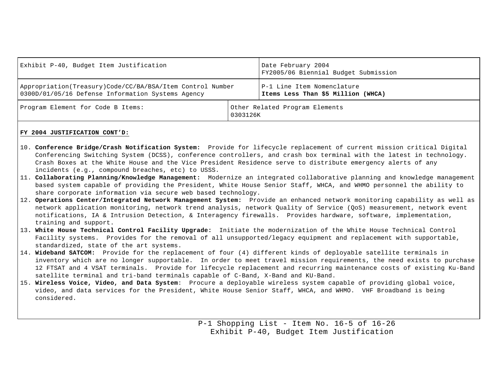| Exhibit P-40, Budget Item Justification                                                                        | Date February 2004<br>FY2005/06 Biennial Budget Submission       |  |  |  |  |
|----------------------------------------------------------------------------------------------------------------|------------------------------------------------------------------|--|--|--|--|
| Appropriation(Treasury)Code/CC/BA/BSA/Item Control Number<br>0300D/01/05/16 Defense Information Systems Agency | P-1 Line Item Nomenclature<br>Items Less Than \$5 Million (WHCA) |  |  |  |  |
| Program Element for Code B Items:                                                                              | Other Related Program Elements<br>0303126K                       |  |  |  |  |

### **FY 2004 JUSTIFICATION CONT'D:**

- 10. **Conference Bridge/Crash Notification System:** Provide for lifecycle replacement of current mission critical Digital Conferencing Switching System (DCSS), conference controllers, and crash box terminal with the latest in technology. Crash Boxes at the White House and the Vice President Residence serve to distribute emergency alerts of any incidents (e.g., compound breaches, etc) to USSS.
- 11. **Collaborating Planning/Knowledge Management:** Modernize an integrated collaborative planning and knowledge management based system capable of providing the President, White House Senior Staff, WHCA, and WHMO personnel the ability to share corporate information via secure web based technology.
- 12. **Operations Center/Integrated Network Management System:** Provide an enhanced network monitoring capability as well as network application monitoring, network trend analysis, network Quality of Service (QoS) measurement, network event notifications, IA & Intrusion Detection, & Interagency firewalls. Provides hardware, software, implementation, training and support.
- 13**. White House Technical Control Facility Upgrade:** Initiate the modernization of the White House Technical Control Facility systems. Provides for the removal of all unsupported/legacy equipment and replacement with supportable, standardized, state of the art systems.
- 14. **Wideband SATCOM:** Provide for the replacement of four (4) different kinds of deployable satellite terminals ininventory which are no longer supportable. In order to meet travel mission requirements, the need exists to purchase 12 FTSAT and 4 VSAT terminals. Provide for lifecycle replacement and recurring maintenance costs of existing Ku-Band satellite terminal and tri-band terminals capable of C-Band, X-Band and KU-Band.
- 15. **Wireless Voice, Video, and Data System**: Procure a deployable wireless system capable of providing global voice, video, and data services for the President, White House Senior Staff, WHCA, and WHMO. VHF Broadband is being considered.

P-1 Shopping List - Item No. 16-5 of 16-26 Exhibit P-40, Budget Item Justification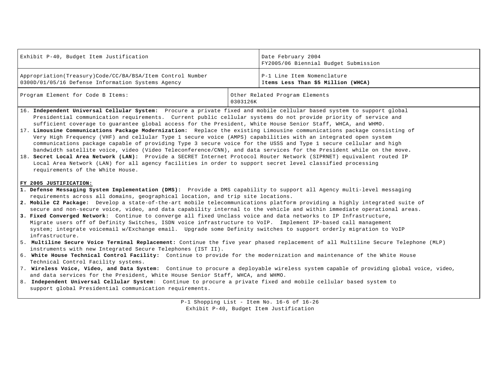| Exhibit P-40, Budget Item Justification                                                                          | Date February 2004<br>FY2005/06 Biennial Budget Submission       |  |  |  |
|------------------------------------------------------------------------------------------------------------------|------------------------------------------------------------------|--|--|--|
| Appropriation (Treasury) Code/CC/BA/BSA/Item Control Number<br>0300D/01/05/16 Defense Information Systems Agency | P-1 Line Item Nomenclature<br>Items Less Than \$5 Million (WHCA) |  |  |  |
| Program Element for Code B Items:                                                                                | Other Related Program Elements<br>0303126K                       |  |  |  |

- 16. **Independent Universal Cellular System:** Procure a private fixed and mobile cellular based system to support global Presidential communication requirements. Current public cellular systems do not provide priority of service and sufficient coverage to guarantee global access for the President, White House Senior Staff, WHCA, and WHMO.
- 17. **Limousine Communications Package Modernization:** Replace the existing Limousine communications package consisting of Very High Frequency (VHF) and cellular Type 1 secure voice (AMPS) capabilities with an integrated open system communications package capable of providing Type 3 secure voice for the USSS and Type 1 secure cellular and high bandwidth satellite voice, video (Video Teleconference/CNN), and data services for the President while on the move**.**
- 18. **Secret Local Area Network (LAN):** Provide a SECRET Internet Protocol Router Network (SIPRNET) equivalent routed IP Local Area Network (LAN) for all agency facilities in order to support secret level classified processing requirements of the White House.

#### **FY 2005 JUSTIFICATION:**

- **1. Defense Messaging System Implementation (DMS):** Provide a DMS capability to support all Agency multi-level messaging requirements across all domains, geographical location, and trip site locations.
- **2. Mobile C2 Package:** Develop a state-of-the-art mobile telecommunications platform providing a highly integrated suite of secure and non-secure voice, video, and data capability internal to the vehicle and within immediate operational areas.
- **3. Fixed Converged Network:** Continue to converge all fixed Unclass voice and data networks to IP Infrastructure, Migrate users off of Definity Switches, ISDN voice infrastructure to VoIP. Implement IP-based call management system; integrate voicemail w/Exchange email. Upgrade some Definity switches to support orderly migration to VoIP infrastructure.
- 5. **Multiline Secure Voice Terminal Replacement:** Continue the five year phased replacement of all Multiline Secure Telephone (MLP) instruments with new Integrated Secure Telephones (IST II).
- 6. **White House Technical Control Facility:** Continue to provide for the modernization and maintenance of the White House Technical Control Facility systems.
- 7. **Wireless Voice, Video, and Data System:** Continue to procure a deployable wireless system capable of providing global voice, video, and data services for the President, White House Senior Staff, WHCA, and WHMO.
- 8. **Independent Universal Cellular System**: Continue to procure a private fixed and mobile cellular based system to support global Presidential communication requirements.

P-1 Shopping List - Item No. 16-6 of 16-26 Exhibit P-40, Budget Item Justification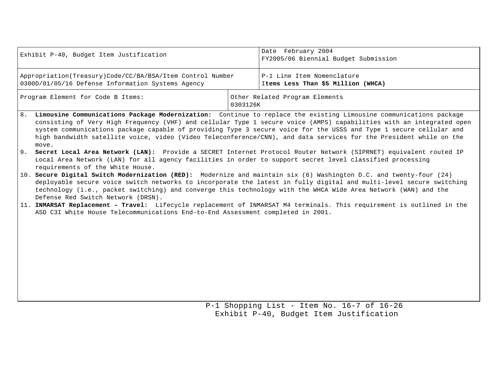| Exhibit P-40, Budget Item Justification                                                                        | Date February 2004<br>FY2005/06 Biennial Budget Submission |                                                                  |  |  |  |  |
|----------------------------------------------------------------------------------------------------------------|------------------------------------------------------------|------------------------------------------------------------------|--|--|--|--|
| Appropriation(Treasury)Code/CC/BA/BSA/Item Control Number<br>0300D/01/05/16 Defense Information Systems Agency |                                                            | P-1 Line Item Nomenclature<br>Items Less Than \$5 Million (WHCA) |  |  |  |  |
| Program Element for Code B Items:                                                                              | Other Related Program Elements<br>0303126K                 |                                                                  |  |  |  |  |

- 8. **Limousine Communications Package Modernization:** Continue to replace the existing Limousine communications package consisting of Very High Frequency (VHF) and cellular Type 1 secure voice (AMPS) capabilities with an integrated open system communications package capable of providing Type 3 secure voice for the USSS and Type 1 secure cellular and high bandwidth satellite voice, video (Video Teleconference/CNN), and data services for the President while on the move.
- 9**. Secret Local Area Network (LAN):** Provide a SECRET Internet Protocol Router Network (SIPRNET) equivalent routed IP Local Area Network (LAN) for all agency facilities in order to support secret level classified processing requirements of the White House.
- 10. **Secure Digital Switch Modernization (RED):** Modernize and maintain six (6) Washington D.C. and twenty-four (24) deployable secure voice switch networks to incorporate the latest in fully digital and multi-level secure switching technology (i.e., packet switching) and converge this technology with the WHCA Wide Area Network (WAN) and the Defense Red Switch Network (DRSN).
- 11. **INMARSAT Replacement Travel:** Lifecycle replacement of INMARSAT M4 terminals. This requirement is outlined in the ASD C3I White House Telecommunications End-to-End Assessment completed in 2001.

P-1 Shopping List - Item No. 16-7 of 16-26 Exhibit P-40, Budget Item Justification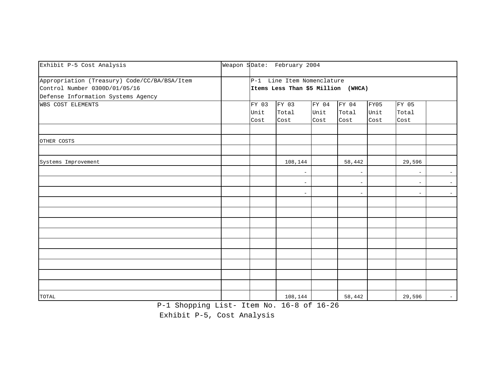| Exhibit P-5 Cost Analysis                    | Weapon SDate: February 2004 |                                    |       |                          |      |                          |                          |  |  |  |
|----------------------------------------------|-----------------------------|------------------------------------|-------|--------------------------|------|--------------------------|--------------------------|--|--|--|
| Appropriation (Treasury) Code/CC/BA/BSA/Item |                             | P-1 Line Item Nomenclature         |       |                          |      |                          |                          |  |  |  |
| Control Number 0300D/01/05/16                |                             | Items Less Than \$5 Million (WHCA) |       |                          |      |                          |                          |  |  |  |
| Defense Information Systems Agency           |                             |                                    |       |                          |      |                          |                          |  |  |  |
| <b>WBS COST ELEMENTS</b>                     | FY 03                       | FY 03                              | FY 04 | FY 04                    | FY05 | FY 05                    |                          |  |  |  |
|                                              | Unit                        | Total                              | Unit  | Total                    | Unit | Total                    |                          |  |  |  |
|                                              | Cost                        | Cost                               | Cost  | Cost                     | Cost | Cost                     |                          |  |  |  |
|                                              |                             |                                    |       |                          |      |                          |                          |  |  |  |
| OTHER COSTS                                  |                             |                                    |       |                          |      |                          |                          |  |  |  |
|                                              |                             |                                    |       |                          |      |                          |                          |  |  |  |
| Systems Improvement                          |                             | 108,144                            |       | 58,442                   |      | 29,596                   |                          |  |  |  |
|                                              |                             | $\overline{\phantom{0}}$           |       | $\overline{\phantom{0}}$ |      | $\overline{\phantom{a}}$ | $\overline{\phantom{a}}$ |  |  |  |
|                                              |                             |                                    |       |                          |      | $\overline{\phantom{a}}$ |                          |  |  |  |
|                                              |                             |                                    |       | $\equiv$                 |      | $-$                      | $\sim$                   |  |  |  |
|                                              |                             |                                    |       |                          |      |                          |                          |  |  |  |
|                                              |                             |                                    |       |                          |      |                          |                          |  |  |  |
|                                              |                             |                                    |       |                          |      |                          |                          |  |  |  |
|                                              |                             |                                    |       |                          |      |                          |                          |  |  |  |
|                                              |                             |                                    |       |                          |      |                          |                          |  |  |  |
|                                              |                             |                                    |       |                          |      |                          |                          |  |  |  |
|                                              |                             |                                    |       |                          |      |                          |                          |  |  |  |
|                                              |                             |                                    |       |                          |      |                          |                          |  |  |  |
|                                              |                             |                                    |       |                          |      |                          |                          |  |  |  |
| TOTAL                                        |                             | 108,144                            |       | 58,442                   |      | 29,596                   | $\sim$                   |  |  |  |

P-1 Shopping List- Item No. 16-8 of 16-26

Exhibit P-5, Cost Analysis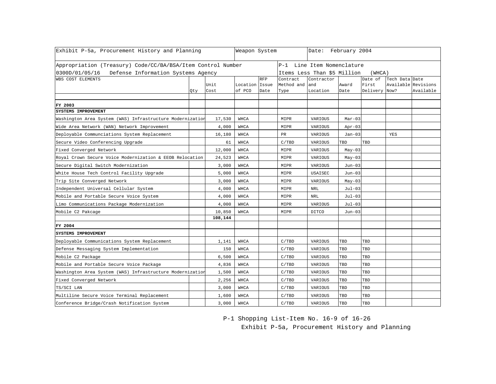| Exhibit P-5a, Procurement History and Planning              |     |              | Weapon System            |            |                                       | Date: February 2004 |               |                        |                     |           |  |
|-------------------------------------------------------------|-----|--------------|--------------------------|------------|---------------------------------------|---------------------|---------------|------------------------|---------------------|-----------|--|
| Appropriation (Treasury) Code/CC/BA/BSA/Item Control Number |     |              |                          |            | P-1 Line Item Nomenclature            |                     |               |                        |                     |           |  |
| 0300D/01/05/16 Defense Information Systems Agency           |     |              |                          |            | Items Less Than \$5 Million<br>(WHCA) |                     |               |                        |                     |           |  |
| WBS COST ELEMENTS                                           |     |              |                          | <b>RFP</b> | Contract                              | Contractor          |               | Date of                | Tech Data Date      |           |  |
|                                                             | Qty | Unit<br>Cost | Location Issue<br>of PCO | Date       | Method and and<br>Type                | Location            | Award<br>Date | First<br>Delivery Now? | Available Revisions | Available |  |
|                                                             |     |              |                          |            |                                       |                     |               |                        |                     |           |  |
| FY 2003                                                     |     |              |                          |            |                                       |                     |               |                        |                     |           |  |
| SYSTEMS IMPROVEMENT                                         |     |              |                          |            |                                       |                     |               |                        |                     |           |  |
| Washington Area System (WAS) Infrastructure Modernization   |     | 17,530       | WHCA                     |            | MIPR                                  | VARIOUS             | $Mar-03$      |                        |                     |           |  |
| Wide Area Network (WAN) Network Improvement                 |     | 4,000        | WHCA                     |            | MIPR                                  | VARIOUS             | $Apr-03$      |                        |                     |           |  |
| Deployable Communciations System Replacement                |     | 16,180       | WHCA                     |            | PR                                    | VARIOUS             | $Jan-03$      |                        | YES                 |           |  |
| Secure Video Conferencing Upgrade                           |     | 61           | WHCA                     |            | C/TBD                                 | VARIOUS             | TBD           | TBD                    |                     |           |  |
| Fixed Converged Network                                     |     | 12,000       | WHCA                     |            | MIPR                                  | VARIOUS             | $May-03$      |                        |                     |           |  |
| Royal Crown Secure Voice Modernization & EEOB Relocation    |     | 24,523       | WHCA                     |            | MIPR                                  | VARIOUS             | $May-03$      |                        |                     |           |  |
| Secure Digital Switch Modernization                         |     | 3,000        | WHCA                     |            | MIPR                                  | VARIOUS             | $Jun-03$      |                        |                     |           |  |
| White House Tech Control Facility Upgrade                   |     | 5,000        | WHCA                     |            | MIPR                                  | USAISEC             | $Jun-03$      |                        |                     |           |  |
| Trip Site Converged Network                                 |     | 3,000        | WHCA                     |            | MIPR                                  | VARIOUS             | $May-03$      |                        |                     |           |  |
| Independent Universal Cellular System                       |     | 4,000        | WHCA                     |            | MIPR                                  | <b>NRL</b>          | $Jul-03$      |                        |                     |           |  |
| Mobile and Portable Secure Voice System                     |     | 4,000        | WHCA                     |            | MIPR                                  | <b>NRL</b>          | $Jul-03$      |                        |                     |           |  |
| Limo Communications Package Modernization                   |     | 4,000        | WHCA                     |            | MIPR                                  | VARIOUS             | $Jul-03$      |                        |                     |           |  |
| Mobile C2 Pakcage                                           |     | 10,850       | WHCA                     |            | MIPR                                  | DITCO               | $Jun-03$      |                        |                     |           |  |
|                                                             |     | 108,144      |                          |            |                                       |                     |               |                        |                     |           |  |
| FY 2004                                                     |     |              |                          |            |                                       |                     |               |                        |                     |           |  |
| SYSTEMS IMPROVEMENT                                         |     |              |                          |            |                                       |                     |               |                        |                     |           |  |
| Deployable Communications System Replacement                |     | 1,141        | WHCA                     |            | C/TBD                                 | VARIOUS             | TBD           | TBD                    |                     |           |  |
| Defense Messaging System Implementation                     |     | 150          | WHCA                     |            | C/TBD                                 | VARIOUS             | TBD           | TBD                    |                     |           |  |
| Mobile C2 Package                                           |     | 6,500        | WHCA                     |            | C/TBD                                 | VARIOUS             | TBD           | TBD                    |                     |           |  |
| Mobile and Portable Secure Voice Package                    |     | 4,836        | WHCA                     |            | C/TBD                                 | VARIOUS             | TBD           | TBD                    |                     |           |  |
| Washington Area System (WAS) Infrastructure Modernization   |     | 1,500        | WHCA                     |            | C/TBD                                 | VARIOUS             | TBD           | TBD                    |                     |           |  |
| Fixed Converged Network                                     |     | 2,256        | WHCA                     |            | C/TBD                                 | VARIOUS             | TBD           | TBD                    |                     |           |  |
| TS/SCI LAN                                                  |     | 3,000        | WHCA                     |            | C/TBD                                 | VARIOUS             | TBD           | TBD                    |                     |           |  |
| Multiline Secure Voice Terminal Replacement                 |     | 1,600        | WHCA                     |            | C/TBD                                 | VARIOUS             | TBD           | TBD                    |                     |           |  |
| Conference Bridge/Crash Notification System                 |     | 3,000        | WHCA                     |            | C/TBD                                 | VARIOUS             | TBD           | TBD                    |                     |           |  |

P-1 Shopping List-Item No. 16-9 of 16-26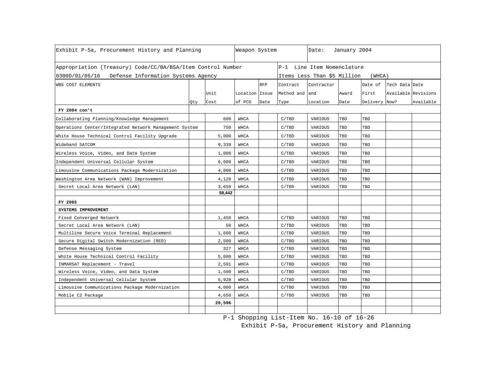| Exhibit P-5a, Procurement History and Planning              |     | Weapon System |                |            | Date:          | January 2004                |       |               |                     |           |
|-------------------------------------------------------------|-----|---------------|----------------|------------|----------------|-----------------------------|-------|---------------|---------------------|-----------|
| Appropriation (Treasury) Code/CC/BA/BSA/Item Control Number |     |               |                |            |                | P-1 Line Item Nomenclature  |       |               |                     |           |
| 0300D/01/05/16 Defense Information Systems Agency           |     |               |                |            |                | Items Less Than \$5 Million |       | (WHCA)        |                     |           |
| WBS COST ELEMENTS                                           |     |               |                | <b>RFP</b> | Contract       | Contractor                  |       | Date of       | Tech Data Date      |           |
|                                                             |     | Unit          | Location Issue |            | Method and and |                             | Award | First         | Available Revisions |           |
|                                                             | Qty | Cost          | of PCO         | Date       | Type           | Location                    | Date  | Delivery Now? |                     | Available |
| FY 2004 con't                                               |     |               |                |            |                |                             |       |               |                     |           |
| Collaborating Planning/Knowledge Management                 |     | 600           | WHCA           |            | C/ TBD         | VARIOUS                     | TBD   | TBD           |                     |           |
| Operations Center/Integrated Network Management System      |     | 750           | WHCA           |            | C/TBD          | VARIOUS                     | TBD   | TBD           |                     |           |
| White House Technical Control Facility Upgrade              |     | 5,000         | WHCA           |            | C/TBD          | VARIOUS                     | TBD   | TBD           |                     |           |
| Wideband SATCOM                                             |     | 9,339         | WHCA           |            | C/TBD          | VARIOUS                     | TBD   | TBD           |                     |           |
| Wireless Voice, Video, and Data System                      |     | 1,000         | <b>WHCA</b>    |            | C/TBD          | VARIOUS                     | TBD   | TBD           |                     |           |
| Independent Universal Cellular System                       |     | 6,000         | WHCA           |            | C/TBD          | VARIOUS                     | TBD   | TBD           |                     |           |
| Limousine Communications Package Modernization              |     | 4,000         | WHCA           |            | C/TBD          | VARIOUS                     | TBD   | TBD           |                     |           |
| Washington Area Network (WAN) Improvement                   |     | 4,120         | WHCA           |            | C/TBD          | VARIOUS                     | TBD   | TBD           |                     |           |
| Secret Local Area Network (LAN)                             |     | 3,650         | WHCA           |            | C/TBD          | VARIOUS                     | TBD   | TBD           |                     |           |
|                                                             |     | 58,442        |                |            |                |                             |       |               |                     |           |
| FY 2005                                                     |     |               |                |            |                |                             |       |               |                     |           |
| SYSTEMS IMPROVEMENT                                         |     |               |                |            |                |                             |       |               |                     |           |
| Fixed Converged Network                                     |     | 1,450         | WHCA           |            | C/TBD          | VARIOUS                     | TBD   | TBD           |                     |           |
| Secret Local Area Network (LAN)                             |     | 50            | WHCA           |            | C/TBD          | VARIOUS                     | TBD   | TBD           |                     |           |
| Multiline Secure Voice Terminal Replacement                 |     | 1,600         | WHCA           |            | C/TBD          | VARIOUS                     | TBD   | TBD           |                     |           |
| Secure Digital Switch Modernization (RED)                   |     | 2,500         | WHCA           |            | C/TBD          | VARIOUS                     | TBD   | TBD           |                     |           |
| Defense Messaging System                                    |     | 327           | WHCA           |            | C/TBD          | VARIOUS                     | TBD   | TBD           |                     |           |
| White House Technical Control Facility                      |     | 5,000         | WHCA           |            | C/TBD          | VARIOUS                     | TBD   | TBD           |                     |           |
| INMARSAT Replacement - Travel                               |     | 2,591         | WHCA           |            | C/TBD          | VARIOUS                     | TBD   | TBD           |                     |           |
| Wireless Voice, Video, and Data System                      |     | 1,500         | WHCA           |            | C/TBD          | VARIOUS                     | TBD   | TBD           |                     |           |
| Independent Universal Cellular System                       |     | 5,928         | WHCA           |            | C/TBD          | VARIOUS                     | TBD   | TBD           |                     |           |
| Limousine Communications Package Modernization              |     | 4,000         | WHCA           |            | C/TBD          | VARIOUS                     | TBD   | TBD           |                     |           |
| Mobile C2 Package                                           |     | 4,650         | WHCA           |            | C/TBD          | VARIOUS                     | TBD   | TBD           |                     |           |
|                                                             |     | 29,596        |                |            |                |                             |       |               |                     |           |
|                                                             |     |               |                |            |                |                             |       |               |                     |           |

P-1 Shopping List-Item No. 16-10 of 16-26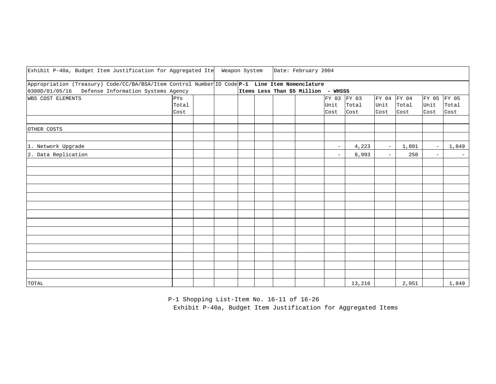| Exhibit P-40a, Budget Item Justification for Aggregated Ite                                                                                         |                      | Weapon System |  | Date: February 2004                 |                             |               |                             |               |                          |                          |
|-----------------------------------------------------------------------------------------------------------------------------------------------------|----------------------|---------------|--|-------------------------------------|-----------------------------|---------------|-----------------------------|---------------|--------------------------|--------------------------|
| Appropriation (Treasury) Code/CC/BA/BSA/Item Control Number ID Code P-1 Line Item Nomenclature<br>0300D/01/05/16 Defense Information Systems Agency |                      |               |  | Items Less Than \$5 Million - WHSSS |                             |               |                             |               |                          |                          |
| WBS COST ELEMENTS                                                                                                                                   | PYs<br>Total<br>Cost |               |  |                                     | FY 03 FY 03<br>Unit<br>Cost | Total<br>Cost | FY 04 FY 04<br>Unit<br>Cost | Total<br>Cost | FY 05<br>Unit<br>Cost    | FY 05<br>Total<br>Cost   |
| OTHER COSTS                                                                                                                                         |                      |               |  |                                     |                             |               |                             |               |                          |                          |
| 1. Network Upgrade                                                                                                                                  |                      |               |  |                                     | $\equiv$                    | 4,223         | $\overline{\phantom{a}}$    | 1,801         | $\overline{\phantom{a}}$ | 1,849                    |
| 2. Data Replication                                                                                                                                 |                      |               |  |                                     | $\overline{\phantom{a}}$    | 8,993         | $\overline{\phantom{0}}$    | 250           | $\overline{\phantom{m}}$ | $\overline{\phantom{a}}$ |
|                                                                                                                                                     |                      |               |  |                                     |                             |               |                             |               |                          |                          |
|                                                                                                                                                     |                      |               |  |                                     |                             |               |                             |               |                          |                          |
|                                                                                                                                                     |                      |               |  |                                     |                             |               |                             |               |                          |                          |
|                                                                                                                                                     |                      |               |  |                                     |                             |               |                             |               |                          |                          |
|                                                                                                                                                     |                      |               |  |                                     |                             |               |                             |               |                          |                          |
|                                                                                                                                                     |                      |               |  |                                     |                             |               |                             |               |                          |                          |
|                                                                                                                                                     |                      |               |  |                                     |                             |               |                             |               |                          |                          |
|                                                                                                                                                     |                      |               |  |                                     |                             |               |                             |               |                          |                          |
| TOTAL                                                                                                                                               |                      |               |  |                                     |                             | 13,216        |                             | 2,051         |                          | 1,849                    |

 P-1 Shopping List-Item No. 16-11 of 16-26 Exhibit P-40a, Budget Item Justification for Aggregated Items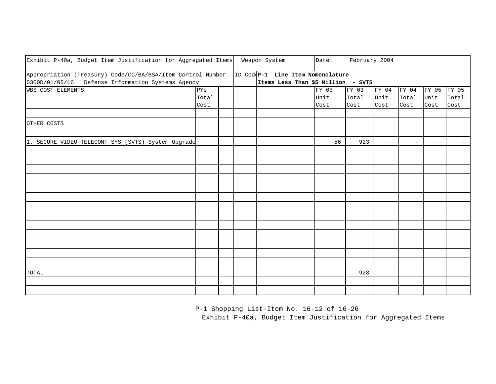| Exhibit P-40a, Budget Item Justification for Aggregated Items |       |  | Weapon System | Date:                              | February 2004 |       |                          |                          |                          |
|---------------------------------------------------------------|-------|--|---------------|------------------------------------|---------------|-------|--------------------------|--------------------------|--------------------------|
| Appropriation (Treasury) Code/CC/BA/BSA/Item Control Number   |       |  |               | ID Cod(P-1 Line Item Nomenclature  |               |       |                          |                          |                          |
| 0300D/01/05/16 Defense Information Systems Agency             |       |  |               | Items Less Than \$5 Million - SVTS |               |       |                          |                          |                          |
| <b>WBS COST ELEMENTS</b>                                      | PYS   |  |               | FY 03                              | FY 03         | FY 04 | FY 04                    | FY 05 FY 05              |                          |
|                                                               | Total |  |               | Unit                               | Total         | Unit  | Total                    | Unit                     | Total                    |
|                                                               | Cost  |  |               | Cost                               | Cost          | Cost  | Cost                     | Cost                     | Cost                     |
|                                                               |       |  |               |                                    |               |       |                          |                          |                          |
| OTHER COSTS                                                   |       |  |               |                                    |               |       |                          |                          |                          |
|                                                               |       |  |               |                                    |               |       |                          |                          |                          |
| 1. SECURE VIDEO TELECONF SYS (SVTS) System Upgrade            |       |  |               | 56                                 | 923           |       | $\overline{\phantom{a}}$ | $\overline{\phantom{m}}$ | $\overline{\phantom{m}}$ |
|                                                               |       |  |               |                                    |               |       |                          |                          |                          |
|                                                               |       |  |               |                                    |               |       |                          |                          |                          |
|                                                               |       |  |               |                                    |               |       |                          |                          |                          |
|                                                               |       |  |               |                                    |               |       |                          |                          |                          |
|                                                               |       |  |               |                                    |               |       |                          |                          |                          |
|                                                               |       |  |               |                                    |               |       |                          |                          |                          |
|                                                               |       |  |               |                                    |               |       |                          |                          |                          |
|                                                               |       |  |               |                                    |               |       |                          |                          |                          |
|                                                               |       |  |               |                                    |               |       |                          |                          |                          |
|                                                               |       |  |               |                                    |               |       |                          |                          |                          |
|                                                               |       |  |               |                                    |               |       |                          |                          |                          |
|                                                               |       |  |               |                                    |               |       |                          |                          |                          |
|                                                               |       |  |               |                                    |               |       |                          |                          |                          |
| TOTAL                                                         |       |  |               |                                    | 923           |       |                          |                          |                          |
|                                                               |       |  |               |                                    |               |       |                          |                          |                          |
|                                                               |       |  |               |                                    |               |       |                          |                          |                          |

P-1 Shopping List-Item No. 16-12 of 16-26

Exhibit P-40a, Budget Item Justification for Aggregated Items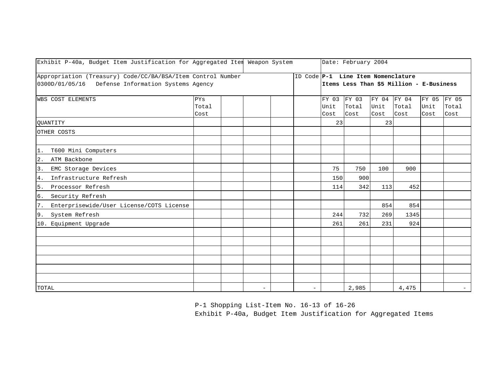| Exhibit P-40a, Budget Item Justification for Aggregated Item Weapon System                                       |                      |                          |                          |                       | Date: February 2004                |                       |                                          |                       |                        |
|------------------------------------------------------------------------------------------------------------------|----------------------|--------------------------|--------------------------|-----------------------|------------------------------------|-----------------------|------------------------------------------|-----------------------|------------------------|
| Appropriation (Treasury) Code/CC/BA/BSA/Item Control Number<br>0300D/01/05/16 Defense Information Systems Agency |                      |                          |                          |                       | ID Code P-1 Line Item Nomenclature |                       | Items Less Than \$5 Million - E-Business |                       |                        |
| <b>WBS COST ELEMENTS</b>                                                                                         | PYs<br>Total<br>Cost |                          |                          | FY 03<br>Unit<br>Cost | FY 03<br>Total<br>Cost             | FY 04<br>Unit<br>Cost | FY 04<br>Total<br>Cost                   | FY 05<br>Unit<br>Cost | FY 05<br>Total<br>Cost |
| <b>OUANTITY</b>                                                                                                  |                      |                          |                          | 23                    |                                    | 23                    |                                          |                       |                        |
| OTHER COSTS                                                                                                      |                      |                          |                          |                       |                                    |                       |                                          |                       |                        |
| 1. T600 Mini Computers                                                                                           |                      |                          |                          |                       |                                    |                       |                                          |                       |                        |
| 2. ATM Backbone                                                                                                  |                      |                          |                          |                       |                                    |                       |                                          |                       |                        |
| 3. EMC Storage Devices                                                                                           |                      |                          |                          | 75                    | 750                                | 100                   | 900                                      |                       |                        |
| Infrastructure Refresh<br>4.                                                                                     |                      |                          |                          | 150                   | 900                                |                       |                                          |                       |                        |
| 5. Processor Refresh                                                                                             |                      |                          |                          | 114                   | 342                                | 113                   | 452                                      |                       |                        |
| 6. Security Refresh                                                                                              |                      |                          |                          |                       |                                    |                       |                                          |                       |                        |
| 7.<br>Enterprisewide/User License/COTS License                                                                   |                      |                          |                          |                       |                                    | 854                   | 854                                      |                       |                        |
| System Refresh<br>9.                                                                                             |                      |                          |                          | 244                   | 732                                | 269                   | 1345                                     |                       |                        |
| 10. Equipment Upgrade                                                                                            |                      |                          |                          | 261                   | 261                                | 231                   | 924                                      |                       |                        |
|                                                                                                                  |                      |                          |                          |                       |                                    |                       |                                          |                       |                        |
|                                                                                                                  |                      |                          |                          |                       |                                    |                       |                                          |                       |                        |
|                                                                                                                  |                      |                          |                          |                       |                                    |                       |                                          |                       |                        |
|                                                                                                                  |                      |                          |                          |                       |                                    |                       |                                          |                       |                        |
|                                                                                                                  |                      |                          |                          |                       |                                    |                       |                                          |                       |                        |
|                                                                                                                  |                      |                          |                          |                       |                                    |                       |                                          |                       |                        |
| TOTAL                                                                                                            |                      | $\overline{\phantom{m}}$ | $\overline{\phantom{0}}$ |                       | 2,985                              |                       | 4,475                                    |                       | $-$                    |

P-1 Shopping List-Item No. 16-13 of 16-26

Exhibit P-40a, Budget Item Justification for Aggregated Items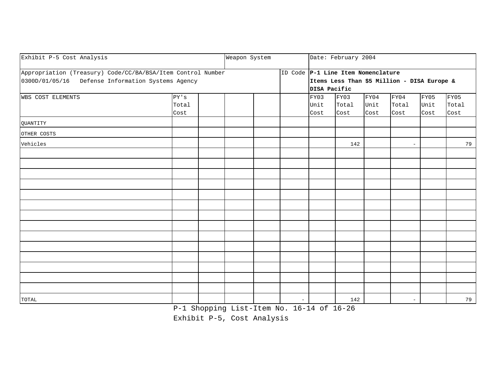| Exhibit P-5 Cost Analysis                                   |                        | Weapon System |                          |              | Date: February 2004                |      |                                             |      |       |
|-------------------------------------------------------------|------------------------|---------------|--------------------------|--------------|------------------------------------|------|---------------------------------------------|------|-------|
| Appropriation (Treasury) Code/CC/BA/BSA/Item Control Number |                        |               |                          |              | ID Code P-1 Line Item Nomenclature |      |                                             |      |       |
| 0300D/01/05/16 Defense Information Systems Agency           |                        |               |                          |              |                                    |      | Items Less Than \$5 Million - DISA Europe & |      |       |
|                                                             |                        |               |                          | DISA Pacific |                                    |      |                                             |      |       |
| WBS COST ELEMENTS                                           | ${\rm PY}$ ' ${\rm S}$ |               |                          | FY03         | FY03                               | FY04 | FY04                                        | FY05 | FY05  |
|                                                             | Total                  |               |                          | Unit         | Total                              | Unit | Total                                       | Unit | Total |
|                                                             | Cost                   |               |                          | Cost         | Cost                               | Cost | Cost                                        | Cost | Cost  |
| QUANTITY                                                    |                        |               |                          |              |                                    |      |                                             |      |       |
| OTHER COSTS                                                 |                        |               |                          |              |                                    |      |                                             |      |       |
| Vehicles                                                    |                        |               |                          |              | 142                                |      | $\overline{\phantom{a}}$                    |      | 79    |
|                                                             |                        |               |                          |              |                                    |      |                                             |      |       |
|                                                             |                        |               |                          |              |                                    |      |                                             |      |       |
|                                                             |                        |               |                          |              |                                    |      |                                             |      |       |
|                                                             |                        |               |                          |              |                                    |      |                                             |      |       |
|                                                             |                        |               |                          |              |                                    |      |                                             |      |       |
|                                                             |                        |               |                          |              |                                    |      |                                             |      |       |
|                                                             |                        |               |                          |              |                                    |      |                                             |      |       |
|                                                             |                        |               |                          |              |                                    |      |                                             |      |       |
|                                                             |                        |               |                          |              |                                    |      |                                             |      |       |
|                                                             |                        |               |                          |              |                                    |      |                                             |      |       |
|                                                             |                        |               |                          |              |                                    |      |                                             |      |       |
|                                                             |                        |               |                          |              |                                    |      |                                             |      |       |
|                                                             |                        |               |                          |              |                                    |      |                                             |      |       |
|                                                             |                        |               |                          |              |                                    |      |                                             |      |       |
| TOTAL                                                       |                        |               | $\overline{\phantom{m}}$ |              | 142                                |      | $\overline{\phantom{a}}$                    |      | 79    |

P-1 Shopping List-Item No. 16-14 of 16-26

Exhibit P-5, Cost Analysis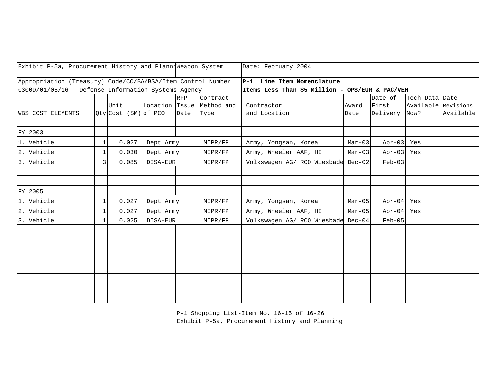| Exhibit P-5a, Procurement History and PlanniWeapon System                                                        |              |                           |           |            |                           | Date: February 2004                                                           |          |            |                     |           |
|------------------------------------------------------------------------------------------------------------------|--------------|---------------------------|-----------|------------|---------------------------|-------------------------------------------------------------------------------|----------|------------|---------------------|-----------|
| Appropriation (Treasury) Code/CC/BA/BSA/Item Control Number<br>0300D/01/05/16 Defense Information Systems Agency |              |                           |           |            |                           | P-1 Line Item Nomenclature<br>Items Less Than \$5 Million - OPS/EUR & PAC/VEH |          |            |                     |           |
|                                                                                                                  |              |                           |           |            |                           |                                                                               |          |            |                     |           |
|                                                                                                                  |              |                           |           | <b>RFP</b> | Contract                  |                                                                               |          | Date of    | Tech Data Date      |           |
|                                                                                                                  |              | Unit                      |           |            | Location Issue Method and | Contractor                                                                    | Award    | First      | Available Revisions |           |
| <b>WBS COST ELEMENTS</b>                                                                                         |              | $Qty$ Cost $(\$M)$ of PCO |           | Date       | Type                      | and Location                                                                  | Date     | Delivery   | Now?                | Available |
|                                                                                                                  |              |                           |           |            |                           |                                                                               |          |            |                     |           |
| FY 2003                                                                                                          |              |                           |           |            |                           |                                                                               |          |            |                     |           |
| 1. Vehicle                                                                                                       | $\mathbf{1}$ | 0.027                     | Dept Army |            | MIPR/FP                   | Army, Yongsan, Korea                                                          | $Mar-03$ | Apr-03 Yes |                     |           |
| 2. Vehicle                                                                                                       | $\mathbf{1}$ | 0.030                     | Dept Army |            | MIPR/FP                   | Army, Wheeler AAF, HI                                                         | $Mar-03$ | Apr-03 Yes |                     |           |
| 3. Vehicle                                                                                                       | 3            | 0.085                     | DISA-EUR  |            | MIPR/FP                   | Volkswagen AG/ RCO Wiesbade Dec-02                                            |          | $Feb-03$   |                     |           |
|                                                                                                                  |              |                           |           |            |                           |                                                                               |          |            |                     |           |
|                                                                                                                  |              |                           |           |            |                           |                                                                               |          |            |                     |           |
| FY 2005                                                                                                          |              |                           |           |            |                           |                                                                               |          |            |                     |           |
| 1. Vehicle                                                                                                       | $\mathbf{1}$ | 0.027                     | Dept Army |            | MIPR/FP                   | Army, Yongsan, Korea                                                          | $Mar-05$ | Apr-04 Yes |                     |           |
| 2. Vehicle                                                                                                       | $\mathbf{1}$ | 0.027                     | Dept Army |            | MIPR/FP                   | Army, Wheeler AAF, HI                                                         | $Mar-05$ | Apr-04 Yes |                     |           |
| 3. Vehicle                                                                                                       | $\mathbf{1}$ | 0.025                     | DISA-EUR  |            | MIPR/FP                   | Volkswagen AG/ RCO Wiesbade Dec-04                                            |          | $Feb-05$   |                     |           |
|                                                                                                                  |              |                           |           |            |                           |                                                                               |          |            |                     |           |
|                                                                                                                  |              |                           |           |            |                           |                                                                               |          |            |                     |           |
|                                                                                                                  |              |                           |           |            |                           |                                                                               |          |            |                     |           |
|                                                                                                                  |              |                           |           |            |                           |                                                                               |          |            |                     |           |
|                                                                                                                  |              |                           |           |            |                           |                                                                               |          |            |                     |           |
|                                                                                                                  |              |                           |           |            |                           |                                                                               |          |            |                     |           |
|                                                                                                                  |              |                           |           |            |                           |                                                                               |          |            |                     |           |
|                                                                                                                  |              |                           |           |            |                           |                                                                               |          |            |                     |           |

P-1 Shopping List-Item No. 16-15 of 16-26 Exhibit P-5a, Procurement History and Planning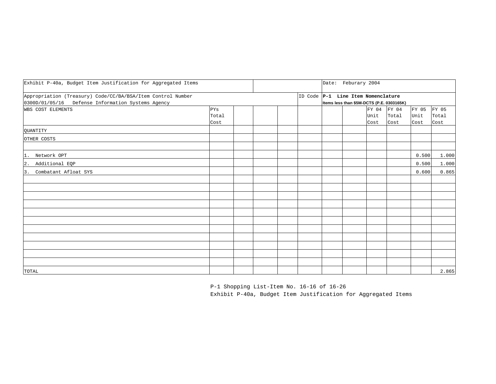| Exhibit P-40a, Budget Item Justification for Aggregated Items                                                    |                      |  |  | Date: Feburary 2004                                                             |                       |                        |                       |                        |
|------------------------------------------------------------------------------------------------------------------|----------------------|--|--|---------------------------------------------------------------------------------|-----------------------|------------------------|-----------------------|------------------------|
| Appropriation (Treasury) Code/CC/BA/BSA/Item Control Number<br>0300D/01/05/16 Defense Information Systems Agency |                      |  |  | ID Code P-1 Line Item Nomenclature<br>Items less than \$5M-DCTS (P.E. 0303165K) |                       |                        |                       |                        |
| WBS COST ELEMENTS                                                                                                | PYS<br>Total<br>Cost |  |  |                                                                                 | FY 04<br>Unit<br>Cost | FY 04<br>Total<br>Cost | FY 05<br>Unit<br>Cost | FY 05<br>Total<br>Cost |
| QUANTITY                                                                                                         |                      |  |  |                                                                                 |                       |                        |                       |                        |
| OTHER COSTS                                                                                                      |                      |  |  |                                                                                 |                       |                        |                       |                        |
| 1. Network OPT                                                                                                   |                      |  |  |                                                                                 |                       |                        | 0.500                 | 1.000                  |
| Additional EQP<br>2.                                                                                             |                      |  |  |                                                                                 |                       |                        | 0.500                 | 1.000                  |
| Combatant Afloat SYS<br>3.                                                                                       |                      |  |  |                                                                                 |                       |                        | 0.600                 | 0.865                  |
|                                                                                                                  |                      |  |  |                                                                                 |                       |                        |                       |                        |
|                                                                                                                  |                      |  |  |                                                                                 |                       |                        |                       |                        |
|                                                                                                                  |                      |  |  |                                                                                 |                       |                        |                       |                        |
|                                                                                                                  |                      |  |  |                                                                                 |                       |                        |                       |                        |
|                                                                                                                  |                      |  |  |                                                                                 |                       |                        |                       |                        |
|                                                                                                                  |                      |  |  |                                                                                 |                       |                        |                       |                        |
|                                                                                                                  |                      |  |  |                                                                                 |                       |                        |                       |                        |
|                                                                                                                  |                      |  |  |                                                                                 |                       |                        |                       |                        |
|                                                                                                                  |                      |  |  |                                                                                 |                       |                        |                       |                        |
| TOTAL                                                                                                            |                      |  |  |                                                                                 |                       |                        |                       | 2.865                  |

P-1 Shopping List-Item No. 16-16 of 16-26 Exhibit P-40a, Budget Item Justification for Aggregated Items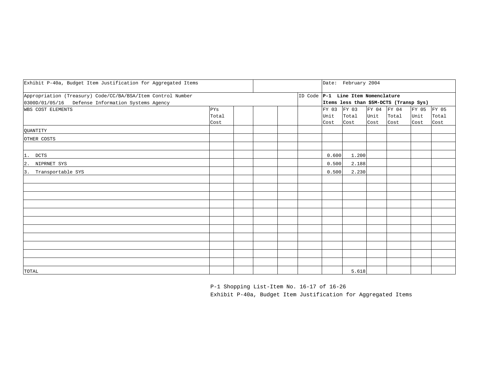| Exhibit P-40a, Budget Item Justification for Aggregated Items                                                    |                      |  |  |                       | Date: February 2004                                                          |              |                              |                       |                        |
|------------------------------------------------------------------------------------------------------------------|----------------------|--|--|-----------------------|------------------------------------------------------------------------------|--------------|------------------------------|-----------------------|------------------------|
| Appropriation (Treasury) Code/CC/BA/BSA/Item Control Number<br>0300D/01/05/16 Defense Information Systems Agency |                      |  |  |                       | ID Code P-1 Line Item Nomenclature<br>Items less than \$5M-DCTS (Transp Sys) |              |                              |                       |                        |
| WBS COST ELEMENTS                                                                                                | PYS<br>Total<br>Cost |  |  | FY 03<br>Unit<br>Cost | FY 03<br>Total<br>Cost                                                       | Unit<br>Cost | FY 04 FY 04<br>Total<br>Cost | FY 05<br>Unit<br>Cost | FY 05<br>Total<br>Cost |
| QUANTITY                                                                                                         |                      |  |  |                       |                                                                              |              |                              |                       |                        |
| OTHER COSTS                                                                                                      |                      |  |  |                       |                                                                              |              |                              |                       |                        |
| 1. DCTS                                                                                                          |                      |  |  | 0.600                 | 1.200                                                                        |              |                              |                       |                        |
| 2. NIPRNET SYS                                                                                                   |                      |  |  | 0.500                 | 2.188                                                                        |              |                              |                       |                        |
| 3. Transportable SYS                                                                                             |                      |  |  | 0.500                 | 2.230                                                                        |              |                              |                       |                        |
|                                                                                                                  |                      |  |  |                       |                                                                              |              |                              |                       |                        |
|                                                                                                                  |                      |  |  |                       |                                                                              |              |                              |                       |                        |
|                                                                                                                  |                      |  |  |                       |                                                                              |              |                              |                       |                        |
|                                                                                                                  |                      |  |  |                       |                                                                              |              |                              |                       |                        |
|                                                                                                                  |                      |  |  |                       |                                                                              |              |                              |                       |                        |
|                                                                                                                  |                      |  |  |                       |                                                                              |              |                              |                       |                        |
|                                                                                                                  |                      |  |  |                       |                                                                              |              |                              |                       |                        |
|                                                                                                                  |                      |  |  |                       |                                                                              |              |                              |                       |                        |
|                                                                                                                  |                      |  |  |                       |                                                                              |              |                              |                       |                        |
| TOTAL                                                                                                            |                      |  |  |                       | 5.618                                                                        |              |                              |                       |                        |

P-1 Shopping List-Item No. 16-17 of 16-26 Exhibit P-40a, Budget Item Justification for Aggregated Items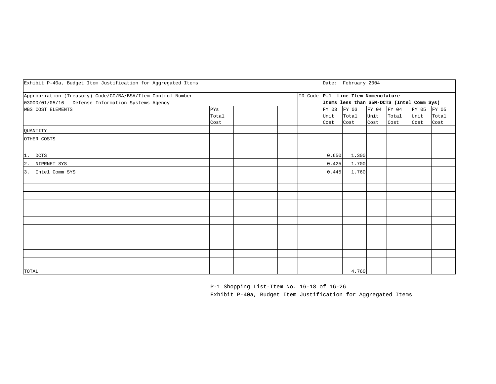| Exhibit P-40a, Budget Item Justification for Aggregated Items                                                    |                      |  |  |                       | Date: February 2004                                                              |                             |               |                             |               |
|------------------------------------------------------------------------------------------------------------------|----------------------|--|--|-----------------------|----------------------------------------------------------------------------------|-----------------------------|---------------|-----------------------------|---------------|
| Appropriation (Treasury) Code/CC/BA/BSA/Item Control Number<br>0300D/01/05/16 Defense Information Systems Agency |                      |  |  |                       | ID Code P-1 Line Item Nomenclature<br>Items less than \$5M-DCTS (Intel Comm Sys) |                             |               |                             |               |
| WBS COST ELEMENTS                                                                                                | PYS<br>Total<br>Cost |  |  | FY 03<br>Unit<br>Cost | FY 03<br>Total<br>Cost                                                           | FY 04 FY 04<br>Unit<br>Cost | Total<br>Cost | FY 05 FY 05<br>Unit<br>Cost | Total<br>Cost |
| QUANTITY                                                                                                         |                      |  |  |                       |                                                                                  |                             |               |                             |               |
| OTHER COSTS                                                                                                      |                      |  |  |                       |                                                                                  |                             |               |                             |               |
| 1. DCTS                                                                                                          |                      |  |  | 0.650                 | 1.300                                                                            |                             |               |                             |               |
| 2. NIPRNET SYS                                                                                                   |                      |  |  | 0.425                 | 1.700                                                                            |                             |               |                             |               |
| 3. Intel Comm SYS                                                                                                |                      |  |  | 0.445                 | 1.760                                                                            |                             |               |                             |               |
|                                                                                                                  |                      |  |  |                       |                                                                                  |                             |               |                             |               |
|                                                                                                                  |                      |  |  |                       |                                                                                  |                             |               |                             |               |
|                                                                                                                  |                      |  |  |                       |                                                                                  |                             |               |                             |               |
|                                                                                                                  |                      |  |  |                       |                                                                                  |                             |               |                             |               |
|                                                                                                                  |                      |  |  |                       |                                                                                  |                             |               |                             |               |
|                                                                                                                  |                      |  |  |                       |                                                                                  |                             |               |                             |               |
|                                                                                                                  |                      |  |  |                       |                                                                                  |                             |               |                             |               |
|                                                                                                                  |                      |  |  |                       |                                                                                  |                             |               |                             |               |
|                                                                                                                  |                      |  |  |                       |                                                                                  |                             |               |                             |               |
| TOTAL                                                                                                            |                      |  |  |                       | 4.760                                                                            |                             |               |                             |               |

P-1 Shopping List-Item No. 16-18 of 16-26 Exhibit P-40a, Budget Item Justification for Aggregated Items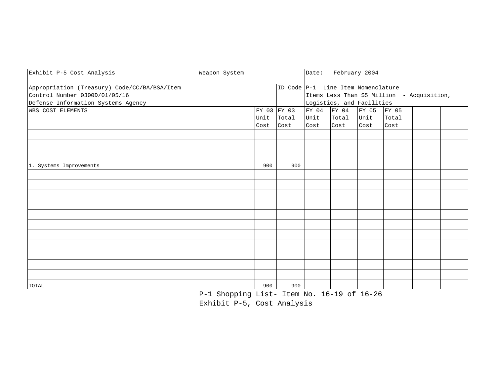| Exhibit P-5 Cost Analysis                    | Weapon System |      |                                    | Date: |                           | February 2004 |                                            |  |
|----------------------------------------------|---------------|------|------------------------------------|-------|---------------------------|---------------|--------------------------------------------|--|
| Appropriation (Treasury) Code/CC/BA/BSA/Item |               |      | ID Code P-1 Line Item Nomenclature |       |                           |               |                                            |  |
| Control Number 0300D/01/05/16                |               |      |                                    |       |                           |               | Items Less Than \$5 Million - Acquisition, |  |
| Defense Information Systems Agency           |               |      |                                    |       | Logistics, and Facilities |               |                                            |  |
| <b>WBS COST ELEMENTS</b>                     |               |      | FY 03 FY 03                        | FY 04 | FY 04                     | FY 05         | FY 05                                      |  |
|                                              |               | Unit | Total                              | Unit  | Total                     | Unit          | Total                                      |  |
|                                              |               | Cost | Cost                               | Cost  | Cost                      | Cost          | Cost                                       |  |
|                                              |               |      |                                    |       |                           |               |                                            |  |
|                                              |               |      |                                    |       |                           |               |                                            |  |
|                                              |               |      |                                    |       |                           |               |                                            |  |
| 1. Systems Improvements                      |               | 900  | 900                                |       |                           |               |                                            |  |
|                                              |               |      |                                    |       |                           |               |                                            |  |
|                                              |               |      |                                    |       |                           |               |                                            |  |
|                                              |               |      |                                    |       |                           |               |                                            |  |
|                                              |               |      |                                    |       |                           |               |                                            |  |
|                                              |               |      |                                    |       |                           |               |                                            |  |
|                                              |               |      |                                    |       |                           |               |                                            |  |
|                                              |               |      |                                    |       |                           |               |                                            |  |
|                                              |               |      |                                    |       |                           |               |                                            |  |
|                                              |               |      |                                    |       |                           |               |                                            |  |
|                                              |               |      |                                    |       |                           |               |                                            |  |
|                                              |               |      |                                    |       |                           |               |                                            |  |
| TOTAL                                        |               | 900  | 900                                |       |                           |               |                                            |  |

P-1 Shopping List- Item No. 16-19 of 16-26

Exhibit P-5, Cost Analysis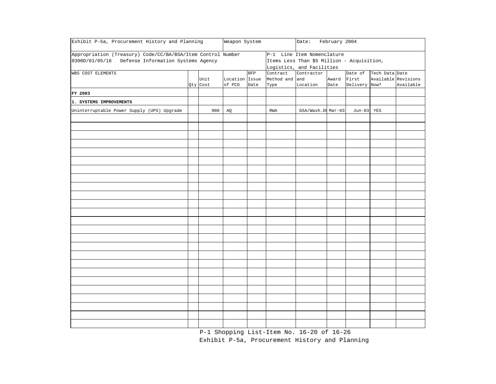| Exhibit P-5a, Procurement History and Planning              |          | Weapon System  |            |                | Date:                                      | February 2004        |               |                     |           |
|-------------------------------------------------------------|----------|----------------|------------|----------------|--------------------------------------------|----------------------|---------------|---------------------|-----------|
| Appropriation (Treasury) Code/CC/BA/BSA/Item Control Number |          |                |            |                | P-1 Line Item Nomenclature                 |                      |               |                     |           |
| 0300D/01/05/16 Defense Information Systems Agency           |          |                |            |                | Items Less Than \$5 Million - Acquisition, |                      |               |                     |           |
|                                                             |          |                |            |                | Logistics, and Facilities                  |                      |               |                     |           |
| WBS COST ELEMENTS                                           |          |                | <b>RFP</b> | Contract       | Contractor                                 |                      | Date of       | Tech Data Date      |           |
|                                                             | Unit     | Location Issue |            | Method and and |                                            | Award                | First         | Available Revisions |           |
|                                                             | Qty Cost | of PCO         | Date       | Type           | Location                                   | Date                 | Delivery Now? |                     | Available |
| FY 2003                                                     |          |                |            |                |                                            |                      |               |                     |           |
| 1. SYSTEMS IMPROVEMENTS                                     |          |                |            |                |                                            |                      |               |                     |           |
| Uninterruptable Power Supply (UPS) Upgrade                  | 900      | AQ             |            | RWA            | GSA/Wash.DOMar-03                          |                      | Jun-03 YES    |                     |           |
|                                                             |          |                |            |                |                                            |                      |               |                     |           |
|                                                             |          |                |            |                |                                            |                      |               |                     |           |
|                                                             |          |                |            |                |                                            |                      |               |                     |           |
|                                                             |          |                |            |                |                                            |                      |               |                     |           |
|                                                             |          |                |            |                |                                            |                      |               |                     |           |
|                                                             |          |                |            |                |                                            |                      |               |                     |           |
|                                                             |          |                |            |                |                                            |                      |               |                     |           |
|                                                             |          |                |            |                |                                            |                      |               |                     |           |
|                                                             |          |                |            |                |                                            |                      |               |                     |           |
|                                                             |          |                |            |                |                                            |                      |               |                     |           |
|                                                             |          |                |            |                |                                            |                      |               |                     |           |
|                                                             |          |                |            |                |                                            |                      |               |                     |           |
|                                                             |          |                |            |                |                                            |                      |               |                     |           |
|                                                             |          |                |            |                |                                            |                      |               |                     |           |
|                                                             |          |                |            |                |                                            |                      |               |                     |           |
|                                                             |          |                |            |                |                                            |                      |               |                     |           |
|                                                             |          |                |            |                |                                            |                      |               |                     |           |
|                                                             |          |                |            |                |                                            |                      |               |                     |           |
|                                                             |          |                |            |                |                                            |                      |               |                     |           |
|                                                             |          |                |            |                |                                            |                      |               |                     |           |
|                                                             |          |                |            |                |                                            |                      |               |                     |           |
|                                                             |          |                |            |                |                                            |                      |               |                     |           |
|                                                             | $\sim$   |                |            |                | $\sim$ $\sim$ $\sim$                       | $\sim$ $\sim$ $\sim$ |               |                     |           |

P-1 Shopping List-Item No. 16-20 of 16-26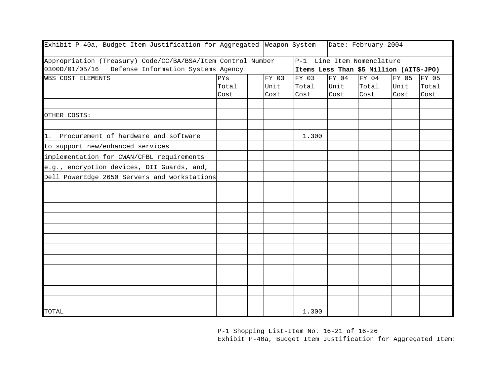| Exhibit P-40a, Budget Item Justification for Aggregated Weapon System |       |       |       |       | Date: February 2004                    |       |       |
|-----------------------------------------------------------------------|-------|-------|-------|-------|----------------------------------------|-------|-------|
| Appropriation (Treasury) Code/CC/BA/BSA/Item Control Number           |       |       |       |       | P-1 Line Item Nomenclature             |       |       |
| 0300D/01/05/16<br>Defense Information Systems Agency                  |       |       |       |       | Items Less Than \$5 Million (AITS-JPO) |       |       |
| <b>WBS COST ELEMENTS</b>                                              | PYs   | FY 03 | FY 03 | FY 04 | FY 04                                  | FY 05 | FY 05 |
|                                                                       | Total | Unit  | Total | Unit  | Total                                  | Unit  | Total |
|                                                                       | Cost  | Cost  | Cost  | Cost  | Cost                                   | Cost  | Cost  |
|                                                                       |       |       |       |       |                                        |       |       |
| OTHER COSTS:                                                          |       |       |       |       |                                        |       |       |
| 1. Procurement of hardware and software                               |       |       | 1.300 |       |                                        |       |       |
| to support new/enhanced services                                      |       |       |       |       |                                        |       |       |
| implementation for CWAN/CFBL requirements                             |       |       |       |       |                                        |       |       |
| e.g., encryption devices, DII Guards, and,                            |       |       |       |       |                                        |       |       |
| Dell PowerEdge 2650 Servers and workstations                          |       |       |       |       |                                        |       |       |
|                                                                       |       |       |       |       |                                        |       |       |
|                                                                       |       |       |       |       |                                        |       |       |
|                                                                       |       |       |       |       |                                        |       |       |
|                                                                       |       |       |       |       |                                        |       |       |
|                                                                       |       |       |       |       |                                        |       |       |
|                                                                       |       |       |       |       |                                        |       |       |
|                                                                       |       |       |       |       |                                        |       |       |
|                                                                       |       |       |       |       |                                        |       |       |
|                                                                       |       |       |       |       |                                        |       |       |
|                                                                       |       |       |       |       |                                        |       |       |
|                                                                       |       |       |       |       |                                        |       |       |
|                                                                       |       |       |       |       |                                        |       |       |
| TOTAL                                                                 |       |       | 1.300 |       |                                        |       |       |

P-1 Shopping List-Item No. 16-21 of 16-26

Exhibit P-40a, Budget Item Justification for Aggregated Items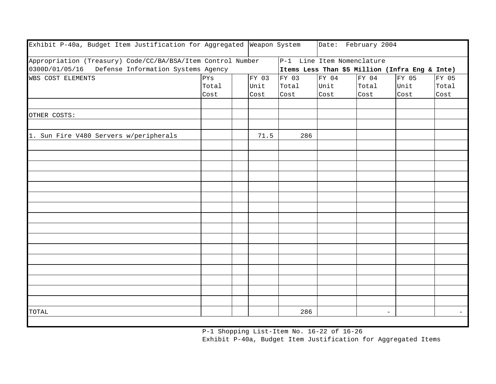| Exhibit P-40a, Budget Item Justification for Aggregated Weapon System |       |       |       | Date: February 2004        |                   |                                                |                          |
|-----------------------------------------------------------------------|-------|-------|-------|----------------------------|-------------------|------------------------------------------------|--------------------------|
| Appropriation (Treasury) Code/CC/BA/BSA/Item Control Number           |       |       |       | P-1 Line Item Nomenclature |                   |                                                |                          |
| 0300D/01/05/16 Defense Information Systems Agency                     |       |       |       |                            |                   | Items Less Than \$5 Million (Infra Eng & Inte) |                          |
| WBS COST ELEMENTS                                                     | PYS   | FY 03 | FY 03 | FY 04                      | FY 04             | FY 05                                          | FY 05                    |
|                                                                       | Total | Unit  | Total | Unit                       | Total             | Unit                                           | Total                    |
|                                                                       | Cost  | Cost  | Cost  | Cost                       | Cost              | Cost                                           | Cost                     |
|                                                                       |       |       |       |                            |                   |                                                |                          |
| OTHER COSTS:                                                          |       |       |       |                            |                   |                                                |                          |
|                                                                       |       |       |       |                            |                   |                                                |                          |
| 1. Sun Fire V480 Servers w/peripherals                                |       | 71.5  | 286   |                            |                   |                                                |                          |
|                                                                       |       |       |       |                            |                   |                                                |                          |
|                                                                       |       |       |       |                            |                   |                                                |                          |
|                                                                       |       |       |       |                            |                   |                                                |                          |
|                                                                       |       |       |       |                            |                   |                                                |                          |
|                                                                       |       |       |       |                            |                   |                                                |                          |
|                                                                       |       |       |       |                            |                   |                                                |                          |
|                                                                       |       |       |       |                            |                   |                                                |                          |
|                                                                       |       |       |       |                            |                   |                                                |                          |
|                                                                       |       |       |       |                            |                   |                                                |                          |
|                                                                       |       |       |       |                            |                   |                                                |                          |
|                                                                       |       |       |       |                            |                   |                                                |                          |
|                                                                       |       |       |       |                            |                   |                                                |                          |
|                                                                       |       |       |       |                            |                   |                                                |                          |
|                                                                       |       |       |       |                            |                   |                                                |                          |
|                                                                       |       |       |       |                            |                   |                                                |                          |
|                                                                       |       |       |       |                            |                   |                                                |                          |
| TOTAL                                                                 |       |       | 286   |                            | $\qquad \qquad -$ |                                                | $\overline{\phantom{0}}$ |

P-1 Shopping List-Item No. 16-22 of 16-26 Exhibit P-40a, Budget Item Justification for Aggregated Items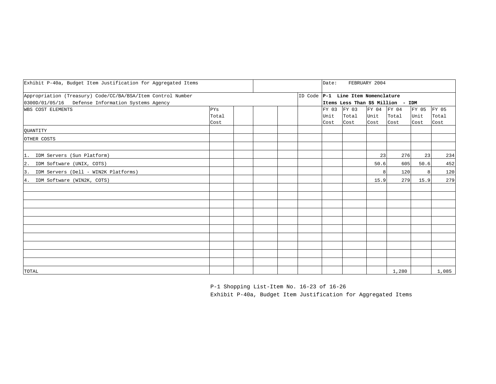| Exhibit P-40a, Budget Item Justification for Aggregated Items                                                    |                      |  |  |  |  |                                                                         | FEBRUARY 2004<br>Date: |                       |                        |                       |                        |  |  |
|------------------------------------------------------------------------------------------------------------------|----------------------|--|--|--|--|-------------------------------------------------------------------------|------------------------|-----------------------|------------------------|-----------------------|------------------------|--|--|
| Appropriation (Treasury) Code/CC/BA/BSA/Item Control Number<br>0300D/01/05/16 Defense Information Systems Agency |                      |  |  |  |  | ID Code P-1 Line Item Nomenclature<br>Items Less Than \$5 Million - IDM |                        |                       |                        |                       |                        |  |  |
| WBS COST ELEMENTS                                                                                                | PYs<br>Total<br>Cost |  |  |  |  | FY 03<br>Unit<br>Cost                                                   | FY 03<br>Total<br>Cost | FY 04<br>Unit<br>Cost | FY 04<br>Total<br>Cost | FY 05<br>Unit<br>Cost | FY 05<br>Total<br>Cost |  |  |
| QUANTITY                                                                                                         |                      |  |  |  |  |                                                                         |                        |                       |                        |                       |                        |  |  |
| OTHER COSTS                                                                                                      |                      |  |  |  |  |                                                                         |                        |                       |                        |                       |                        |  |  |
| 1. IDM Servers (Sun Platform)                                                                                    |                      |  |  |  |  |                                                                         |                        | 23                    | 276                    | 23                    | 234                    |  |  |
| 2. IDM Software (UNIX, COTS)                                                                                     |                      |  |  |  |  |                                                                         |                        | 50.6                  | 605                    | 50.6                  | 452                    |  |  |
| 3. IDM Servers (Dell - WIN2K Platforms)                                                                          |                      |  |  |  |  |                                                                         |                        | 8 <sup>1</sup>        | 120                    | 8                     | 120                    |  |  |
| 4. IDM Software (WIN2K, COTS)                                                                                    |                      |  |  |  |  |                                                                         |                        | 15.9                  | 279                    | 15.9                  | 279                    |  |  |
|                                                                                                                  |                      |  |  |  |  |                                                                         |                        |                       |                        |                       |                        |  |  |
|                                                                                                                  |                      |  |  |  |  |                                                                         |                        |                       |                        |                       |                        |  |  |
|                                                                                                                  |                      |  |  |  |  |                                                                         |                        |                       |                        |                       |                        |  |  |
|                                                                                                                  |                      |  |  |  |  |                                                                         |                        |                       |                        |                       |                        |  |  |
|                                                                                                                  |                      |  |  |  |  |                                                                         |                        |                       |                        |                       |                        |  |  |
|                                                                                                                  |                      |  |  |  |  |                                                                         |                        |                       |                        |                       |                        |  |  |
|                                                                                                                  |                      |  |  |  |  |                                                                         |                        |                       |                        |                       |                        |  |  |
|                                                                                                                  |                      |  |  |  |  |                                                                         |                        |                       |                        |                       |                        |  |  |
| TOTAL                                                                                                            |                      |  |  |  |  |                                                                         |                        |                       | 1,280                  |                       | 1,085                  |  |  |

P-1 Shopping List-Item No. 16-23 of 16-26 Exhibit P-40a, Budget Item Justification for Aggregated Items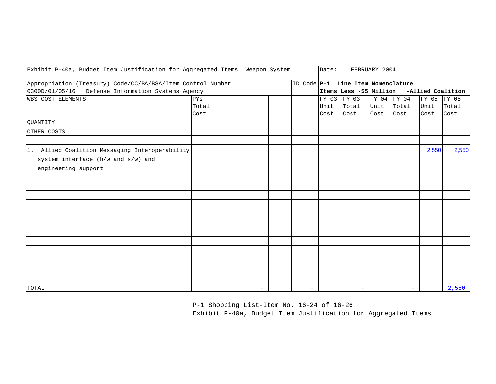| Exhibit P-40a, Budget Item Justification for Aggregated Items                                                    |                      | Weapon System |          | Date:<br>FEBRUARY 2004 |                          |                       |                                    |                             |                                           |                       |                        |
|------------------------------------------------------------------------------------------------------------------|----------------------|---------------|----------|------------------------|--------------------------|-----------------------|------------------------------------|-----------------------------|-------------------------------------------|-----------------------|------------------------|
| Appropriation (Treasury) Code/CC/BA/BSA/Item Control Number<br>0300D/01/05/16 Defense Information Systems Agency |                      |               |          |                        |                          |                       | ID Code P-1 Line Item Nomenclature |                             | Items Less -\$5 Million -Allied Coalition |                       |                        |
| WBS COST ELEMENTS                                                                                                | PYs<br>Total<br>Cost |               |          |                        |                          | FY 03<br>Unit<br>Cost | FY 03<br>Total<br>Cost             | FY 04 FY 04<br>Unit<br>Cost | Total<br>Cost                             | FY 05<br>Unit<br>Cost | FY 05<br>Total<br>Cost |
| QUANTITY                                                                                                         |                      |               |          |                        |                          |                       |                                    |                             |                                           |                       |                        |
| OTHER COSTS                                                                                                      |                      |               |          |                        |                          |                       |                                    |                             |                                           |                       |                        |
| 1. Allied Coalition Messaging Interoperability                                                                   |                      |               |          |                        |                          |                       |                                    |                             |                                           | 2,550                 | 2,550                  |
| system interface (h/w and s/w) and                                                                               |                      |               |          |                        |                          |                       |                                    |                             |                                           |                       |                        |
| engineering support                                                                                              |                      |               |          |                        |                          |                       |                                    |                             |                                           |                       |                        |
|                                                                                                                  |                      |               |          |                        |                          |                       |                                    |                             |                                           |                       |                        |
|                                                                                                                  |                      |               |          |                        |                          |                       |                                    |                             |                                           |                       |                        |
|                                                                                                                  |                      |               |          |                        |                          |                       |                                    |                             |                                           |                       |                        |
|                                                                                                                  |                      |               |          |                        |                          |                       |                                    |                             |                                           |                       |                        |
|                                                                                                                  |                      |               |          |                        |                          |                       |                                    |                             |                                           |                       |                        |
|                                                                                                                  |                      |               |          |                        |                          |                       |                                    |                             |                                           |                       |                        |
|                                                                                                                  |                      |               |          |                        |                          |                       |                                    |                             |                                           |                       |                        |
|                                                                                                                  |                      |               |          |                        |                          |                       |                                    |                             |                                           |                       |                        |
|                                                                                                                  |                      |               |          |                        |                          |                       |                                    |                             |                                           |                       |                        |
|                                                                                                                  |                      |               |          |                        |                          |                       |                                    |                             |                                           |                       |                        |
|                                                                                                                  |                      |               |          |                        |                          |                       |                                    |                             |                                           |                       |                        |
|                                                                                                                  |                      |               |          |                        |                          |                       |                                    |                             |                                           |                       |                        |
| TOTAL                                                                                                            |                      |               | $\equiv$ |                        | $\overline{\phantom{0}}$ |                       |                                    |                             |                                           |                       | 2,550                  |

P-1 Shopping List-Item No. 16-24 of 16-26

Exhibit P-40a, Budget Item Justification for Aggregated Items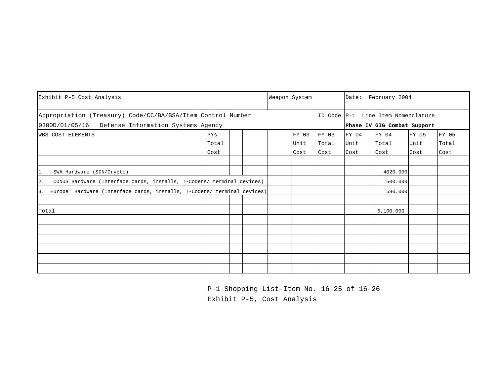| Exhibit P-5 Cost Analysis                                                      |       |  |  | Weapon System |       |       | Date: February 2004 |                                    |       |       |  |
|--------------------------------------------------------------------------------|-------|--|--|---------------|-------|-------|---------------------|------------------------------------|-------|-------|--|
| Appropriation (Treasury) Code/CC/BA/BSA/Item Control Number                    |       |  |  |               |       |       |                     | ID Code P-1 Line Item Nomenclature |       |       |  |
| 0300D/01/05/16 Defense Information Systems Agency                              |       |  |  |               |       |       |                     | Phase IV GIG Combat Support        |       |       |  |
| <b>WBS COST ELEMENTS</b>                                                       | PYs   |  |  |               | FY 03 | FY 03 | FY 04               | FY 04                              | FY 05 | FY 05 |  |
|                                                                                | Total |  |  |               | Unit  | Total | Unit                | Total                              | Unit  | Total |  |
|                                                                                | Cost  |  |  |               | Cost  | Cost  | Cost                | Cost                               | Cost  | Cost  |  |
|                                                                                |       |  |  |               |       |       |                     |                                    |       |       |  |
| 1.<br>SWA Hardware (SDN/Crypto)                                                |       |  |  |               |       |       |                     | 4020.000                           |       |       |  |
| CONUS Hardware (Interface cards, installs, T-Coders/ terminal devices)<br>2.   |       |  |  |               |       |       |                     | 500.000                            |       |       |  |
| Europe Hardware (Interface cards, installs, T-Coders/ terminal devices)<br>I3. |       |  |  |               |       |       |                     | 580.000                            |       |       |  |
|                                                                                |       |  |  |               |       |       |                     |                                    |       |       |  |
| Total                                                                          |       |  |  |               |       |       |                     | 5,100.000                          |       |       |  |
|                                                                                |       |  |  |               |       |       |                     |                                    |       |       |  |
|                                                                                |       |  |  |               |       |       |                     |                                    |       |       |  |
|                                                                                |       |  |  |               |       |       |                     |                                    |       |       |  |
|                                                                                |       |  |  |               |       |       |                     |                                    |       |       |  |
|                                                                                |       |  |  |               |       |       |                     |                                    |       |       |  |
|                                                                                |       |  |  |               |       |       |                     |                                    |       |       |  |

P-1 Shopping List-Item No. 16-25 of 16-26 Exhibit P-5, Cost Analysis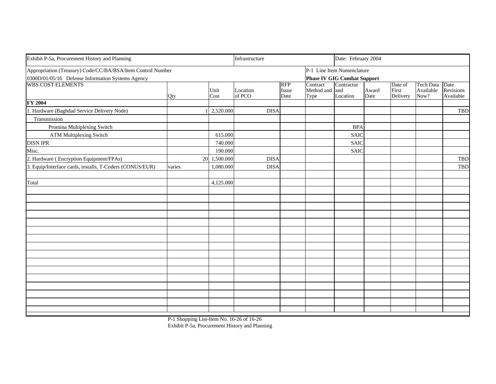| Exhibit P-5a, Procurement History and Planning                                                                   | Infrastructure |              |                    | Date: February 2004         |                                    |                                                                  |               |                              |                                     |                        |
|------------------------------------------------------------------------------------------------------------------|----------------|--------------|--------------------|-----------------------------|------------------------------------|------------------------------------------------------------------|---------------|------------------------------|-------------------------------------|------------------------|
| Appropriation (Treasury) Code/CC/BA/BSA/Item Control Number<br>0300D/01/05/16 Defense Information Systems Agency |                |              |                    |                             |                                    | P-1 Line Item Nomenclature<br><b>Phase IV GIG Combat Support</b> |               |                              |                                     |                        |
| <b>WBS COST ELEMENTS</b>                                                                                         | Qty            | Unit<br>Cost | Location<br>of PCO | <b>RFP</b><br>Issue<br>Date | Contract<br>Method and and<br>Type | Contractor<br>Location                                           | Award<br>Date | Date of<br>First<br>Delivery | Tech Data Date<br>Available<br>Now? | Revisions<br>Available |
| FY 2004                                                                                                          |                |              |                    |                             |                                    |                                                                  |               |                              |                                     |                        |
| 1. Hardware (Baghdad Service Delivery Node)                                                                      |                | 2,520.000    | <b>DISA</b>        |                             |                                    |                                                                  |               |                              |                                     | <b>TBD</b>             |
| Transmission                                                                                                     |                |              |                    |                             |                                    |                                                                  |               |                              |                                     |                        |
| Promina Multiplexing Switch                                                                                      |                |              |                    |                             |                                    | <b>BPA</b>                                                       |               |                              |                                     |                        |
| <b>ATM Multiplexing Switch</b>                                                                                   |                | 615.000      |                    |                             |                                    | <b>SAIC</b>                                                      |               |                              |                                     |                        |
| <b>DISN IPR</b>                                                                                                  |                | 740.000      |                    |                             |                                    | <b>SAIC</b>                                                      |               |                              |                                     |                        |
| Misc.                                                                                                            |                | 190.000      |                    |                             |                                    | <b>SAIC</b>                                                      |               |                              |                                     |                        |
| 2. Hardware (Encryption Equipment/FPAs)                                                                          | 20             | 1,500.000    | <b>DISA</b>        |                             |                                    |                                                                  |               |                              |                                     | <b>TBD</b>             |
| 3. Equip/Interface cards, installs, T-Coders (CONUS/EUR)                                                         | varies         | 1,080.000    | <b>DISA</b>        |                             |                                    |                                                                  |               |                              |                                     | <b>TBD</b>             |
| Total                                                                                                            |                | 4,125.000    |                    |                             |                                    |                                                                  |               |                              |                                     |                        |
|                                                                                                                  |                |              |                    |                             |                                    |                                                                  |               |                              |                                     |                        |
|                                                                                                                  |                |              |                    |                             |                                    |                                                                  |               |                              |                                     |                        |
|                                                                                                                  |                |              |                    |                             |                                    |                                                                  |               |                              |                                     |                        |
|                                                                                                                  |                |              |                    |                             |                                    |                                                                  |               |                              |                                     |                        |
|                                                                                                                  |                |              |                    |                             |                                    |                                                                  |               |                              |                                     |                        |
|                                                                                                                  |                |              |                    |                             |                                    |                                                                  |               |                              |                                     |                        |
|                                                                                                                  |                |              |                    |                             |                                    |                                                                  |               |                              |                                     |                        |
|                                                                                                                  |                |              |                    |                             |                                    |                                                                  |               |                              |                                     |                        |
|                                                                                                                  |                |              |                    |                             |                                    |                                                                  |               |                              |                                     |                        |
|                                                                                                                  |                |              |                    |                             |                                    |                                                                  |               |                              |                                     |                        |
|                                                                                                                  |                |              |                    |                             |                                    |                                                                  |               |                              |                                     |                        |
|                                                                                                                  |                |              |                    |                             |                                    |                                                                  |               |                              |                                     |                        |
|                                                                                                                  |                |              |                    |                             |                                    |                                                                  |               |                              |                                     |                        |
|                                                                                                                  |                |              |                    |                             |                                    |                                                                  |               |                              |                                     |                        |

P-1 Shopping List-Item No. 16-26 of 16-26 Exhibit P-5a, Procurement History and Planning